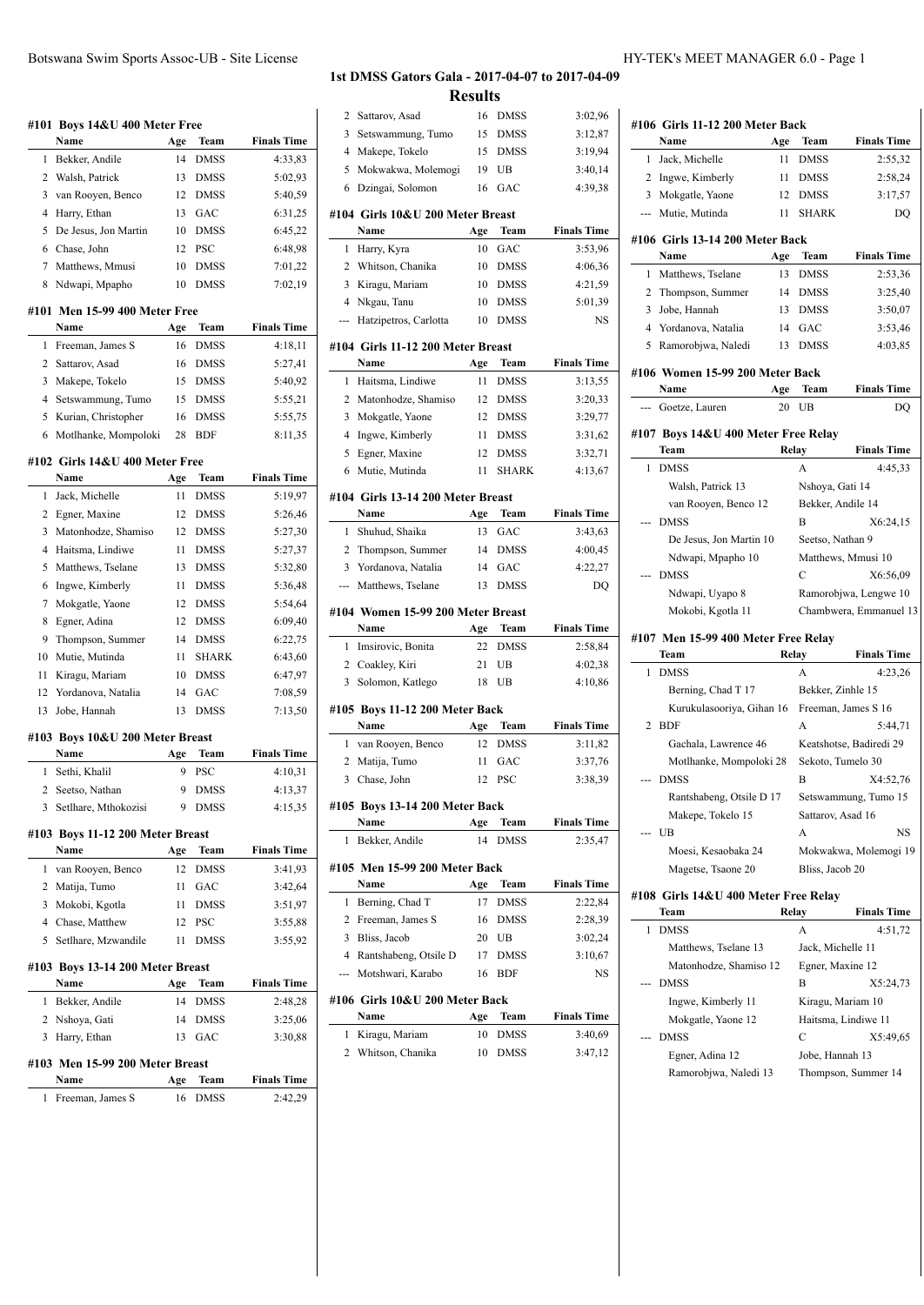### **#101 Boys 14&U 400 Meter Free Name Age Team Finals Time** 1 Bekker, Andile 14 DMSS 4:33,83 2 Walsh, Patrick 13 DMSS 5:02,93 3 van Rooyen, Benco 12 DMSS 5:40,59 4 Harry, Ethan 13 GAC 6:31,25 5 De Jesus, Jon Martin 10 DMSS 6:45,22 6 Chase, John 12 PSC 6:48,98 7 Matthews, Mmusi 10 DMSS 7:01,22 8 Ndwapi, Mpapho 10 DMSS 7:02,19 **#101 Men 15-99 400 Meter Free Name Age Team Finals Time** 1 Freeman, James S 16 DMSS 4:18,11 2 Sattarov, Asad 16 DMSS 5:27,41 3 Makepe, Tokelo 15 DMSS 5:40,92 4 Setswammung, Tumo 15 DMSS 5:55,21 5 Kurian, Christopher 16 DMSS 5:55,75 6 Motlhanke, Mompoloki 28 BDF 8:11,35 **#102 Girls 14&U 400 Meter Free Name Age Team Finals Time** 1 Jack, Michelle 11 DMSS 5:19,97 2 Egner, Maxine 12 DMSS 5:26,46 3 Matonhodze, Shamiso 12 DMSS 5:27,30 4 Haitsma, Lindiwe 11 DMSS 5:27,37 5 Matthews, Tselane 13 DMSS 5:32,80 6 Ingwe, Kimberly 11 DMSS 5:36,48 7 Mokgatle, Yaone 12 DMSS 5:54,64 8 Egner, Adina 12 DMSS 6:09,40 9 Thompson, Summer 14 DMSS 6:22,75 10 Mutie, Mutinda 11 SHARK 6:43,60 11 Kiragu, Mariam 10 DMSS 6:47,97 12 Yordanova, Natalia 14 GAC 7:08,59 13 Jobe, Hannah 13 DMSS 7:13,50 **#103 Boys 10&U 200 Meter Breast Name Age Team Finals Time** 1 Sethi, Khalil 9 PSC 4:10,31 2 Seetso, Nathan 9 DMSS 4:13,37 3 Setlhare, Mthokozisi 9 DMSS 4:15,35 **#103 Boys 11-12 200 Meter Breast Name Age Team Finals Time** 1 van Rooyen, Benco 12 DMSS 3:41,93 2 Matija, Tumo 11 GAC 3:42,64 3 Mokobi, Kgotla 11 DMSS 3:51,97 4 Chase, Matthew 12 PSC 3:55,88 5 Setlhare, Mzwandile 11 DMSS 3:55,92 **#103 Boys 13-14 200 Meter Breast Name Age Team Finals Time** 1 Bekker, Andile 14 DMSS 2:48,28 2 Nshoya, Gati 14 DMSS 3:25,06 3 Harry, Ethan 13 GAC 3:30,88 **#103 Men 15-99 200 Meter Breast**

### **Name Age Team Finals Time** 1 Freeman, James S 16 DMSS 2:42,29

### **1st DMSS Gators Gala - 2017-04-07 to 2017-04-09**

**Results**

| 2              | Sattarov, Asad                    | 16       | DMSS               | 3:02,96            |
|----------------|-----------------------------------|----------|--------------------|--------------------|
| 3              | Setswammung, Tumo                 | 15       | <b>DMSS</b>        | 3:12,87            |
| 4              | Makepe, Tokelo                    | 15       | <b>DMSS</b>        | 3:19,94            |
| 5              | Mokwakwa, Molemogi                | 19       | UB                 | 3:40,14            |
| 6              | Dzingai, Solomon                  | 16       | GAC                | 4:39,38            |
|                | #104 Girls 10&U 200 Meter Breast  |          |                    |                    |
|                | Name                              | Age      | Team               | <b>Finals Time</b> |
| 1              | Harry, Kyra                       | 10       | GAC                | 3:53,96            |
| 2              | Whitson, Chanika                  | 10       | <b>DMSS</b>        | 4:06.36            |
| 3              | Kiragu, Mariam                    | 10       | <b>DMSS</b>        | 4:21,59            |
| $\overline{4}$ | Nkgau, Tanu                       | 10       | <b>DMSS</b>        | 5:01,39            |
| ---            | Hatzipetros, Carlotta             | 10       | <b>DMSS</b>        | NS                 |
|                |                                   |          |                    |                    |
|                | #104 Girls 11-12 200 Meter Breast |          |                    |                    |
|                | Name                              | Age      | Team               | <b>Finals Time</b> |
| 1              | Haitsma, Lindiwe                  | 11       | <b>DMSS</b>        | 3:13,55            |
| 2              | Matonhodze, Shamiso               | 12       | <b>DMSS</b>        | 3:20,33            |
| 3              | Mokgatle, Yaone                   | 12       | <b>DMSS</b>        | 3:29,77            |
| $\overline{4}$ | Ingwe, Kimberly                   | 11       | <b>DMSS</b>        | 3:31,62            |
| 5              | Egner, Maxine                     | 12       | <b>DMSS</b>        | 3:32,71            |
| 6              | Mutie, Mutinda                    | 11       | <b>SHARK</b>       | 4:13,67            |
|                | #104 Girls 13-14 200 Meter Breast |          |                    |                    |
|                | Name                              | Age      | Team               | <b>Finals Time</b> |
| 1              | Shuhud, Shaika                    | 13       | GAC                | 3:43,63            |
| 2              | Thompson, Summer                  | 14       | <b>DMSS</b>        | 4:00,45            |
| 3              | Yordanova, Natalia                | 14       | GAC                | 4:22,27            |
| ---            | Matthews, Tselane                 | 13       | <b>DMSS</b>        | DQ                 |
|                |                                   |          |                    |                    |
|                | #104 Women 15-99 200 Meter Breast |          |                    |                    |
|                | Name                              | Age      | Team               | <b>Finals Time</b> |
| 1              | Imsirovic, Bonita                 | 22       | <b>DMSS</b>        | 2:58,84            |
| 2              | Coakley, Kiri                     | 21       | UB                 | 4:02,38            |
| 3              | Solomon, Katlego                  | 18       | UB                 | 4:10,86            |
|                |                                   |          |                    |                    |
|                | #105 Boys 11-12 200 Meter Back    |          |                    |                    |
|                | Name                              | Age      | Team               | <b>Finals Time</b> |
| 1<br>2         | van Rooyen, Benco                 | 12<br>11 | <b>DMSS</b><br>GAC | 3:11,82            |
| 3              | Matija, Tumo<br>Chase, John       | 12       | <b>PSC</b>         | 3:37,76<br>3:38,39 |
|                |                                   |          |                    |                    |
|                | #105  Boys 13-14 200 Meter Back   |          |                    |                    |
|                | Name                              | Age      | Team               | <b>Finals Time</b> |
| 1              | Bekker, Andile                    | 14       | <b>DMSS</b>        | 2:35,47            |
|                | #105 Men 15-99 200 Meter Back     |          |                    |                    |
|                | Name                              | Age      | Team               | <b>Finals Time</b> |
| 1              | Berning, Chad T                   | 17       | <b>DMSS</b>        | 2:22,84            |
| 2              | Freeman, James S                  | 16       | <b>DMSS</b>        | 2:28,39            |
| 3              | Bliss, Jacob                      | 20       | UB                 | 3:02,24            |
| 4              | Rantshabeng, Otsile D             | 17       | <b>DMSS</b>        | 3:10,67            |
| ---            | Motshwari, Karabo                 | 16       | <b>BDF</b>         | NS                 |
|                | #106  Girls 10&U 200 Meter Back   |          |                    |                    |
|                | Name                              | Age      | Team               | <b>Finals Time</b> |
| 1              | Kiragu, Mariam                    | 10       | DMSS               | 3:40,69            |

 $\overline{a}$ 

|                                                                                       | Name                                         | Age       | Team              | <b>Finals Time</b>            |  |
|---------------------------------------------------------------------------------------|----------------------------------------------|-----------|-------------------|-------------------------------|--|
|                                                                                       | Jack, Michelle                               | 11        | <b>DMSS</b>       | 2:55,32                       |  |
|                                                                                       | 2 Ingwe, Kimberly                            | 11        | <b>DMSS</b>       | 2:58,24                       |  |
|                                                                                       | 3 Mokgatle, Yaone                            | 12        | <b>DMSS</b>       | 3:17,57                       |  |
|                                                                                       | Mutie, Mutinda                               | 11        | <b>SHARK</b>      | DQ                            |  |
|                                                                                       | #106 Girls 13-14 200 Meter Back              |           |                   |                               |  |
|                                                                                       | Name                                         | Age       | Team              | <b>Finals Time</b>            |  |
|                                                                                       | 1 Matthews, Tselane                          | 13        | <b>DMSS</b>       | 2:53,36                       |  |
|                                                                                       | 2 Thompson, Summer                           | 14        | <b>DMSS</b>       | 3:25,40                       |  |
|                                                                                       | Jobe, Hannah                                 | 13        | <b>DMSS</b>       | 3:50,07                       |  |
|                                                                                       | 4 Yordanova, Natalia<br>5 Ramorobjwa, Naledi | 14<br>13  | GAC<br>DMSS       | 3:53,46<br>4:03,85            |  |
|                                                                                       | #106 Women 15-99 200 Meter Back              |           |                   |                               |  |
|                                                                                       | Name                                         | Age<br>20 | Team              | <b>Finals Time</b>            |  |
|                                                                                       | Goetze, Lauren                               |           | UB                | DQ                            |  |
|                                                                                       | #107 Boys 14&U 400 Meter Free Relay<br>Team  |           | Relay             | <b>Finals Time</b>            |  |
| 1                                                                                     | <b>DMSS</b>                                  |           | $\overline{A}$    | 4:45,33                       |  |
|                                                                                       | Walsh, Patrick 13                            |           | Nshoya, Gati 14   |                               |  |
|                                                                                       | van Rooyen, Benco 12                         |           | Bekker, Andile 14 |                               |  |
|                                                                                       | <b>DMSS</b>                                  |           | B                 | X6:24,15                      |  |
|                                                                                       | De Jesus, Jon Martin 10                      |           | Seetso, Nathan 9  |                               |  |
|                                                                                       | Ndwapi, Mpapho 10                            |           |                   | Matthews, Mmusi 10            |  |
|                                                                                       | <b>DMSS</b>                                  |           | C                 | X6:56,09                      |  |
|                                                                                       | Ndwapi, Uyapo 8                              |           |                   | Ramorobjwa, Lengwe 10         |  |
|                                                                                       | Mokobi, Kgotla 11                            |           |                   | Chambwera, Emmanuel 13        |  |
| 1                                                                                     | Team<br><b>DMSS</b>                          |           | <b>Relay</b><br>A | <b>Finals Time</b><br>4:23,26 |  |
|                                                                                       | Berning, Chad T 17                           |           | Bekker, Zinhle 15 |                               |  |
|                                                                                       | Kurukulasooriya, Gihan 16                    |           |                   | Freeman, James S 16           |  |
| 2                                                                                     | <b>BDF</b>                                   |           | A                 | 5:44.71                       |  |
|                                                                                       | Gachala, Lawrence 46                         |           |                   | Keatshotse, Badiredi 29       |  |
|                                                                                       | Motlhanke, Mompoloki 28                      |           | Sekoto, Tumelo 30 |                               |  |
|                                                                                       | <b>DMSS</b>                                  |           | В                 | X4:52,76                      |  |
|                                                                                       | Rantshabeng, Otsile D 17                     |           |                   | Setswammung, Tumo 15          |  |
|                                                                                       | Makepe, Tokelo 15                            |           | Sattarov, Asad 16 |                               |  |
|                                                                                       | UB                                           |           | A                 | NS                            |  |
|                                                                                       | Moesi, Kesaobaka 24                          |           |                   | Mokwakwa, Molemogi 19         |  |
|                                                                                       | Magetse, Tsaone 20                           |           | Bliss, Jacob 20   |                               |  |
|                                                                                       | #108 Girls 14&U 400 Meter Free Relay<br>Team |           | Relay             | <b>Finals Time</b>            |  |
|                                                                                       | <b>DMSS</b>                                  |           | A                 | 4:51,72                       |  |
| #106 Girls 11-12 200 Meter Back<br>1<br>3<br>#107 Men 15-99 400 Meter Free Relay<br>1 | Matthews, Tselane 13                         |           | Jack, Michelle 11 |                               |  |
|                                                                                       | Matonhodze, Shamiso 12                       |           | Egner, Maxine 12  |                               |  |
|                                                                                       |                                              |           | B                 |                               |  |
|                                                                                       | <b>DMSS</b>                                  |           |                   | X5:24,73                      |  |
|                                                                                       | Ingwe, Kimberly 11                           |           | Kiragu, Mariam 10 |                               |  |
|                                                                                       |                                              |           |                   |                               |  |
|                                                                                       | Mokgatle, Yaone 12<br><b>DMSS</b>            |           | C                 | Haitsma, Lindiwe 11           |  |
|                                                                                       | Egner, Adina 12                              |           | Jobe, Hannah 13   | X5:49,65                      |  |
|                                                                                       | Ramorobjwa, Naledi 13                        |           |                   | Thompson, Summer 14           |  |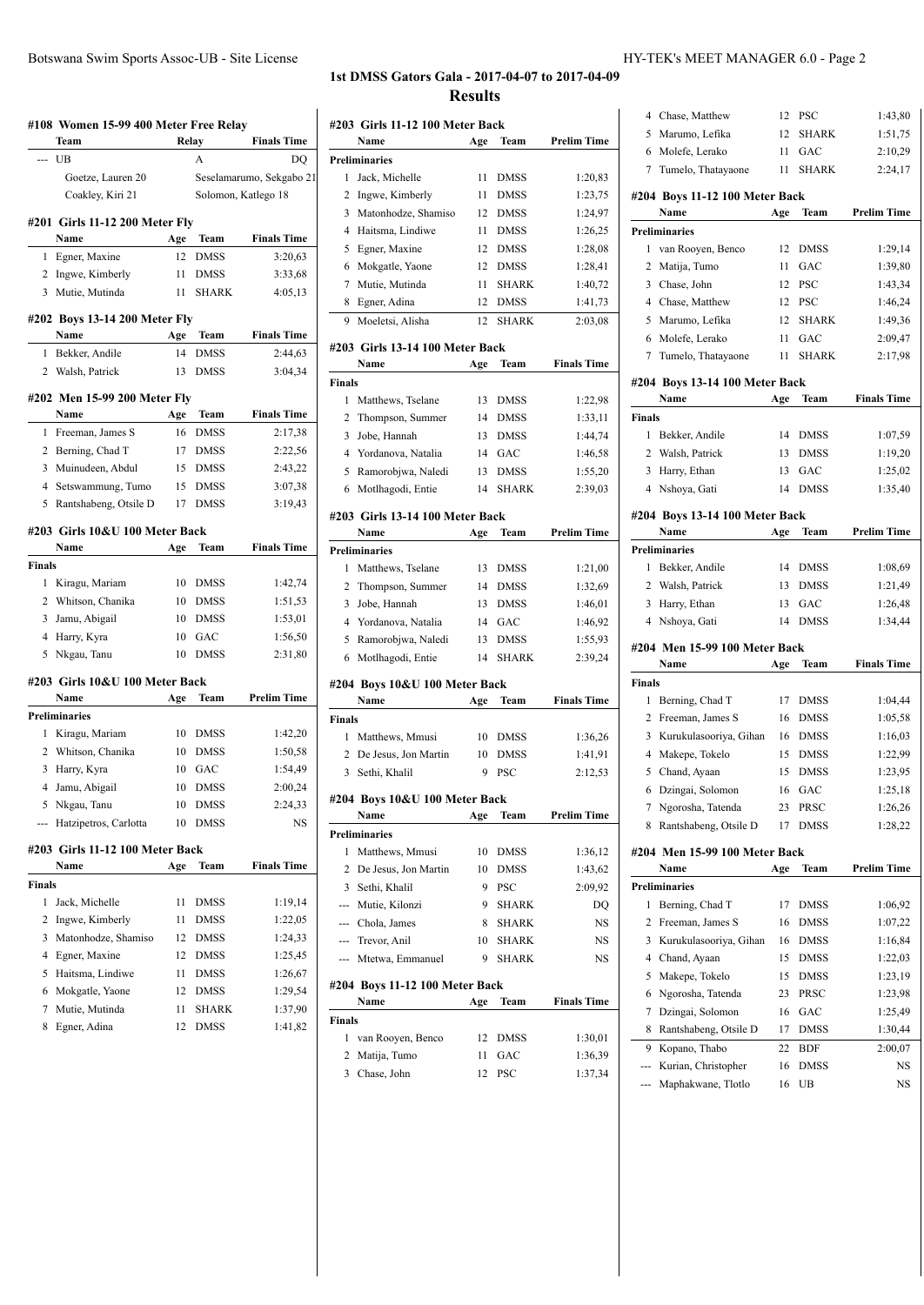### **#108 Women 15-99 400 Meter Free Relay Team Relay Finals Time** --- UB A DQ Goetze, Lauren 20 Seselamarumo, Sekgabo 21 Coakley, Kiri 21 Solomon, Katlego 18 **#201 Girls 11-12 200 Meter Fly Name Age Team Finals Time** 1 Egner, Maxine 12 DMSS 3:20,63 2 Ingwe, Kimberly 11 DMSS 3:33,68 3 Mutie, Mutinda 11 SHARK 4:05,13 **#202 Boys 13-14 200 Meter Fly Name Age Team Finals Time** 1 Bekker, Andile 14 DMSS 2:44,63 2 Walsh, Patrick 13 DMSS 3:04,34 **#202 Men 15-99 200 Meter Fly Name Age Team Finals Time** 1 Freeman, James S 16 DMSS 2:17,38 2 Berning, Chad T 17 DMSS 2:22,56 3 Muinudeen, Abdul 15 DMSS 2:43,22 4 Setswammung, Tumo 15 DMSS 3:07,38 5 Rantshabeng, Otsile D 17 DMSS 3:19,43 **#203 Girls 10&U 100 Meter Back Name Age Team Finals Time Finals** 1 Kiragu, Mariam 10 DMSS 1:42,74 2 Whitson, Chanika 10 DMSS 1:51,53 3 Jamu, Abigail 10 DMSS 1:53,01 4 Harry, Kyra 10 GAC 1:56,50 5 Nkgau, Tanu 10 DMSS 2:31,80 **#203 Girls 10&U 100 Meter Back Name Age Team Prelim Time Preliminaries** 1 Kiragu, Mariam 10 DMSS 1:42,20 2 Whitson, Chanika 10 DMSS 1:50,58 3 Harry, Kyra 10 GAC 1:54,49 4 Jamu, Abigail 10 DMSS 2:00,24 5 Nkgau, Tanu 10 DMSS 2:24,33 --- Hatzipetros, Carlotta 10 DMSS NS **#203 Girls 11-12 100 Meter Back Name Age Team Finals Time Finals** 1 Jack, Michelle 11 DMSS 1:19,14 2 Ingwe, Kimberly 11 DMSS 1:22,05 3 Matonhodze, Shamiso 12 DMSS 1:24,33 4 Egner, Maxine 12 DMSS 1:25,45 5 Haitsma, Lindiwe 11 DMSS 1:26,67 6 Mokgatle, Yaone 12 DMSS 1:29,54 7 Mutie, Mutinda 11 SHARK 1:37,90 8 Egner, Adina 12 DMSS 1:41,82

### **1st DMSS Gators Gala - 2017-04-07 to 2017-04-09 Results**

|        | #203 Girls 11-12 100 Meter Back  |     |              |                    |
|--------|----------------------------------|-----|--------------|--------------------|
|        | Name                             | Age | Team         | <b>Prelim Time</b> |
|        | <b>Preliminaries</b>             |     |              |                    |
| 1      | Jack, Michelle                   | 11  | DMSS         | 1:20,83            |
| 2      | Ingwe, Kimberly                  | 11  | <b>DMSS</b>  | 1:23,75            |
| 3      | Matonhodze, Shamiso              | 12  | <b>DMSS</b>  | 1:24,97            |
|        | 4 Haitsma, Lindiwe               | 11  | <b>DMSS</b>  | 1:26,25            |
| 5      | Egner, Maxine                    | 12  | <b>DMSS</b>  | 1:28,08            |
| 6      | Mokgatle, Yaone                  | 12  | <b>DMSS</b>  | 1:28,41            |
| 7      | Mutie, Mutinda                   | 11  | <b>SHARK</b> | 1:40,72            |
| 8      | Egner, Adina                     | 12  | DMSS         | 1:41,73            |
| 9      | Moeletsi, Alisha                 | 12  | <b>SHARK</b> | 2:03.08            |
|        |                                  |     |              |                    |
|        | #203  Girls 13-14 100 Meter Back |     |              |                    |
|        | Name                             | Age | Team         | <b>Finals Time</b> |
| Finals |                                  |     |              |                    |
| 1      | Matthews, Tselane                | 13  | <b>DMSS</b>  | 1:22,98            |
| 2      | Thompson, Summer                 | 14  | <b>DMSS</b>  | 1:33,11            |
| 3      | Jobe, Hannah                     | 13  | <b>DMSS</b>  | 1:44,74            |
|        | 4 Yordanova, Natalia             | 14  | GAC          | 1:46,58            |
| 5      | Ramorobjwa, Naledi               | 13  | <b>DMSS</b>  | 1:55,20            |
| 6      | Motlhagodi, Entie                | 14  | <b>SHARK</b> | 2:39,03            |
|        | #203 Girls 13-14 100 Meter Back  |     |              |                    |
|        | Name                             | Age | Team         | <b>Prelim Time</b> |
|        | <b>Preliminaries</b>             |     |              |                    |
| 1      | Matthews, Tselane                | 13  | <b>DMSS</b>  | 1:21,00            |
| 2      | Thompson, Summer                 | 14  | <b>DMSS</b>  | 1:32,69            |
| 3      | Jobe, Hannah                     | 13  | <b>DMSS</b>  | 1:46,01            |
|        | 4 Yordanova, Natalia             | 14  | GAC          | 1:46,92            |
| 5      | Ramorobjwa, Naledi               | 13  | <b>DMSS</b>  | 1:55,93            |
| 6      | Motlhagodi, Entie                | 14  | <b>SHARK</b> | 2:39,24            |
|        |                                  |     |              |                    |
|        | #204 Boys 10&U 100 Meter Back    |     |              |                    |
|        | Name                             | Age | Team         | <b>Finals Time</b> |
| Finals |                                  |     |              |                    |
| 1      | Matthews, Mmusi                  | 10  | <b>DMSS</b>  | 1:36,26            |
|        | 2 De Jesus, Jon Martin           | 10  | <b>DMSS</b>  | 1:41,91            |
| 3      | Sethi, Khalil                    | 9   | PSC          | 2:12,53            |
|        | #204 Boys 10&U 100 Meter Back    |     |              |                    |
|        | Name                             |     | Age Team     | <b>Prelim Time</b> |
|        | Preliminaries                    |     |              |                    |
| 1      | Matthews, Mmusi                  | 10  | <b>DMSS</b>  | 1:36,12            |
|        | 2 De Jesus, Jon Martin           | 10  | DMSS         | 1:43,62            |
|        | 3 Sethi, Khalil                  | 9   | <b>PSC</b>   | 2:09,92            |
|        | --- Mutie, Kilonzi               | 9   | <b>SHARK</b> | DQ                 |
|        | --- Chola, James                 | 8   | SHARK        | NS                 |
|        |                                  | 10  | <b>SHARK</b> |                    |
|        | --- Trevor, Anil                 | 9   | <b>SHARK</b> | NS                 |
|        | --- Mtetwa, Emmanuel             |     |              | NS                 |
|        | #204 Boys 11-12 100 Meter Back   |     |              |                    |
|        | Name                             | Age | Team         | <b>Finals Time</b> |
| Finals |                                  |     |              |                    |
| 1      | van Rooyen, Benco                | 12  | DMSS         | 1:30,01            |
|        | 2 Matija, Tumo                   | 11  | GAC          | 1:36,39            |

3 Chase, John 12 PSC 1:37,34

| 4              | Chase, Matthew                          | 12       | PSC                        | 1:43,80            |
|----------------|-----------------------------------------|----------|----------------------------|--------------------|
| 5              | Marumo, Lefika                          | 12       | <b>SHARK</b>               | 1:51,75            |
| 6              | Molefe, Lerako                          | 11       | GAC                        | 2:10,29            |
| 7              | Tumelo, Thatayaone                      | 11       | <b>SHARK</b>               | 2:24,17            |
|                | #204 Boys 11-12 100 Meter Back          |          |                            |                    |
|                | Name                                    | Age      | Team                       | Prelim Time        |
|                | <b>Preliminaries</b>                    |          |                            |                    |
| 1              | van Rooyen, Benco                       | 12       | <b>DMSS</b>                | 1:29,14            |
| 2              | Matija, Tumo                            | 11       | GAC                        | 1:39,80            |
| 3              | Chase, John                             | 12       | PSC                        | 1:43,34            |
|                | 4 Chase, Matthew                        | 12       | <b>PSC</b>                 | 1:46,24            |
| 5              | Marumo, Lefika                          | 12       | <b>SHARK</b>               | 1:49,36            |
| 6              | Molefe, Lerako                          | 11       | GAC                        | 2:09,47            |
| 7              | Tumelo, Thatayaone                      | 11       | <b>SHARK</b>               | 2:17,98            |
|                | #204 Boys 13-14 100 Meter Back          |          |                            |                    |
|                | Name                                    | Age      | Team                       | <b>Finals Time</b> |
| <b>Finals</b>  |                                         |          |                            |                    |
| 1              | Bekker, Andile                          | 14       | <b>DMSS</b>                | 1:07,59            |
| 2              | Walsh, Patrick                          | 13       | <b>DMSS</b>                | 1:19,20            |
| 3              | Harry, Ethan                            | 13       | GAC                        | 1:25,02            |
| $\overline{4}$ | Nshoya, Gati                            | 14       | <b>DMSS</b>                | 1:35,40            |
|                | #204 Boys 13-14 100 Meter Back          |          |                            |                    |
|                | Name                                    | Age      | Team                       | <b>Prelim Time</b> |
|                | Preliminaries                           |          |                            |                    |
| 1              | Bekker, Andile                          | 14       | <b>DMSS</b>                | 1:08,69            |
| $\overline{c}$ | Walsh, Patrick                          | 13       | <b>DMSS</b>                | 1:21,49            |
| 3              | Harry, Ethan                            | 13       | GAC                        | 1:26,48            |
|                |                                         |          |                            |                    |
|                | 4 Nshoya, Gati                          | 14       | <b>DMSS</b>                | 1:34,44            |
|                |                                         |          |                            |                    |
|                | #204 Men 15-99 100 Meter Back           |          |                            |                    |
|                | Name                                    | Age      | Team                       | <b>Finals Time</b> |
| Finals         |                                         |          |                            |                    |
| 1              | Berning, Chad T                         | 17       | <b>DMSS</b>                | 1:04,44            |
| 2<br>3         | Freeman, James S                        | 16       | <b>DMSS</b>                | 1:05,58            |
| 4              | Kurukulasooriya, Gihan                  | 16<br>15 | <b>DMSS</b><br><b>DMSS</b> | 1:16,03            |
| 5              | Makepe, Tokelo<br>Chand, Ayaan          | 15       | <b>DMSS</b>                | 1:22,99<br>1:23,95 |
|                |                                         | 16       | GAC                        |                    |
| 7              | 6 Dzingai, Solomon<br>Ngorosha, Tatenda | 23       | PRSC                       | 1:25,18<br>1:26,26 |
| 8              | Rantshabeng, Otsile D                   | 17       | <b>DMSS</b>                | 1:28,22            |
|                |                                         |          |                            |                    |
|                | #204 Men 15-99 100 Meter Back           |          |                            |                    |
|                | Name                                    | Age      | Team                       | Prelim Time        |
|                | <b>Preliminaries</b>                    |          |                            |                    |
| 1              | Berning, Chad T                         | 17       | DMSS                       | 1:06,92            |
| 2              | Freeman, James S                        | 16       | DMSS                       | 1:07,22            |
| 3<br>4         | Kurukulasooriya, Gihan<br>Chand, Ayaan  | 16<br>15 | DMSS<br>DMSS               | 1:16,84            |
| 5              |                                         | 15       | <b>DMSS</b>                | 1:22,03            |
| 6              | Makepe, Tokelo                          | 23       | PRSC                       | 1:23,19            |
| 7              | Ngorosha, Tatenda<br>Dzingai, Solomon   | 16       | GAC                        | 1:23,98<br>1:25,49 |
| 8              | Rantshabeng, Otsile D                   | 17       | <b>DMSS</b>                | 1:30,44            |
| 9              | Kopano, Thabo                           | 22       | <b>BDF</b>                 | 2:00,07            |
|                | Kurian, Christopher                     | 16       | DMSS                       | NS                 |
| ---            | Maphakwane, Tlotlo                      | 16       | UB                         | NS                 |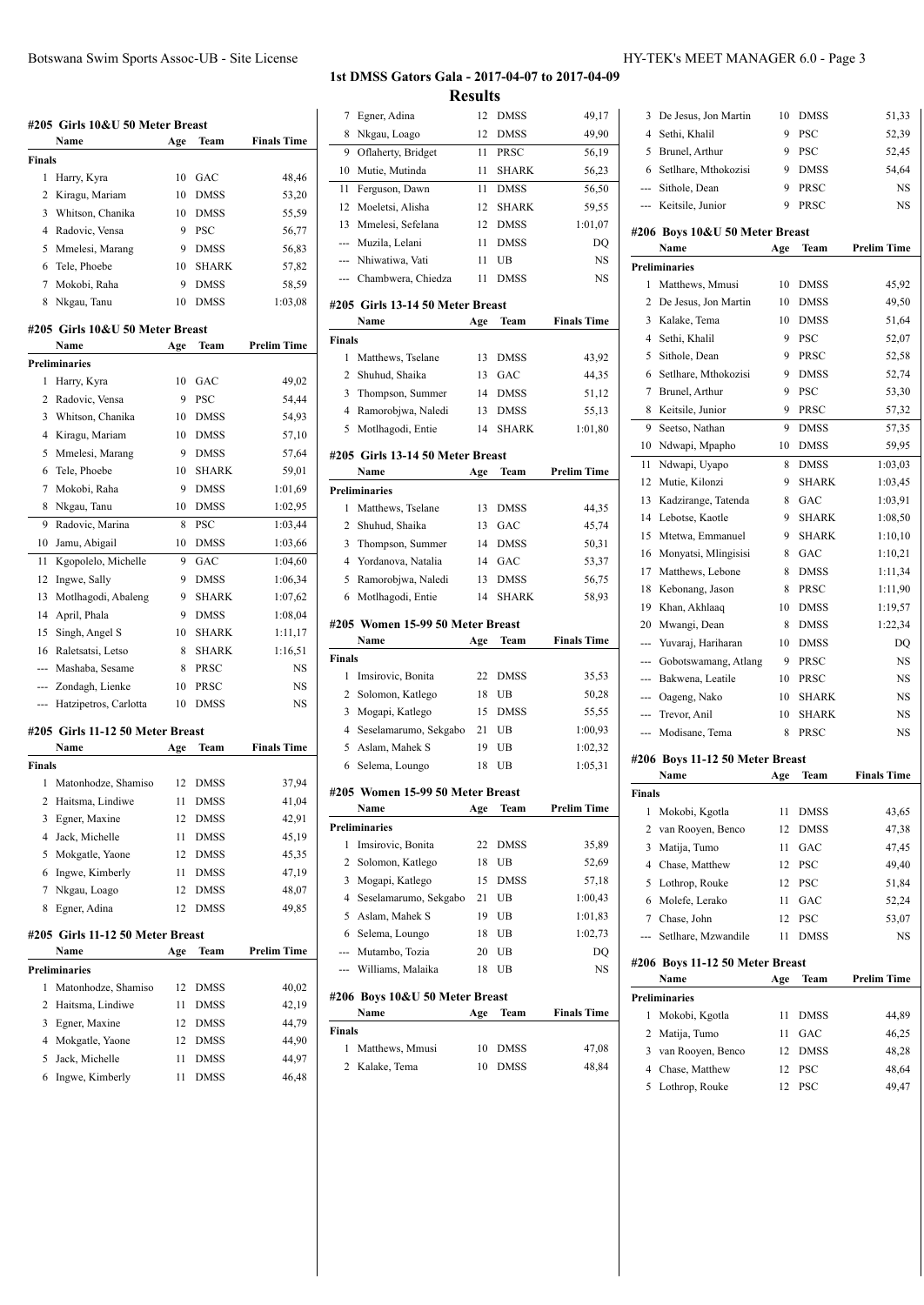### **#205 Girls 10&U 50 Meter Breast Name Age Team Finals Time Finals** 1 Harry, Kyra 10 GAC 48,46 2 Kiragu, Mariam 10 DMSS 53,20 3 Whitson, Chanika 10 DMSS 55,59 4 Radovic, Vensa 9 PSC 56,77 5 Mmelesi, Marang 9 DMSS 56,83 6 Tele, Phoebe 10 SHARK 57,82 7 Mokobi, Raha 9 DMSS 58,59 8 Nkgau, Tanu 10 DMSS 1:03,08 **#205 Girls 10&U 50 Meter Breast Name Age Team Prelim Time Preliminaries** 1 Harry, Kyra 10 GAC 49,02 2 Radovic, Vensa 9 PSC 54,44 3 Whitson, Chanika 10 DMSS 54,93 4 Kiragu, Mariam 10 DMSS 57,10 5 Mmelesi, Marang 9 DMSS 57,64 6 Tele, Phoebe 10 SHARK 59,01 7 Mokobi, Raha 9 DMSS 1:01,69 8 Nkgau, Tanu 10 DMSS 1:02,95 9 Radovic, Marina 8 PSC 1:03,44 10 Jamu, Abigail 10 DMSS 1:03,66 11 Kgopolelo, Michelle 9 GAC 1:04,60 12 Ingwe, Sally 9 DMSS 1:06,34 13 Motlhagodi, Abaleng 9 SHARK 1:07,62 14 April, Phala 9 DMSS 1:08,04 15 Singh, Angel S 10 SHARK 1:11,17 16 Raletsatsi, Letso 8 SHARK 1:16,51 --- Mashaba, Sesame 8 PRSC NS --- Zondagh, Lienke 10 PRSC NS --- Hatzipetros, Carlotta 10 DMSS NS **#205 Girls 11-12 50 Meter Breast Name Age Team Finals Time Finals** 1 Matonhodze, Shamiso 12 DMSS 37,94 2 Haitsma, Lindiwe 11 DMSS 41,04 3 Egner, Maxine 12 DMSS 42,91 4 Jack, Michelle 11 DMSS 45,19 5 Mokgatle, Yaone 12 DMSS 45,35 6 Ingwe, Kimberly 11 DMSS 47,19 7 Nkgau, Loago 12 DMSS 48,07 8 Egner, Adina 12 DMSS 49,85 **#205 Girls 11-12 50 Meter Breast Name Age Team Prelim Time** Prelimin

|    | reliminaries        |                 |             |       |
|----|---------------------|-----------------|-------------|-------|
| 1  | Matonhodze, Shamiso |                 | 12 DMSS     | 40,02 |
|    | 2 Haitsma, Lindiwe  | 11              | <b>DMSS</b> | 42.19 |
| 3  | Egner, Maxine       | 12 <sup>1</sup> | <b>DMSS</b> | 44,79 |
|    | 4 Mokgatle, Yaone   | 12.             | <b>DMSS</b> | 44.90 |
| 5. | Jack, Michelle      | 11              | <b>DMSS</b> | 44.97 |
|    | 6 Ingwe, Kimberly   | 11              | DMSS        | 46.48 |
|    |                     |                 |             |       |

#### **1st DMSS Gators Gala - 2017-04-07 to 2017-04-09 Results**

|                | #206 Boys 10&U 50 Meter Breast           |          |              |                    |
|----------------|------------------------------------------|----------|--------------|--------------------|
|                | Williams, Malaika                        | 18       | UB           | NS                 |
| ---            | Mutambo, Tozia                           | 20       | UB           | DQ                 |
| 6              | Selema, Loungo                           | 18       | UB           | 1:02,73            |
| 5              | Aslam, Mahek S                           | 19       | UB           | 1:01,83            |
|                | Seselamarumo, Sekgabo                    |          | UB           | 1:00,43            |
| 4              |                                          | 15<br>21 | <b>DMSS</b>  | 57,18              |
| 3              | Solomon, Katlego<br>Mogapi, Katlego      |          | UB           | 52,69              |
| 2              | Imsirovic, Bonita                        | 18       | DMSS         | 35,89              |
| 1              | <b>Preliminaries</b>                     | 22       |              |                    |
|                | Name                                     | Age      | Team         | Prelim Time        |
|                | #205 Women 15-99 50 Meter Breast         |          |              |                    |
| 6              | Selema, Loungo                           | 18       | UB           | 1:05,31            |
| 5              | Aslam, Mahek S                           | 19       | UB           | 1:02,32            |
| $\overline{4}$ | Seselamarumo, Sekgabo                    | 21       | UB           | 1:00,93            |
|                | Mogapi, Katlego                          | 15       | <b>DMSS</b>  | 55,55              |
| 2<br>3         | Solomon, Katlego                         | 18       | UB           | 50,28              |
| 1              | Imsirovic, Bonita                        | 22       | <b>DMSS</b>  | 35,53              |
| <b>Finals</b>  |                                          |          |              |                    |
|                | Name                                     | Age      | Team         | <b>Finals Time</b> |
|                | #205 Women 15-99 50 Meter Breast         |          |              |                    |
|                |                                          |          |              |                    |
| 6              | Motlhagodi, Entie                        | 14       | <b>SHARK</b> | 58,93              |
| 5              | Ramorobjwa, Naledi                       | 13       | <b>DMSS</b>  | 56,75              |
| 4              | Yordanova, Natalia                       | 14       | GAC          | 53,37              |
| 3              | Thompson, Summer                         | 14       | <b>DMSS</b>  | 50,31              |
| 2              | Shuhud, Shaika                           | 13       | GAC          | 45,74              |
| 1              | Matthews, Tselane                        | 13       | <b>DMSS</b>  | 44,35              |
|                | <b>Preliminaries</b>                     |          |              |                    |
|                | Name                                     | Age      | Team         | <b>Prelim Time</b> |
|                | #205 Girls 13-14 50 Meter Breast         |          |              |                    |
| 5              | Motlhagodi, Entie                        | 14       | <b>SHARK</b> | 1:01.80            |
| 4              | Ramorobjwa, Naledi                       | 13       | <b>DMSS</b>  | 55,13              |
| 3              | Thompson, Summer                         | 14       | <b>DMSS</b>  | 51,12              |
| 2              | Shuhud, Shaika                           | 13       | GAC          | 44,35              |
| 1              | Matthews, Tselane                        | 13       | <b>DMSS</b>  | 43,92              |
| Finals         |                                          |          |              |                    |
|                | #205 Girls 13-14 50 Meter Breast<br>Name | Age      | Team         | <b>Finals Time</b> |
|                |                                          |          |              |                    |
| ---            | Chambwera, Chiedza                       | 11       | <b>DMSS</b>  | <b>NS</b>          |
| ---            | Nhiwatiwa, Vati                          | 11       | UB           | NS                 |
| ---            | Muzila, Lelani                           | 11       | <b>DMSS</b>  | DQ                 |
| 13             | Mmelesi, Sefelana                        | 12       | <b>DMSS</b>  | 1:01,07            |
| 12             | Moeletsi, Alisha                         | 12       | SHARK        | 59,55              |
| 11             | Ferguson, Dawn                           | 11       | <b>DMSS</b>  | 56,50              |
| 10             | Mutie, Mutinda                           | 11       | <b>SHARK</b> | 56,23              |
| 9              | Oflaherty, Bridget                       | 11       | PRSC         | 56,19              |
| 8              | Nkgau, Loago                             | 12       | <b>DMSS</b>  | 49,90              |
| 7              | Egner, Adina                             | 12       | DMSS         | 49,17              |

| Name              | Age | Team    | <b>Finals Time</b> |
|-------------------|-----|---------|--------------------|
| Finals            |     |         |                    |
| 1 Matthews, Mmusi |     | 10 DMSS | 47.08              |
| 2 Kalake, Tema    |     | 10 DMSS | 48.84              |
|                   |     |         |                    |

| 3              | De Jesus, Jon Martin                    | 10  | DMSS         | 51,33              |
|----------------|-----------------------------------------|-----|--------------|--------------------|
| 4              | Sethi, Khalil                           | 9   | PSC          | 52,39              |
| 5              | Brunel, Arthur                          | 9   | <b>PSC</b>   | 52,45              |
| 6              | Setlhare, Mthokozisi                    | 9   | <b>DMSS</b>  | 54,64              |
| u.             | Sithole, Dean                           | 9   | PRSC         | NS                 |
|                | --- Keitsile, Junior                    | 9   | PRSC         | <b>NS</b>          |
|                | #206 Boys 10&U 50 Meter Breast          |     |              |                    |
|                | Name                                    | Age | Team         | <b>Prelim Time</b> |
|                | <b>Preliminaries</b>                    |     |              |                    |
| 1              | Matthews, Mmusi                         | 10  | <b>DMSS</b>  | 45,92              |
| $\overline{c}$ | De Jesus, Jon Martin                    | 10  | <b>DMSS</b>  | 49,50              |
| 3              | Kalake, Tema                            | 10  | DMSS         | 51,64              |
| 4              | Sethi, Khalil                           | 9   | <b>PSC</b>   | 52,07              |
| 5              | Sithole, Dean                           | 9   | PRSC         | 52,58              |
| 6              | Setlhare, Mthokozisi                    | 9   | <b>DMSS</b>  | 52,74              |
| 7              | Brunel, Arthur                          | 9   | <b>PSC</b>   | 53,30              |
| 8              | Keitsile, Junior                        | 9   | PRSC         | 57,32              |
| 9              |                                         | 9   |              |                    |
|                | Seetso, Nathan                          |     | <b>DMSS</b>  | 57,35              |
| 10             | Ndwapi, Mpapho                          | 10  | <b>DMSS</b>  | 59,95              |
| 11             | Ndwapi, Uyapo                           | 8   | <b>DMSS</b>  | 1:03,03            |
| 12             | Mutie, Kilonzi                          | 9   | <b>SHARK</b> | 1:03,45            |
| 13             | Kadzirange, Tatenda                     | 8   | GAC          | 1:03.91            |
| 14             | Lebotse, Kaotle                         | 9   | <b>SHARK</b> | 1:08,50            |
| 15             | Mtetwa, Emmanuel                        | 9   | <b>SHARK</b> | 1:10,10            |
| 16             | Monyatsi, Mlingisisi                    | 8   | GAC          | 1:10,21            |
| 17             | Matthews, Lebone                        | 8   | <b>DMSS</b>  | 1:11,34            |
| 18             | Kebonang, Jason                         | 8   | PRSC         | 1:11,90            |
| 19             | Khan, Akhlaaq                           | 10  | DMSS         | 1:19,57            |
| 20             | Mwangi, Dean                            | 8   | <b>DMSS</b>  | 1:22,34            |
| ---            | Yuvaraj, Hariharan                      | 10  | <b>DMSS</b>  | DO                 |
|                | Gobotswamang, Atlang                    | 9   | PRSC         | NS                 |
|                | Bakwena, Leatile                        | 10  | PRSC         | NS                 |
| ---            | Oageng, Nako                            | 10  | <b>SHARK</b> | NS                 |
| ---            | Trevor, Anil                            | 10  | <b>SHARK</b> | NS                 |
| ---            | Modisane, Tema                          | 8   | PRSC         | <b>NS</b>          |
|                |                                         |     |              |                    |
|                | #206 Boys 11-12 50 Meter Breast<br>Name |     | Team         | <b>Finals Time</b> |
|                |                                         | Age |              |                    |
| Finals         |                                         |     |              |                    |
| 1              | Mokobi, Kgotla                          | 11  | DMSS         | 43,65              |
| 2              | van Rooyen, Benco                       | 12  | <b>DMSS</b>  | 47,38              |
| 3              | Matija, Tumo                            | 11  | GAC          | 47,45              |
| 4              | Chase, Matthew                          | 12  | PSC          | 49,40              |
| 5              | Lothrop, Rouke                          | 12  | PSC          | 51,84              |
| 6              | Molefe, Lerako                          | 11  | GAC          | 52,24              |
| 7              | Chase, John                             | 12  | PSC          | 53,07              |
| ---            | Setlhare, Mzwandile                     | 11  | <b>DMSS</b>  | NS                 |
|                | #206 Boys 11-12 50 Meter Breast         |     |              |                    |
|                | Name                                    | Age | Team         | Prelim Time        |
|                | <b>Preliminaries</b>                    |     |              |                    |
| 1              | Mokobi, Kgotla                          | 11  | DMSS         | 44,89              |
|                |                                         |     |              |                    |

|   | reliminaries      |     |             |       |
|---|-------------------|-----|-------------|-------|
| L | Mokobi, Kgotla    | 11  | <b>DMSS</b> | 44.89 |
|   | 2 Matija, Tumo    | 11  | <b>GAC</b>  | 46,25 |
|   | van Rooyen, Benco |     | 12 DMSS     | 48,28 |
|   | 4 Chase, Matthew  |     | 12 PSC      | 48,64 |
|   | 5 Lothrop, Rouke  | 12. | - PSC       | 49.47 |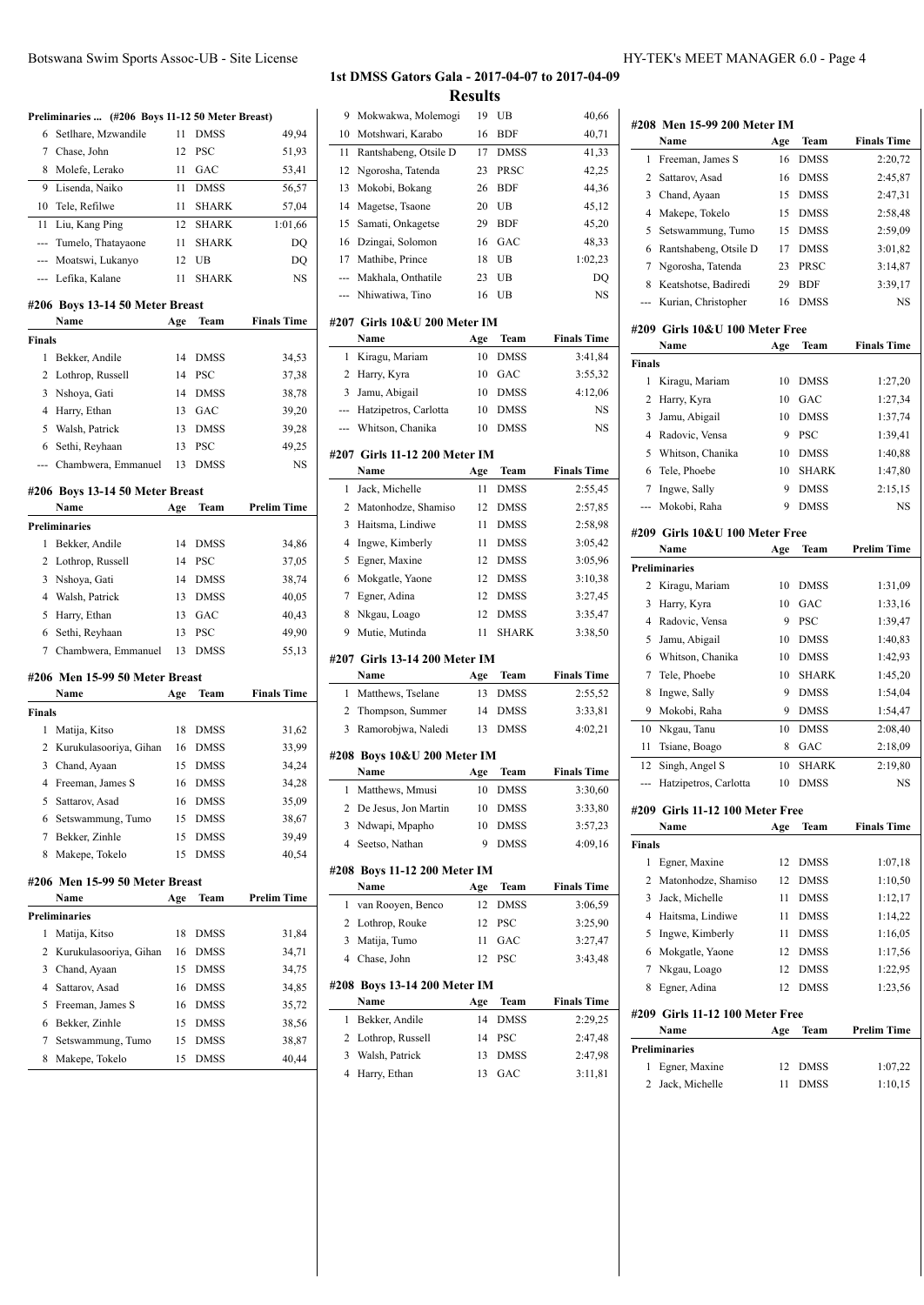|                | Preliminaries  (#206 Boys 11-12 50 Meter Breast) |          |                    |                    |
|----------------|--------------------------------------------------|----------|--------------------|--------------------|
| 6              | Setlhare, Mzwandile                              | 11       | <b>DMSS</b>        | 49,94              |
| 7              | Chase, John                                      | 12       | PSC                | 51,93              |
| 8              | Molefe, Lerako                                   | 11       | GAC                | 53,41              |
| 9              | Lisenda, Naiko                                   | 11       | <b>DMSS</b>        | 56,57              |
| 10             | Tele, Refilwe                                    | 11       | <b>SHARK</b>       | 57,04              |
|                |                                                  | 12       | <b>SHARK</b>       |                    |
| 11             | Liu, Kang Ping                                   |          |                    | 1:01,66            |
| ---            | Tumelo, Thatayaone                               | 11       | <b>SHARK</b>       | DQ                 |
|                | --- Moatswi, Lukanyo<br>--- Lefika, Kalane       | 12<br>11 | UB<br><b>SHARK</b> | DO<br>NS           |
|                |                                                  |          |                    |                    |
|                | #206 Boys 13-14 50 Meter Breast<br>Name          | Age      | Team               | <b>Finals Time</b> |
| Finals         |                                                  |          |                    |                    |
| 1              | Bekker, Andile                                   | 14       | <b>DMSS</b>        | 34,53              |
| $\overline{c}$ | Lothrop, Russell                                 | 14       | PSC                | 37,38              |
| 3              | Nshoya, Gati                                     | 14       | <b>DMSS</b>        | 38,78              |
| 4              | Harry, Ethan                                     | 13       | GAC                | 39,20              |
| 5              | Walsh, Patrick                                   | 13       | <b>DMSS</b>        | 39,28              |
| 6              | Sethi, Reyhaan                                   | 13       | PSC                | 49,25              |
| ---            | Chambwera, Emmanuel                              | 13       | <b>DMSS</b>        | NS                 |
|                |                                                  |          |                    |                    |
|                | #206 Boys 13-14 50 Meter Breast<br>Name          |          | Team               | <b>Prelim Time</b> |
|                | <b>Preliminaries</b>                             | Age      |                    |                    |
| 1              | Bekker, Andile                                   | 14       | <b>DMSS</b>        | 34,86              |
| 2              | Lothrop, Russell                                 | 14       | PSC                | 37,05              |
| 3              | Nshoya, Gati                                     | 14       | <b>DMSS</b>        | 38,74              |
| 4              | Walsh, Patrick                                   | 13       | <b>DMSS</b>        | 40,05              |
|                |                                                  | 13       | GAC                |                    |
| 5              | Harry, Ethan                                     |          | <b>PSC</b>         | 40,43              |
| 6<br>7         | Sethi, Reyhaan<br>Chambwera, Emmanuel            | 13<br>13 | <b>DMSS</b>        | 49,90<br>55,13     |
|                |                                                  |          |                    |                    |
|                | #206 Men 15-99 50 Meter Breast                   |          |                    |                    |
|                | Name                                             | Age      | Team               | <b>Finals Time</b> |
| Finals         |                                                  |          |                    |                    |
| 1              | Matija, Kitso                                    | 18       | <b>DMSS</b>        | 31,62              |
| 2              | Kurukulasooriya, Gihan                           | 16       | <b>DMSS</b>        | 33,99              |
| 3<br>4         | Chand, Ayaan                                     | 15       | <b>DMSS</b>        | 34,24              |
|                | Freeman, James S                                 | 16       | <b>DMSS</b>        | 34,28              |
| 5              | Sattarov, Asad                                   | 16       | DMSS               | 35,09              |
| 6              | Setswammung, Tumo                                | 15       | DMSS               | 38,67              |
| 7              | Bekker, Zinhle                                   | 15       | <b>DMSS</b>        | 39,49              |
| 8              | Makepe, Tokelo                                   | 15       | <b>DMSS</b>        | 40,54              |
|                | #206 Men 15-99 50 Meter Breast                   |          |                    |                    |
|                | Name                                             | Age      | Team               | <b>Prelim Time</b> |
|                | <b>Preliminaries</b>                             |          |                    |                    |
| 1              | Matija, Kitso                                    | 18       | DMSS               | 31,84              |
| 2              | Kurukulasooriya, Gihan                           | 16       | DMSS               | 34,71              |
| 3              | Chand, Ayaan                                     | 15       | DMSS               | 34,75              |
| 4              | Sattarov, Asad                                   | 16       | <b>DMSS</b>        | 34,85              |
| 5              | Freeman, James S                                 | 16       | <b>DMSS</b>        | 35,72              |
| 6              | Bekker, Zinhle                                   | 15       | DMSS               | 38,56              |
| 7              | Setswammung, Tumo                                | 15       | DMSS               | 38,87              |
| 8              | Makepe, Tokelo                                   | 15       | DMSS               | 40,44              |

| 10  | Motshwari, Karabo                    | 16        | BDF          | 40,71              |
|-----|--------------------------------------|-----------|--------------|--------------------|
| 11  | Rantshabeng, Otsile D                | 17        | DMSS         | 41,33              |
| 12  | Ngorosha, Tatenda                    | 23        | PRSC         | 42,25              |
| 13  | Mokobi, Bokang                       | 26        | BDF          | 44,36              |
| 14  | Magetse, Tsaone                      | 20        | UB           | 45,12              |
| 15  | Samati, Onkagetse                    | 29        | <b>BDF</b>   | 45,20              |
| 16  | Dzingai, Solomon                     | 16        | GAC          | 48,33              |
| 17  | Mathibe, Prince                      | 18        | UB           | 1:02,23            |
| --- | Makhala, Onthatile                   | 23        | UB           | DQ                 |
| --- | Nhiwatiwa, Tino                      | 16        | UB           | NS                 |
|     |                                      |           |              |                    |
|     | #207 Girls 10&U 200 Meter IM<br>Name |           | Team         | <b>Finals Time</b> |
|     |                                      | Age       |              |                    |
| 1   | Kiragu, Mariam                       | 10        | <b>DMSS</b>  | 3:41,84            |
| 2   | Harry, Kyra                          | 10        | GAC          | 3:55,32            |
| 3   | Jamu, Abigail                        | 10        | <b>DMSS</b>  | 4:12,06            |
| --- | Hatzipetros, Carlotta                | 10        | <b>DMSS</b>  | NS                 |
| --- | Whitson, Chanika                     | 10        | <b>DMSS</b>  | NS                 |
|     | #207 Girls 11-12 200 Meter IM        |           |              |                    |
|     | Name                                 | Age       | Team         | <b>Finals Time</b> |
| 1   | Jack, Michelle                       | 11        | <b>DMSS</b>  | 2:55,45            |
| 2   | Matonhodze, Shamiso                  | 12        | DMSS         | 2:57,85            |
| 3   | Haitsma, Lindiwe                     | 11        | <b>DMSS</b>  | 2:58,98            |
| 4   | Ingwe, Kimberly                      | 11        | <b>DMSS</b>  | 3:05.42            |
| 5   | Egner, Maxine                        | 12        | DMSS         | 3:05.96            |
| 6   | Mokgatle, Yaone                      | 12        | <b>DMSS</b>  | 3:10,38            |
| 7   | Egner, Adina                         | 12        | <b>DMSS</b>  | 3:27,45            |
| 8   | Nkgau, Loago                         | 12        | DMSS         | 3:35,47            |
| 9   | Mutie, Mutinda                       | 11        | <b>SHARK</b> | 3:38,50            |
|     | #207 Girls 13-14 200 Meter IM        |           |              |                    |
|     | Name                                 | Age       | Team         | <b>Finals Time</b> |
| 1   | Matthews, Tselane                    | 13        | DMSS         | 2:55,52            |
| 2   | Thompson, Summer                     | 14        | DMSS         | 3:33,81            |
| 3   | Ramorobjwa, Naledi                   | 13        | <b>DMSS</b>  | 4:02,21            |
|     |                                      |           |              |                    |
|     | #208 Boys 10&U 200 Meter IM<br>Name  |           | Team         | <b>Finals Time</b> |
| 1   | Matthews, Mmusi                      | Age<br>10 | DMSS         | 3:30,60            |
| 2   | De Jesus, Jon Martin                 | 10        | <b>DMSS</b>  | 3:33,80            |
| 3   | Ndwapi, Mpapho                       | 10        | DMSS         | 3:57,23            |
| 4   | Seetso, Nathan                       | 9         | <b>DMSS</b>  | 4:09,16            |
|     |                                      |           |              |                    |
|     | #208 Boys 11-12 200 Meter IM         |           |              |                    |
|     | Name                                 | Age       | Team         | <b>Finals Time</b> |
| 1   | van Rooyen, Benco                    | 12        | DMSS         | 3:06,59            |
| 2   | Lothrop, Rouke                       | 12        | PSC          | 3:25,90            |
| 3   | Matija, Tumo                         | 11        | GAC          | 3:27,47            |
| 4   | Chase, John                          | 12        | PSC          | 3:43,48            |
|     | #208 Boys 13-14 200 Meter IM         |           |              |                    |
|     | Name                                 | Age       | Team         | <b>Finals Time</b> |
| 1   | Bekker, Andile                       | 14        | DMSS         | 2:29.25            |
| 2   | Lothrop, Russell                     | 14        | PSC          | 2:47,48            |
| 3   | Walsh, Patrick                       | 13        | <b>DMSS</b>  | 2:47,98            |
| 4   | Harry, Ethan                         | 13        | GAC          | 3:11,81            |

| 9 Mokwakwa, Molemogi                   | 19  | UB           | 40,66              |               |                                         |     |              |  |
|----------------------------------------|-----|--------------|--------------------|---------------|-----------------------------------------|-----|--------------|--|
| 10 Motshwari, Karabo                   | 16  | <b>BDF</b>   | 40,71              |               | #208 Men 15-99 200 Meter IM<br>Name     | Age | Team         |  |
| 11 Rantshabeng, Otsile D               | 17  | <b>DMSS</b>  | 41,33              |               | 1 Freeman, James S                      | 16  | DMSS         |  |
| 12 Ngorosha, Tatenda                   | 23  | PRSC         | 42,25              | 2             | Sattarov, Asad                          | 16  | DMSS         |  |
| 13 Mokobi, Bokang                      | 26  | <b>BDF</b>   | 44,36              |               |                                         |     |              |  |
| 14 Magetse, Tsaone                     | 20  | UB           | 45,12              | 3             | Chand, Ayaan                            | 15  | <b>DMSS</b>  |  |
| 15 Samati, Onkagetse                   | 29  | <b>BDF</b>   | 45,20              | 4             | Makepe, Tokelo                          | 15  | DMSS         |  |
| 16 Dzingai, Solomon                    | 16  | GAC          | 48,33              | 5             | Setswammung, Tumo                       | 15  | <b>DMSS</b>  |  |
| 17 Mathibe, Prince                     | 18  | UB           | 1:02,23            | 6             | Rantshabeng, Otsile D                   | 17  | <b>DMSS</b>  |  |
| --- Makhala, Onthatile                 | 23  | UB           | DQ                 | 7             | Ngorosha, Tatenda                       | 23  | PRSC         |  |
| --- Nhiwatiwa, Tino                    | 16  | UB           | NS                 | 8             | Keatshotse, Badiredi                    | 29  | <b>BDF</b>   |  |
|                                        |     |              |                    |               | Kurian, Christopher                     | 16  | <b>DMSS</b>  |  |
| <b>207 Girls 10&amp;U 200 Meter IM</b> |     |              |                    |               | #209 Girls 10&U 100 Meter Free          |     |              |  |
| Name                                   | Age | Team         | <b>Finals Time</b> |               | Name                                    | Age | Team         |  |
| 1 Kiragu, Mariam                       | 10  | <b>DMSS</b>  | 3:41,84            | <b>Finals</b> |                                         |     |              |  |
| 2 Harry, Kyra                          | 10  | GAC          | 3:55,32            |               | 1 Kiragu, Mariam                        | 10  | <b>DMSS</b>  |  |
| 3 Jamu, Abigail                        | 10  | DMSS         | 4:12,06            |               | 2 Harry, Kyra                           | 10  | GAC          |  |
| --- Hatzipetros, Carlotta              | 10  | <b>DMSS</b>  | NS                 | 3             | Jamu, Abigail                           | 10  | <b>DMSS</b>  |  |
| --- Whitson, Chanika                   |     | 10 DMSS      | NS                 | 4             | Radovic, Vensa                          | 9   | <b>PSC</b>   |  |
| 207  Girls 11-12 200 Meter IM          |     |              |                    | 5             | Whitson, Chanika                        | 10  | DMSS         |  |
| Name                                   | Age | Team         | <b>Finals Time</b> | 6             | Tele, Phoebe                            | 10  | <b>SHARK</b> |  |
| 1 Jack, Michelle                       | 11  | DMSS         | 2:55,45            | 7             | Ingwe, Sally                            | 9   | <b>DMSS</b>  |  |
| 2 Matonhodze, Shamiso                  |     | 12 DMSS      | 2:57,85            |               | Mokobi, Raha                            | 9   | <b>DMSS</b>  |  |
| 3 Haitsma, Lindiwe                     | 11  | <b>DMSS</b>  | 2:58,98            |               |                                         |     |              |  |
|                                        | 11  | <b>DMSS</b>  |                    |               | #209 Girls 10&U 100 Meter Free          |     |              |  |
| 4 Ingwe, Kimberly<br>Egner, Maxine     |     | 12 DMSS      | 3:05,42<br>3:05,96 |               | Name                                    | Age | Team         |  |
|                                        |     | 12 DMSS      |                    |               | <b>Preliminaries</b>                    |     |              |  |
| 6 Mokgatle, Yaone                      |     |              | 3:10,38            |               | 2 Kiragu, Mariam                        | 10  | <b>DMSS</b>  |  |
| 7 Egner, Adina                         | 12  | DMSS         | 3:27,45            | 3             | Harry, Kyra                             | 10  | GAC          |  |
| 8 Nkgau, Loago                         | 12  | <b>DMSS</b>  | 3:35,47            | 4             | Radovic, Vensa                          | 9   | <b>PSC</b>   |  |
| 9 Mutie, Mutinda                       | 11  | <b>SHARK</b> | 3:38,50            | 5             | Jamu, Abigail                           | 10  | <b>DMSS</b>  |  |
| 207 Girls 13-14 200 Meter IM           |     |              |                    | 6             | Whitson, Chanika                        | 10  | <b>DMSS</b>  |  |
| Name                                   | Age | Team         | <b>Finals Time</b> | 7             | Tele, Phoebe                            | 10  | <b>SHARK</b> |  |
| 1 Matthews, Tselane                    | 13  | <b>DMSS</b>  | 2:55,52            | 8             | Ingwe, Sally                            | 9   | <b>DMSS</b>  |  |
| 2 Thompson, Summer                     | 14  | <b>DMSS</b>  | 3:33,81            | 9             | Mokobi, Raha                            | 9   | <b>DMSS</b>  |  |
| 3 Ramorobjwa, Naledi                   |     | 13 DMSS      | 4:02,21            | 10            | Nkgau, Tanu                             | 10  | <b>DMSS</b>  |  |
|                                        |     |              |                    | 11            | Tsiane, Boago                           | 8   | GAC          |  |
| 208 Boys 10&U 200 Meter IM<br>Name     | Age | Team         | <b>Finals Time</b> | 12            | Singh, Angel S                          | 10  | <b>SHARK</b> |  |
| 1 Matthews, Mmusi                      | 10  | <b>DMSS</b>  | 3:30,60            |               | --- Hatzipetros, Carlotta               | 10  | DMSS         |  |
| 2 De Jesus, Jon Martin                 |     | 10 DMSS      | 3:33,80            |               |                                         |     |              |  |
| 3 Ndwapi, Mpapho                       | 10  | <b>DMSS</b>  | 3:57,23            |               | #209 Girls 11-12 100 Meter Free<br>Name | Age | Team         |  |
| 4 Seetso, Nathan                       | 9   | <b>DMSS</b>  | 4:09,16            | <b>Finals</b> |                                         |     |              |  |
|                                        |     |              |                    |               | 1 Egner, Maxine                         |     | 12 DMSS      |  |
| <b>208 Boys 11-12 200 Meter IM</b>     |     |              |                    | 2             | Matonhodze, Shamiso                     | 12  | <b>DMSS</b>  |  |
| Name                                   | Age | Team         | <b>Finals Time</b> | 3             | Jack, Michelle                          | 11  | <b>DMSS</b>  |  |
| 1 van Rooyen, Benco                    | 12  | <b>DMSS</b>  | 3:06,59            | 4             | Haitsma, Lindiwe                        | 11  | DMSS         |  |
| 2 Lothrop, Rouke                       |     | 12 PSC       | 3:25,90            |               |                                         |     |              |  |
| 3 Matija, Tumo                         | 11  | GAC          | 3:27,47            | 5             | Ingwe, Kimberly                         | 11  | <b>DMSS</b>  |  |
| 4 Chase, John                          |     | 12 PSC       | 3:43,48            | 6             | Mokgatle, Yaone                         | 12  | DMSS         |  |
|                                        |     |              |                    | 7             | Nkgau, Loago                            |     | 12 DMSS      |  |
| 208 Boys 13-14 200 Meter IM<br>Name    | Age | Team         | <b>Finals Time</b> |               | 8 Egner, Adina                          |     | 12 DMSS      |  |
| 1 Bekker, Andile                       | 14  | <b>DMSS</b>  | 2:29,25            |               | #209 Girls 11-12 100 Meter Free         |     |              |  |
| 2 Lothrop, Russell                     | 14  | <b>PSC</b>   | 2:47,48            |               | Name                                    | Age | Team         |  |
| 3 Walsh, Patrick                       | 13  | <b>DMSS</b>  | 2:47,98            |               | <b>Preliminaries</b>                    |     |              |  |
|                                        |     |              |                    |               | 1 Egner, Maxine                         | 12  | DMSS         |  |
| 4 Harry, Ethan                         | 13  | GAC          | 3:11,81            |               | 2 Jack, Michelle                        | 11  | DMSS         |  |
|                                        |     |              |                    |               |                                         |     |              |  |
|                                        |     |              |                    |               |                                         |     |              |  |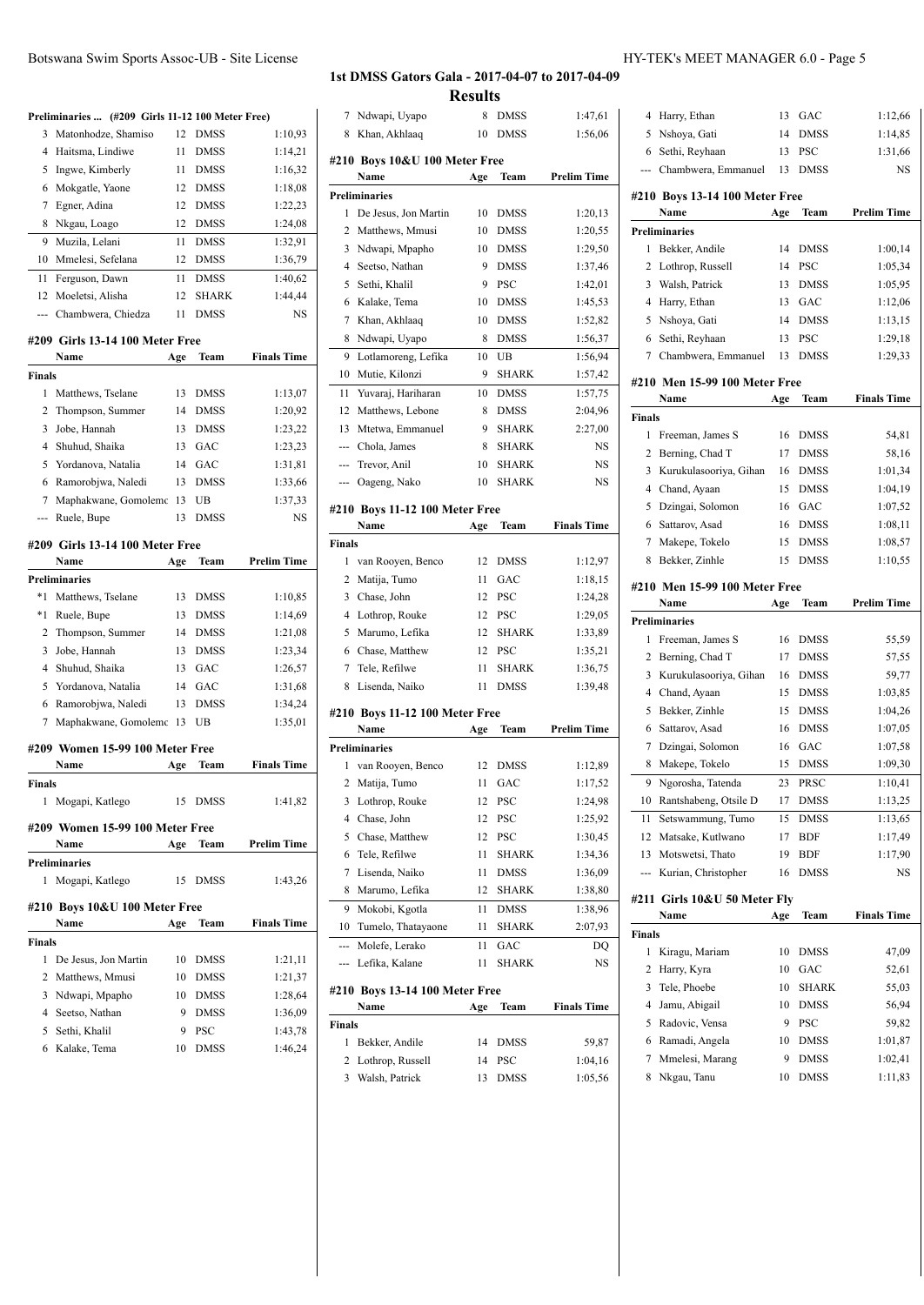| Botswana Swim Sports Assoc-UB - Site License |                                                  |    |             |         |  |
|----------------------------------------------|--------------------------------------------------|----|-------------|---------|--|
|                                              |                                                  |    |             |         |  |
|                                              | Preliminaries  (#209 Girls 11-12 100 Meter Free) |    |             |         |  |
| 3.                                           | Matonhodze, Shamiso                              | 12 | <b>DMSS</b> | 1:10,93 |  |
|                                              | 4 Haitsma, Lindiwe                               | 11 | <b>DMSS</b> | 1:14,21 |  |
|                                              | 5 Ingwe, Kimberly                                | 11 | <b>DMSS</b> | 1:16,32 |  |
|                                              | 6 Mokgatle, Yaone                                |    | 12 DMSS     | 1:18,08 |  |
|                                              | Egner, Adina                                     | 12 | <b>DMSS</b> | 1:22,23 |  |
| 8                                            | Nkgau, Loago                                     | 12 | <b>DMSS</b> | 1:24.08 |  |

| 10            | Mmelesi, Sefelana               | 12  | <b>DMSS</b>  | 1:36,79            |
|---------------|---------------------------------|-----|--------------|--------------------|
| 11            | Ferguson, Dawn                  | 11  | <b>DMSS</b>  | 1:40,62            |
| 12            | Moeletsi, Alisha                | 12  | <b>SHARK</b> | 1:44,44            |
|               | Chambwera, Chiedza              | 11  | <b>DMSS</b>  | <b>NS</b>          |
|               | #209 Girls 13-14 100 Meter Free |     |              |                    |
|               | Name                            | Age | <b>Team</b>  | <b>Finals Time</b> |
| <b>Finals</b> |                                 |     |              |                    |
| 1             | Matthews, Tselane               | 13  | <b>DMSS</b>  | 1:13,07            |
| 2             | Thompson, Summer                | 14  | <b>DMSS</b>  | 1:20,92            |
| 3             | Jobe, Hannah                    | 13  | <b>DMSS</b>  | 1:23,22            |
| 4             | Shuhud, Shaika                  | 13  | GAC          | 1:23,23            |
| 5             | Yordanova, Natalia              | 14  | GAC          | 1:31,81            |
| 6             | Ramorobjwa, Naledi              | 13  | <b>DMSS</b>  | 1:33,66            |
| 7             | Maphakwane, Gomolemo            | 13  | UB           | 1:37,33            |
|               | Ruele, Bupe                     | 13  | <b>DMSS</b>  | <b>NS</b>          |
|               | #209 Girls 13-14 100 Meter Free |     |              |                    |

Muzila, Lelani 11 DMSS 1:32,91

|    | Name                      | Age | <b>Team</b> | <b>Prelim Time</b> |
|----|---------------------------|-----|-------------|--------------------|
|    | Preliminaries             |     |             |                    |
| *1 | Matthews, Tselane         | 13  | <b>DMSS</b> | 1:10,85            |
| *1 | Ruele, Bupe               | 13  | <b>DMSS</b> | 1:14,69            |
|    | 2 Thompson, Summer        | 14  | <b>DMSS</b> | 1:21,08            |
|    | 3 Jobe, Hannah            | 13  | <b>DMSS</b> | 1:23,34            |
|    | 4 Shuhud, Shaika          | 13  | GAC         | 1:26,57            |
|    | 5 Yordanova, Natalia      | 14  | GAC         | 1:31,68            |
|    | 6 Ramorobiwa, Naledi      | 13  | <b>DMSS</b> | 1:34,24            |
|    | 7 Maphakwane, Gomolemo 13 |     | UB          | 1:35,01            |

# **#209 Women 15-99 100 Meter Free**

|                             | Name                            | Age | Team        | <b>Finals Time</b> |
|-----------------------------|---------------------------------|-----|-------------|--------------------|
| <b>Finals</b>               |                                 |     |             |                    |
| 1.                          | Mogapi, Katlego                 | 15  | DMSS        | 1:41,82            |
|                             | #209 Women 15-99 100 Meter Free |     |             |                    |
|                             | Name                            | Age | Team        | <b>Prelim Time</b> |
|                             | <b>Preliminaries</b>            |     |             |                    |
| 1                           | Mogapi, Katlego                 | 15  | <b>DMSS</b> | 1:43,26            |
|                             | #210 Boys 10&U 100 Meter Free   |     |             |                    |
|                             | Name                            | Age | Team        | <b>Finals Time</b> |
| <b>Finals</b>               |                                 |     |             |                    |
| 1                           | De Jesus, Jon Martin            | 10  | DMSS        | 1:21,11            |
| $\mathcal{D}_{\mathcal{A}}$ | Matthews, Mmusi                 | 10  | DMSS        | 1:21,37            |
| 3                           | Ndwapi, Mpapho                  | 10  | <b>DMSS</b> | 1:28,64            |
| 4                           | Seetso, Nathan                  | 9   | DMSS        | 1:36,09            |
| 5                           | Sethi, Khalil                   | 9   | PSC         | 1:43,78            |

Kalake, Tema 10 DMSS 1:46,24

| -UB - Site License |                                                                                                                                                                                                                                                                                                                                    | HY-TEK's MEET MANAGER 6.0 - Page 5 |
|--------------------|------------------------------------------------------------------------------------------------------------------------------------------------------------------------------------------------------------------------------------------------------------------------------------------------------------------------------------|------------------------------------|
|                    | $\overline{1}$ and $\overline{1}$ and $\overline{1}$ and $\overline{1}$ and $\overline{1}$ and $\overline{1}$ and $\overline{1}$ and $\overline{1}$ and $\overline{1}$ and $\overline{1}$ and $\overline{1}$ and $\overline{1}$ and $\overline{1}$ and $\overline{1}$ and $\overline{1}$ and $\overline{1}$ and $\overline{1}$ and |                                    |

# **1st DMSS Gators Gala - 2017-04-07 to 2017-04-09**

|                          |                                        | <b>Results</b> |              |                    |
|--------------------------|----------------------------------------|----------------|--------------|--------------------|
| 7                        | Ndwapi, Uyapo                          | 8              | DMSS         | 1:47,61            |
| 8                        | Khan, Akhlaaq                          | 10             | <b>DMSS</b>  | 1:56,06            |
|                          | #210 Boys 10&U 100 Meter Free          |                |              |                    |
|                          | Name                                   | Age            | Team         | <b>Prelim Time</b> |
|                          | <b>Preliminaries</b>                   |                |              |                    |
| 1                        | De Jesus, Jon Martin                   | 10             | <b>DMSS</b>  | 1:20,13            |
| 2                        | Matthews, Mmusi                        | 10             | DMSS         | 1:20,55            |
| 3                        | Ndwapi, Mpapho                         | 10             | DMSS         | 1:29,50            |
| 4                        | Seetso, Nathan                         | 9              | <b>DMSS</b>  | 1:37,46            |
| 5                        | Sethi, Khalil                          | 9              | <b>PSC</b>   | 1:42,01            |
| 6                        | Kalake, Tema                           | 10             | <b>DMSS</b>  | 1:45,53            |
| 7                        | Khan, Akhlaaq                          | 10             | <b>DMSS</b>  | 1:52,82            |
| 8                        | Ndwapi, Uyapo                          | 8              | <b>DMSS</b>  | 1:56,37            |
| 9                        | Lotlamoreng, Lefika                    | 10             | UB           | 1:56,94            |
| 10                       | Mutie, Kilonzi                         | 9              | <b>SHARK</b> | 1:57,42            |
| 11                       | Yuvaraj, Hariharan                     | 10             | <b>DMSS</b>  | 1:57,75            |
| 12                       | Matthews, Lebone                       | 8              | <b>DMSS</b>  | 2:04,96            |
| 13                       | Mtetwa, Emmanuel                       | 9              | <b>SHARK</b> | 2:27,00            |
| $\overline{\phantom{a}}$ | Chola, James                           | 8              | <b>SHARK</b> | NS                 |
| ---                      | Trevor, Anil                           | 10             | <b>SHARK</b> | NS                 |
| ---                      | Oageng, Nako                           | 10             | <b>SHARK</b> | NS                 |
|                          |                                        |                |              |                    |
|                          | #210 Boys 11-12 100 Meter Free<br>Name |                | Team         | <b>Finals Time</b> |
| Finals                   |                                        | Age            |              |                    |
| 1                        | van Rooyen, Benco                      | 12             | <b>DMSS</b>  | 1:12,97            |
| 2                        | Matija, Tumo                           | 11             | GAC          | 1:18,15            |
| 3                        | Chase, John                            | 12             | <b>PSC</b>   | 1:24,28            |
| 4                        | Lothrop, Rouke                         | 12             | <b>PSC</b>   | 1:29,05            |
| 5                        | Marumo, Lefika                         | 12             | <b>SHARK</b> | 1:33,89            |
| 6                        | Chase, Matthew                         | 12             | PSC          | 1:35,21            |
| 7                        | Tele, Refilwe                          | 11             | <b>SHARK</b> | 1:36,75            |
| 8                        | Lisenda, Naiko                         | 11             | <b>DMSS</b>  | 1:39,48            |
|                          |                                        |                |              |                    |
|                          | #210 Boys 11-12 100 Meter Free<br>Name |                | Team         | <b>Prelim Time</b> |
|                          | <b>Preliminaries</b>                   | Age            |              |                    |
| 1                        | van Rooyen, Benco                      | 12             | <b>DMSS</b>  | 1:12,89            |
|                          | 2 Matija, Tumo                         |                | 11 GAC       | 1:17,52            |
| 3                        | Lothrop, Rouke                         | 12             | PSC          | 1:24,98            |
| 4                        | Chase, John                            | 12             | PSC          | 1:25,92            |
| 5                        | Chase, Matthew                         | 12             | PSC          | 1:30,45            |
| 6                        | Tele, Refilwe                          | 11             | <b>SHARK</b> | 1:34,36            |
| 7                        | Lisenda, Naiko                         | 11             | DMSS         | 1:36,09            |
| 8                        | Marumo, Lefika                         | 12             | SHARK        | 1:38,80            |
| 9                        | Mokobi, Kgotla                         | 11             | <b>DMSS</b>  | 1:38,96            |
| 10                       | Tumelo, Thatayaone                     | 11             | <b>SHARK</b> | 2:07,93            |
| ---                      | Molefe, Lerako                         | 11             | GAC          |                    |
| ---                      | Lefika, Kalane                         | 11             | <b>SHARK</b> | DQ<br>NS           |
|                          |                                        |                |              |                    |
|                          | #210 Boys 13-14 100 Meter Free         |                |              |                    |
|                          | Name                                   | Age            | Team         | <b>Finals Time</b> |
| Finals                   |                                        |                |              |                    |

 Bekker, Andile 14 DMSS 59,87 Lothrop, Russell 14 PSC 1:04,16 Walsh, Patrick 13 DMSS 1:05,56

| 4             | Harry, Ethan                         | 13  | GAC         | 1:12,66            |
|---------------|--------------------------------------|-----|-------------|--------------------|
| 5             | Nshoya, Gati                         | 14  | <b>DMSS</b> | 1:14,85            |
| 6             | Sethi, Reyhaan                       | 13  | <b>PSC</b>  | 1:31,66            |
|               | Chambwera, Emmanuel                  | 13  | <b>DMSS</b> | NS                 |
|               |                                      |     |             |                    |
|               | #210 Boys 13-14 100 Meter Free       |     |             |                    |
|               | Name                                 | Age | Team        | <b>Prelim Time</b> |
|               | <b>Preliminaries</b>                 |     |             |                    |
| 1             | Bekker, Andile                       | 14  | <b>DMSS</b> | 1:00,14            |
| 2             | Lothrop, Russell                     | 14  | PSC         | 1:05.34            |
| 3             | Walsh, Patrick                       | 13  | <b>DMSS</b> | 1:05,95            |
| 4             | Harry, Ethan                         | 13  | GAC         | 1:12,06            |
| 5             | Nshoya, Gati                         | 14  | <b>DMSS</b> | 1:13,15            |
| 6             | Sethi, Reyhaan                       | 13  | <b>PSC</b>  | 1:29,18            |
| 7             | Chambwera, Emmanuel                  | 13  | <b>DMSS</b> | 1:29,33            |
|               | #210 Men 15-99 100 Meter Free        |     |             |                    |
|               | Name                                 | Age | Team        | <b>Finals Time</b> |
| <b>Finals</b> |                                      |     |             |                    |
| 1             | Freeman, James S                     | 16  | <b>DMSS</b> | 54,81              |
| 2             | Berning, Chad T                      | 17  | <b>DMSS</b> | 58,16              |
| 3             | Kurukulasooriya, Gihan               | 16  | <b>DMSS</b> | 1:01.34            |
| 4             | Chand, Ayaan                         | 15  | <b>DMSS</b> | 1:04,19            |
| 5             | Dzingai, Solomon                     | 16  | GAC         | 1:07,52            |
| 6             | Sattarov, Asad                       | 16  | <b>DMSS</b> | 1:08,11            |
| 7             | Makepe, Tokelo                       | 15  | DMSS        | 1:08,57            |
| 8             | Bekker, Zinhle                       | 15  | <b>DMSS</b> | 1:10,55            |
|               |                                      |     |             |                    |
|               | #210 Men 15-99 100 Meter Free        |     |             |                    |
|               | Name                                 | Age | Team        | <b>Prelim Time</b> |
|               | <b>Preliminaries</b>                 |     |             |                    |
| 1             | Freeman, James S                     | 16  | <b>DMSS</b> | 55,59              |
| 2             | Berning, Chad T                      | 17  | <b>DMSS</b> | 57,55              |
| 3             | Kurukulasooriya, Gihan               | 16  | <b>DMSS</b> | 59,77              |
| 4             | Chand, Ayaan                         | 15  | <b>DMSS</b> | 1:03,85            |
| 5             | Bekker, Zinhle                       | 15  | <b>DMSS</b> | 1:04,26            |
| 6             | Sattarov, Asad                       | 16  | <b>DMSS</b> | 1:07,05            |
| 7             | Dzingai, Solomon                     | 16  | GAC         | 1:07,58            |
| 8             | Makepe, Tokelo                       | 15  | <b>DMSS</b> | 1:09,30            |
| 9             | Ngorosha, Tatenda                    | 23  | PRSC        | 1:10,41            |
| 10            | Rantshabeng, Otsile D                | 17  | <b>DMSS</b> | 1:13,25            |
| 11            | Setswammung, Tumo                    | 15  | DMSS        | 1:13,65            |
| 12            | Matsake, Kutlwano                    | 17  | BDF         | 1:17,49            |
| 13            | Motswetsi, Thato                     | 19  | BDF         | 1:17,90            |
| ---           | Kurian, Christopher                  | 16  | DMSS        | NS                 |
|               |                                      |     |             |                    |
|               | #211 Girls 10&U 50 Meter Fly<br>Name | Age | Team        | <b>Finals Time</b> |
|               |                                      |     |             |                    |
| <b>Finals</b> |                                      |     |             |                    |
| 1             | Kiragu, Mariam                       | 10  | <b>DMSS</b> | 47,09              |
| 2             | Harry, Kyra                          | 10  | GAC         | 52,61              |
| 3             | Tele, Phoebe                         | 10  | SHARK       | 55,03              |
| 4             | Jamu, Abigail                        | 10  | DMSS        | 56,94              |
| 5             | Radovic, Vensa                       | 9   | PSC         | 59,82              |
| 6             | Ramadi, Angela                       | 10  | DMSS        | 1:01,87            |
| 7             | Mmelesi, Marang                      | 9   | DMSS        | 1:02,41            |
| 8             | Nkgau, Tanu                          | 10  | DMSS        | 1:11,83            |
|               |                                      |     |             |                    |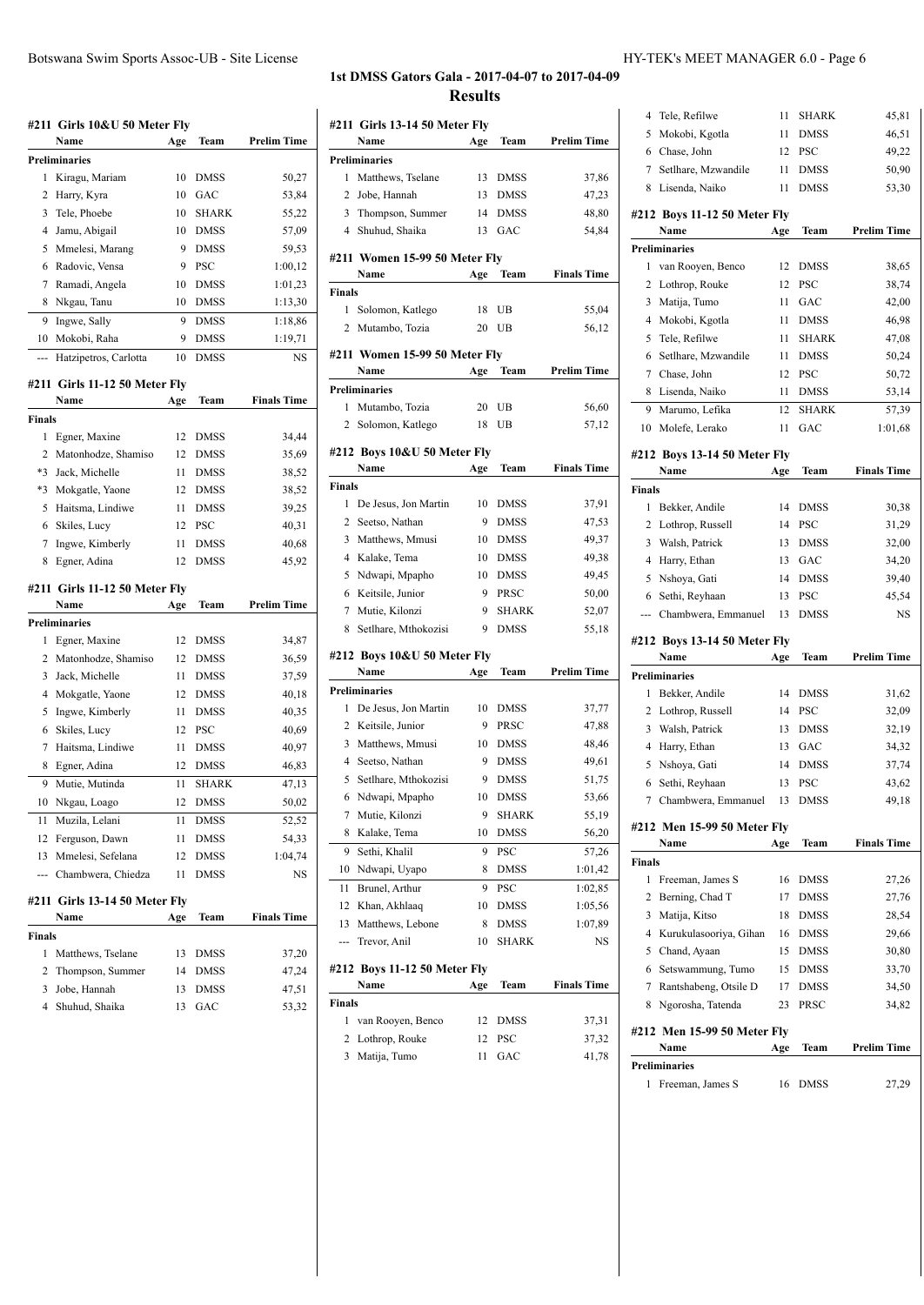**Name Age Team Prelim Time**

1 Matthews, Tselane 13 DMSS 37,86 Jobe, Hannah 13 DMSS 47,23 3 Thompson, Summer 14 DMSS 48,80

**#211 Girls 13-14 50 Meter Fly**

**Preliminaries**

| HY-TEK's MEET MANAGER 6.0 - Page 6 |  |
|------------------------------------|--|
|------------------------------------|--|

|               | #211 Girls 10&U 50 Meter Fly          |     |              |                    |
|---------------|---------------------------------------|-----|--------------|--------------------|
|               | Name                                  | Age | Team         | Prelim Time        |
|               | <b>Preliminaries</b>                  |     |              |                    |
| 1             | Kiragu, Mariam                        | 10  | <b>DMSS</b>  | 50,27              |
| 2             | Harry, Kyra                           | 10  | GAC          | 53,84              |
| 3             | Tele, Phoebe                          | 10  | <b>SHARK</b> | 55,22              |
| 4             | Jamu, Abigail                         | 10  | <b>DMSS</b>  | 57,09              |
| 5             | Mmelesi, Marang                       | 9   | <b>DMSS</b>  | 59,53              |
| 6             | Radovic, Vensa                        | 9   | <b>PSC</b>   | 1:00,12            |
| 7             | Ramadi, Angela                        | 10  | <b>DMSS</b>  | 1:01,23            |
| 8             | Nkgau, Tanu                           | 10  | <b>DMSS</b>  | 1:13,30            |
| 9             | Ingwe, Sally                          | 9   | <b>DMSS</b>  | 1:18,86            |
| 10            | Mokobi, Raha                          | 9   | DMSS         | 1:19,71            |
| ---           | Hatzipetros, Carlotta                 | 10  | <b>DMSS</b>  | NS                 |
|               | #211 Girls 11-12 50 Meter Fly         |     |              |                    |
|               | Name                                  | Age | Team         | <b>Finals Time</b> |
| <b>Finals</b> |                                       |     |              |                    |
| 1             | Egner, Maxine                         | 12  | <b>DMSS</b>  | 34,44              |
| 2             | Matonhodze, Shamiso                   | 12  | DMSS         | 35,69              |
| $*3$          | Jack, Michelle                        | 11  | <b>DMSS</b>  | 38,52              |
| $*3$          | Mokgatle, Yaone                       | 12  | <b>DMSS</b>  | 38,52              |
| 5             | Haitsma, Lindiwe                      | 11  | <b>DMSS</b>  | 39,25              |
| 6             | Skiles, Lucy                          | 12  | PSC          | 40,31              |
| 7             | Ingwe, Kimberly                       | 11  | <b>DMSS</b>  | 40,68              |
| 8             | Egner, Adina                          | 12  | <b>DMSS</b>  | 45,92              |
|               |                                       |     |              |                    |
|               | #211 Girls 11-12 50 Meter Fly<br>Name | Age | Team         | <b>Prelim Time</b> |
|               | <b>Preliminaries</b>                  |     |              |                    |
| 1             | Egner, Maxine                         | 12  | <b>DMSS</b>  | 34,87              |
| 2             | Matonhodze, Shamiso                   | 12  | <b>DMSS</b>  | 36,59              |
| 3             | Jack, Michelle                        | 11  | <b>DMSS</b>  | 37,59              |
| 4             | Mokgatle, Yaone                       | 12  | <b>DMSS</b>  | 40,18              |
| 5             | Ingwe, Kimberly                       | 11  | <b>DMSS</b>  | 40,35              |
| 6             | Skiles, Lucy                          | 12  | <b>PSC</b>   | 40,69              |
| 7             | Haitsma, Lindiwe                      | 11  | <b>DMSS</b>  | 40,97              |
| 8             | Egner, Adina                          | 12  | <b>DMSS</b>  | 46,83              |
| 9             | Mutie, Mutinda                        | 11  | <b>SHARK</b> | 47,13              |
|               | 10 Nkgau, Loago                       | 12  | <b>DMSS</b>  | 50,02              |
| 11            | Muzila, Lelani                        | 11  | <b>DMSS</b>  | 52,52              |
| 12            | Ferguson, Dawn                        | 11  | DMSS         | 54,33              |
| 13            | Mmelesi, Sefelana                     | 12  | DMSS         | 1:04,74            |
| ---           | Chambwera, Chiedza                    | 11  | DMSS         | NS                 |
|               | #211 Girls 13-14 50 Meter Fly         |     |              |                    |
|               |                                       | Age | Team         | <b>Finals Time</b> |
|               | Name                                  |     |              |                    |
| Finals        |                                       |     |              |                    |
| 1             | Matthews, Tselane                     | 13  | DMSS         | 37,20              |
| 2             | Thompson, Summer                      | 14  | DMSS         | 47,24              |
| 3             | Jobe, Hannah                          | 13  | DMSS         | 47,51              |

| 4              | Shuhud, Shaika                | 13  | GAC          | 54,84              |
|----------------|-------------------------------|-----|--------------|--------------------|
|                |                               |     |              |                    |
|                | #211 Women 15-99 50 Meter Fly |     |              | <b>Finals Time</b> |
|                | Name                          | Age | Team         |                    |
| Finals         |                               |     |              |                    |
| 1              | Solomon, Katlego              | 18  | UB           | 55,04              |
| $\overline{c}$ | Mutambo, Tozia                | 20  | UB           | 56,12              |
|                | #211 Women 15-99 50 Meter Fly |     |              |                    |
|                | Name                          | Age | Team         | <b>Prelim Time</b> |
|                | Preliminaries                 |     |              |                    |
| 1              | Mutambo, Tozia                | 20  | UB           | 56,60              |
| 2              | Solomon, Katlego              | 18  | UB           | 57,12              |
|                |                               |     |              |                    |
|                | #212 Boys 10&U 50 Meter Fly   |     |              |                    |
|                | Name                          | Age | Team         | <b>Finals Time</b> |
| Finals         |                               |     |              |                    |
| 1              | De Jesus, Jon Martin          | 10  | DMSS         | 37,91              |
| $\overline{2}$ | Seetso, Nathan                | 9   | <b>DMSS</b>  | 47,53              |
| 3              | Matthews, Mmusi               | 10  | <b>DMSS</b>  | 49,37              |
| 4              | Kalake, Tema                  | 10  | <b>DMSS</b>  | 49,38              |
| 5              | Ndwapi, Mpapho                | 10  | <b>DMSS</b>  | 49,45              |
| 6              | Keitsile, Junior              | 9   | PRSC         | 50,00              |
| 7              | Mutie, Kilonzi                | 9   | <b>SHARK</b> | 52,07              |
| 8              | Setlhare, Mthokozisi          | 9   | <b>DMSS</b>  | 55,18              |
|                |                               |     |              |                    |
|                | #212 Boys 10&U 50 Meter Fly   |     |              |                    |
|                | Name                          | Age | Team         | <b>Prelim Time</b> |
|                |                               |     |              |                    |
|                | Preliminaries                 |     |              |                    |
| 1              | De Jesus, Jon Martin          | 10  | <b>DMSS</b>  | 37,77              |
| 2              | Keitsile, Junior              | 9   | PRSC         | 47,88              |
| 3              | Matthews, Mmusi               | 10  | <b>DMSS</b>  | 48,46              |
| 4              | Seetso, Nathan                | 9   | <b>DMSS</b>  | 49,61              |
| 5              | Setlhare, Mthokozisi          | 9   | <b>DMSS</b>  | 51,75              |
| 6              | Ndwapi, Mpapho                | 10  | <b>DMSS</b>  | 53,66              |
| 7              | Mutie, Kilonzi                | 9   | <b>SHARK</b> | 55,19              |
| 8              | Kalake, Tema                  | 10  | <b>DMSS</b>  | 56,20              |
| 9              | Sethi, Khalil                 | 9   | <b>PSC</b>   | 57,26              |
| 10             | Ndwapi, Uyapo                 | 8   | <b>DMSS</b>  | 1:01,42            |
| 11             | Brunel, Arthur                | 9   | <b>PSC</b>   | 1:02,85            |
| 12             | Khan, Akhlaaq                 | 10  | <b>DMSS</b>  |                    |
| 13             | Matthews, Lebone              | 8   | <b>DMSS</b>  | 1:05,56<br>1:07,89 |
| ---            | Trevor, Anil                  | 10  | SHARK        | NS                 |
|                |                               |     |              |                    |
|                | #212 Boys 11-12 50 Meter Fly  |     |              |                    |
|                | Name                          | Age | Team         | <b>Finals Time</b> |
| Finals         |                               |     |              |                    |
| 1              | van Rooyen, Benco             | 12  | DMSS         | 37,31              |
| 2              | Lothrop, Rouke                | 12  | PSC          | 37,32              |
| 3              | Matija, Tumo                  | 11  | GAC          | 41,78              |
|                |                               |     |              |                    |

| 5<br>11<br><b>DMSS</b><br>Mokobi, Kgotla<br>6<br>Chase, John<br><b>PSC</b><br>12<br>7<br>Setlhare, Mzwandile<br>11<br><b>DMSS</b> | 45,81              |
|-----------------------------------------------------------------------------------------------------------------------------------|--------------------|
|                                                                                                                                   | 46,51              |
|                                                                                                                                   | 49,22              |
|                                                                                                                                   | 50,90              |
| 8<br>Lisenda, Naiko<br><b>DMSS</b><br>11                                                                                          | 53,30              |
|                                                                                                                                   |                    |
| #212 Boys 11-12 50 Meter Fly                                                                                                      |                    |
| Team<br>Name<br>Age                                                                                                               | <b>Prelim Time</b> |
| <b>Preliminaries</b><br>1<br>van Rooyen, Benco<br>12                                                                              | 38,65              |
| <b>DMSS</b><br>12                                                                                                                 |                    |
| 2<br>Lothrop, Rouke<br>PSC<br>3                                                                                                   | 38,74              |
| Matija, Tumo<br>11<br>GAC                                                                                                         | 42,00              |
| 4<br>Mokobi, Kgotla<br><b>DMSS</b><br>11                                                                                          | 46,98              |
| 5<br>Tele, Refilwe<br>11<br>SHARK                                                                                                 | 47,08              |
| 6<br>Setlhare, Mzwandile<br><b>DMSS</b><br>11                                                                                     | 50,24              |
| Chase, John<br>12<br><b>PSC</b><br>7                                                                                              | 50,72              |
| 8<br>Lisenda, Naiko<br>11<br><b>DMSS</b>                                                                                          | 53,14              |
| 9<br>Marumo, Lefika<br><b>SHARK</b><br>12                                                                                         | 57,39              |
| Molefe, Lerako<br>GAC<br>10<br>11                                                                                                 | 1:01,68            |
| #212 Boys 13-14 50 Meter Fly                                                                                                      |                    |
| Name<br>Age<br>Team                                                                                                               | <b>Finals Time</b> |
| Finals                                                                                                                            |                    |
| 1<br>Bekker, Andile<br>14<br><b>DMSS</b>                                                                                          | 30,38              |
| 2<br>14<br><b>PSC</b><br>Lothrop, Russell                                                                                         | 31,29              |
| 3<br>Walsh, Patrick<br><b>DMSS</b><br>13                                                                                          | 32,00              |
| 4<br>Harry, Ethan<br>13<br>GAC                                                                                                    | 34,20              |
| 5<br>Nshoya, Gati<br><b>DMSS</b><br>14                                                                                            | 39,40              |
| 6<br>Sethi, Reyhaan<br>PSC<br>13                                                                                                  | 45,54              |
| Chambwera, Emmanuel<br>DMSS<br>13<br>---                                                                                          | NS                 |
|                                                                                                                                   |                    |
| #212 Boys 13-14 50 Meter Fly                                                                                                      |                    |
| Name<br>Age<br>Team                                                                                                               | <b>Prelim Time</b> |
| Preliminaries<br>1<br>Bekker, Andile<br>14<br><b>DMSS</b>                                                                         |                    |
| 2<br>PSC                                                                                                                          | 31,62              |
| Lothrop, Russell<br>14                                                                                                            | 32,09              |
|                                                                                                                                   |                    |
| 3<br>Walsh, Patrick<br><b>DMSS</b><br>13                                                                                          | 32,19              |
| 4<br>Harry, Ethan<br>13<br>GAC                                                                                                    | 34,32              |
| 5<br>Nshoya, Gati<br><b>DMSS</b><br>14                                                                                            | 37,74              |
| 6<br>Sethi, Reyhaan<br>13<br><b>PSC</b>                                                                                           | 43,62              |
| 7 Chambwera, Emmanuel<br>13<br>DMSS                                                                                               | 49,18              |
| #212 Men 15-99 50 Meter Fly                                                                                                       |                    |
| Name<br>Team<br>Age                                                                                                               | <b>Finals Time</b> |
| <b>Finals</b>                                                                                                                     |                    |
| 1<br>Freeman, James S<br>16<br><b>DMSS</b>                                                                                        | 27,26              |
| 2<br>Berning, Chad T<br>17<br><b>DMSS</b>                                                                                         | 27,76              |
| 3<br>Matija, Kitso<br>18<br><b>DMSS</b>                                                                                           | 28,54              |
| 4<br>Kurukulasooriya, Gihan<br><b>DMSS</b><br>16                                                                                  | 29,66              |
| 5<br>Chand, Ayaan<br>15<br><b>DMSS</b>                                                                                            | 30,80              |
| 6<br>Setswammung, Tumo<br>15 DMSS                                                                                                 | 33,70              |
| Rantshabeng, Otsile D<br>7<br>17<br><b>DMSS</b>                                                                                   | 34,50              |
| 8<br>Ngorosha, Tatenda<br>PRSC<br>23                                                                                              | 34,82              |
|                                                                                                                                   |                    |
| #212 Men 15-99 50 Meter Fly                                                                                                       |                    |
| Name<br>Age<br>Team                                                                                                               | <b>Prelim Time</b> |
| <b>Preliminaries</b><br>Freeman, James S<br>DMSS<br>1<br>16                                                                       | 27,29              |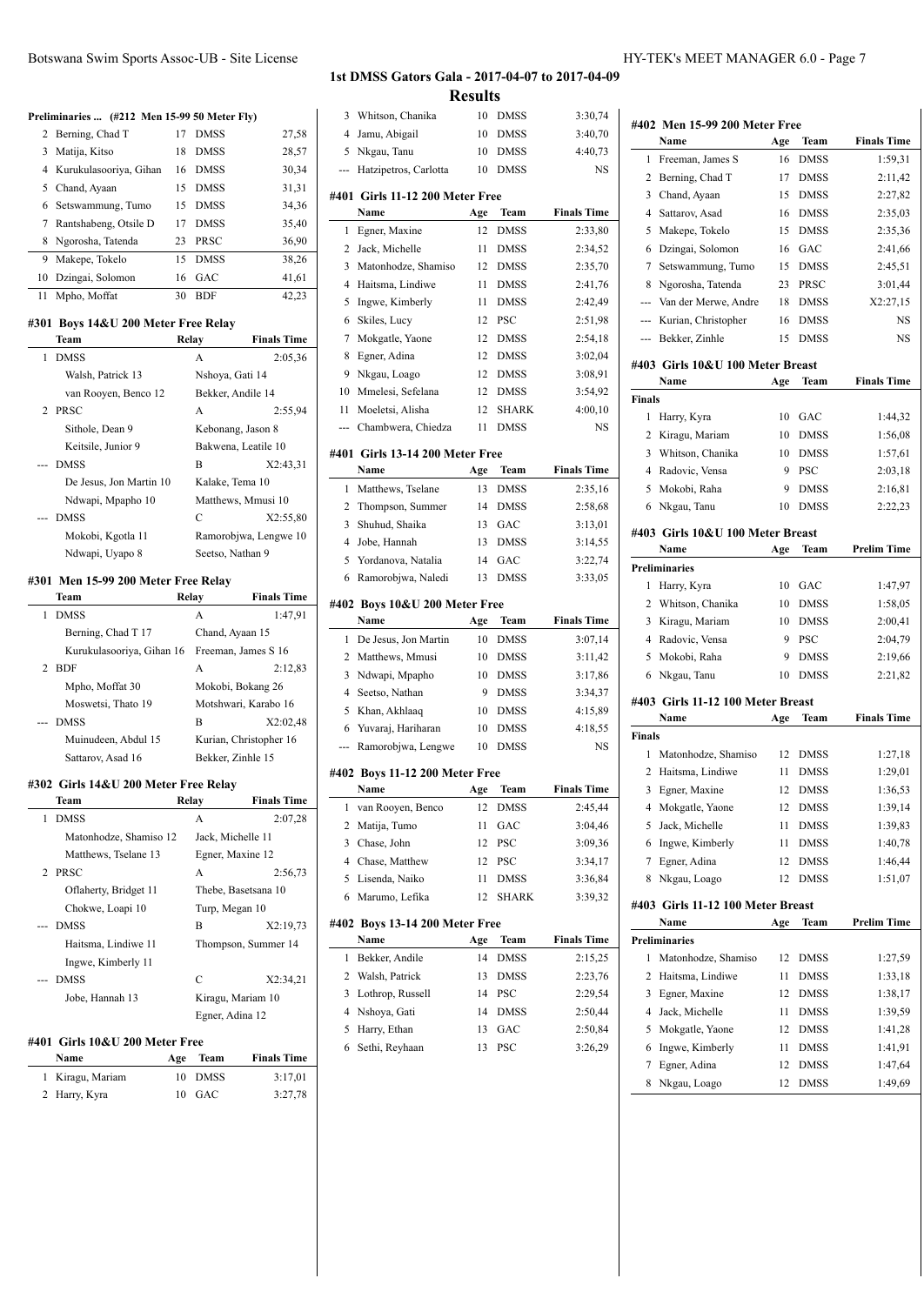|  | Botswana Swim Sports Assoc-UB - Site License |  |
|--|----------------------------------------------|--|
|--|----------------------------------------------|--|

#### **Preliminaries ... (#212 Men 15-99 50 Meter Fly)**

|    | 2 Berning, Chad T        | 17 | <b>DMSS</b> | 27,58 |
|----|--------------------------|----|-------------|-------|
|    | 3 Matija, Kitso          | 18 | <b>DMSS</b> | 28,57 |
|    | 4 Kurukulasooriya, Gihan | 16 | <b>DMSS</b> | 30,34 |
|    | 5 Chand, Ayaan           | 15 | <b>DMSS</b> | 31,31 |
|    | 6 Setswammung, Tumo      | 15 | <b>DMSS</b> | 34,36 |
|    | 7 Rantshabeng, Otsile D  | 17 | <b>DMSS</b> | 35,40 |
|    | 8 Ngorosha, Tatenda      | 23 | <b>PRSC</b> | 36,90 |
| 9  | Makepe, Tokelo           | 15 | <b>DMSS</b> | 38,26 |
|    | 10 Dzingai, Solomon      | 16 | GAC         | 41,61 |
| 11 | Mpho, Moffat             | 30 | <b>BDF</b>  | 42,23 |
|    |                          |    |             |       |

#### **#301 Boys 14&U 200 Meter Free Relay**

|   | Team                    | Relay | <b>Finals Time</b>    |
|---|-------------------------|-------|-----------------------|
| 1 | <b>DMSS</b>             | A     | 2:05,36               |
|   | Walsh, Patrick 13       |       | Nshova, Gati 14       |
|   | van Rooyen, Benco 12    |       | Bekker, Andile 14     |
|   | 2 PRSC                  | A     | 2:55,94               |
|   | Sithole, Dean 9         |       | Kebonang, Jason 8     |
|   | Keitsile, Junior 9      |       | Bakwena, Leatile 10   |
|   | --- DMSS                | B     | X2:43.31              |
|   | De Jesus, Jon Martin 10 |       | Kalake, Tema 10       |
|   | Ndwapi, Mpapho 10       |       | Matthews, Mmusi 10    |
|   | --- DMSS                | C     | X2:55,80              |
|   | Mokobi, Kgotla 11       |       | Ramorobjwa, Lengwe 10 |
|   | Ndwapi, Uyapo 8         |       | Seetso, Nathan 9      |
|   |                         |       |                       |

#### **#301 Men 15-99 200 Meter Free Relay**

|               | <b>Team</b>               | Relay             | <b>Finals Time</b>     |
|---------------|---------------------------|-------------------|------------------------|
| 1             | <b>DMSS</b>               | A                 | 1:47,91                |
|               | Berning, Chad T 17        | Chand, Ayaan 15   |                        |
|               | Kurukulasooriya, Gihan 16 |                   | Freeman, James S 16    |
| $\mathcal{D}$ | <b>BDF</b>                | A                 | 2:12,83                |
|               | Mpho, Moffat 30           |                   | Mokobi, Bokang 26      |
|               | Moswetsi, Thato 19        |                   | Motshwari, Karabo 16   |
|               | --- DMSS                  | B                 | X2:02,48               |
|               | Muinudeen, Abdul 15       |                   | Kurian, Christopher 16 |
|               | Sattarov, Asad 16         | Bekker, Zinhle 15 |                        |

#### **#302 Girls 14&U 200 Meter Free Relay**

|              | Team                            | Relay           | <b>Finals Time</b>  |
|--------------|---------------------------------|-----------------|---------------------|
| $\mathbf{1}$ | <b>DMSS</b>                     | A               | 2:07,28             |
|              | Matonhodze, Shamiso 12          |                 | Jack, Michelle 11   |
|              | Matthews, Tselane 13            |                 | Egner, Maxine 12    |
|              | 2 PRSC                          | A               | 2:56,73             |
|              | Oflaherty, Bridget 11           |                 | Thebe, Basetsana 10 |
|              | Chokwe, Loapi 10                | Turp, Megan 10  |                     |
|              | --- DMSS                        | B               | X2:19.73            |
|              | Haitsma, Lindiwe 11             |                 | Thompson, Summer 14 |
|              | Ingwe, Kimberly 11              |                 |                     |
|              | --- DMSS                        | C               | X2:34,21            |
|              | Jobe, Hannah 13                 |                 | Kiragu, Mariam 10   |
|              |                                 | Egner, Adina 12 |                     |
|              | #401  Girls 10&U 200 Meter Free |                 |                     |

# **Name Age Team Finals Time**

| 1 Kiragu, Mariam | 10 DMSS | 3:17,01 |
|------------------|---------|---------|
| 2 Harry, Kyra    | 10 GAC  | 3:27,78 |

#### **1st DMSS Gators Gala - 2017-04-07 to 2017-04-09 Results**

|          |                                         | Results  |                      |                    |
|----------|-----------------------------------------|----------|----------------------|--------------------|
| 3        | Whitson, Chanika                        | 10       | DMSS                 | 3:30,74            |
| 4        | Jamu, Abigail                           | 10       | DMSS                 | 3:40,70            |
| 5        | Nkgau, Tanu                             | 10       | <b>DMSS</b>          | 4:40,73            |
| ---      | Hatzipetros, Carlotta                   | 10       | <b>DMSS</b>          | NS                 |
|          |                                         |          |                      |                    |
|          | #401 Girls 11-12 200 Meter Free<br>Name | Age      | Team                 | <b>Finals Time</b> |
| 1        | Egner, Maxine                           | 12       | <b>DMSS</b>          | 2:33,80            |
| 2        | Jack, Michelle                          | 11       | DMSS                 | 2:34,52            |
| 3        | Matonhodze, Shamiso                     | 12       | DMSS                 | 2:35,70            |
| 4        | Haitsma, Lindiwe                        | 11       | DMSS                 | 2:41,76            |
| 5        | Ingwe, Kimberly                         | 11       | DMSS                 | 2:42,49            |
| 6        | Skiles, Lucy                            | 12       | <b>PSC</b>           | 2:51,98            |
| 7        | Mokgatle, Yaone                         | 12       | DMSS                 | 2:54,18            |
| 8        | Egner, Adina                            | 12       | <b>DMSS</b>          | 3:02,04            |
| 9        | Nkgau, Loago                            | 12       | <b>DMSS</b>          | 3:08,91            |
| 10       | Mmelesi, Sefelana                       |          |                      |                    |
| 11       | Moeletsi, Alisha                        | 12<br>12 | DMSS<br><b>SHARK</b> | 3:54,92<br>4:00,10 |
|          |                                         |          | <b>DMSS</b>          |                    |
| ---      | Chambwera, Chiedza                      | 11       |                      | NS                 |
|          | #401 Girls 13-14 200 Meter Free         |          |                      |                    |
|          | Name                                    | Age      | Team                 | <b>Finals Time</b> |
| 1        | Matthews, Tselane                       | 13       | DMSS                 | 2:35,16            |
| 2        | Thompson, Summer                        | 14       | DMSS                 | 2:58,68            |
| 3        | Shuhud, Shaika                          | 13       | GAC                  | 3:13,01            |
| 4        | Jobe, Hannah                            | 13       | <b>DMSS</b>          | 3:14,55            |
| 5        | Yordanova, Natalia                      | 14       | GAC                  | 3:22,74            |
| 6        | Ramorobjwa, Naledi                      | 13       | <b>DMSS</b>          | 3:33,05            |
|          | #402 Boys 10&U 200 Meter Free           |          |                      |                    |
|          |                                         |          |                      |                    |
|          |                                         |          |                      |                    |
|          | Name                                    | Age      | Team                 | <b>Finals Time</b> |
| 1        | De Jesus, Jon Martin                    | 10       | DMSS                 | 3:07,14            |
| 2        | Matthews, Mmusi                         | 10       | DMSS                 | 3:11,42            |
| 3        | Ndwapi, Mpapho                          | 10       | DMSS                 | 3:17,86            |
| 4        | Seetso, Nathan                          | 9        | DMSS                 | 3:34,37            |
| 5        | Khan, Akhlaaq                           | 10       | DMSS                 | 4:15.89            |
| 6<br>--- | Yuvaraj, Hariharan                      | 10       | DMSS                 | 4:18,55            |
|          | Ramorobjwa, Lengwe                      | 10       | <b>DMSS</b>          | NS                 |
|          | #402 Boys 11-12 200 Meter Free          |          |                      |                    |
|          | Name                                    | Age      | Team                 | <b>Finals Time</b> |
| 1        | van Rooyen, Benco                       | 12       | <b>DMSS</b>          | 2:45,44            |
| 2        | Matija, Tumo                            | 11       | GAC                  | 3:04,46            |
| 3        | Chase, John                             | 12       | PSC                  | 3:09,36            |
| 4        | Chase, Matthew                          | 12       | PSC                  | 3:34,17            |
| 5        | Lisenda, Naiko                          | 11       | DMSS                 | 3:36,84            |
| 6        | Marumo, Lefika                          | 12       | SHARK                | 3:39.32            |
|          | #402 Boys 13-14 200 Meter Free          |          |                      |                    |
|          | Name                                    | Age      | Team                 | <b>Finals Time</b> |
| 1        | Bekker, Andile                          | 14       | DMSS                 | 2:15,25            |
| 2        | Walsh, Patrick                          | 13       | DMSS                 | 2:23,76            |
| 3        | Lothrop, Russell                        | 14       | PSC                  | 2:29,54            |
| 4        | Nshoya, Gati                            | 14       | DMSS                 | 2:50,44            |
| 5        | Harry, Ethan                            | 13       | GAC                  | 2:50,84            |
| 6        | Sethi, Reyhaan                          | 13       | PSC                  | 3:26,29            |
|          |                                         |          |                      |                    |
|          |                                         |          |                      |                    |

|               | Name                                      | Age      | Team                       | <b>Finals Time</b>                       |
|---------------|-------------------------------------------|----------|----------------------------|------------------------------------------|
| 1             | Freeman, James S                          | 16       | <b>DMSS</b>                | 1:59,31                                  |
| 2             | Berning, Chad T                           | 17       | <b>DMSS</b>                | 2:11,42                                  |
| 3             | Chand, Ayaan                              | 15       | <b>DMSS</b>                | 2:27,82                                  |
| 4             | Sattarov, Asad                            | 16       | <b>DMSS</b>                | 2:35,03                                  |
| 5             | Makepe, Tokelo                            | 15       | <b>DMSS</b>                | 2:35,36                                  |
| 6             | Dzingai, Solomon                          | 16       | GAC                        | 2:41,66                                  |
| 7             | Setswammung, Tumo                         | 15       | <b>DMSS</b>                | 2:45,51                                  |
| 8             | Ngorosha, Tatenda                         | 23       | PRSC                       | 3:01,44                                  |
|               | --- Van der Merwe, Andre                  | 18       | <b>DMSS</b>                | X2:27,15                                 |
|               | --- Kurian, Christopher                   | 16       | <b>DMSS</b>                | NS                                       |
| ---           | Bekker, Zinhle                            | 15       | <b>DMSS</b>                | NS                                       |
|               | #403 Girls 10&U 100 Meter Breast          |          |                            |                                          |
|               | Name                                      | Age      | Team                       | <b>Finals Time</b>                       |
| <b>Finals</b> |                                           |          |                            |                                          |
| 1             | Harry, Kyra                               | 10       | GAC                        | 1:44,32                                  |
| 2             | Kiragu, Mariam                            | 10       | <b>DMSS</b>                | 1:56,08                                  |
|               | 3 Whitson, Chanika                        | 10       | <b>DMSS</b>                | 1:57,61                                  |
|               | 4 Radovic, Vensa                          | 9        | <b>PSC</b>                 | 2:03.18                                  |
| 5             | Mokobi, Raha                              | 9        | <b>DMSS</b>                | 2:16,81                                  |
| 6             | Nkgau, Tanu                               | 10       | <b>DMSS</b>                | 2:22,23                                  |
|               | #403 Girls 10&U 100 Meter Breast          |          |                            |                                          |
|               | Name                                      | Age      | Team                       | <b>Prelim Time</b>                       |
|               | <b>Preliminaries</b>                      |          |                            |                                          |
| 1             | Harry, Kyra                               | 10       | GAC                        | 1:47,97                                  |
| 2             | Whitson, Chanika                          | 10       | <b>DMSS</b>                | 1:58,05                                  |
| 3             | Kiragu, Mariam                            | 10       | <b>DMSS</b>                | 2:00,41                                  |
|               | 4 Radovic, Vensa                          | 9        | <b>PSC</b>                 | 2:04,79                                  |
| 5<br>6        | Mokobi, Raha                              | 9<br>10  | <b>DMSS</b><br><b>DMSS</b> | 2:19,66<br>2:21,82                       |
|               | Nkgau, Tanu                               |          |                            |                                          |
|               | #403 Girls 11-12 100 Meter Breast<br>Name | Age      | Team                       | <b>Finals Time</b>                       |
| <b>Finals</b> |                                           |          |                            |                                          |
| 1             | Matonhodze, Shamiso                       | 12       | <b>DMSS</b>                | 1:27,18                                  |
| 2             | Haitsma, Lindiwe                          | 11       | <b>DMSS</b>                | 1:29,01                                  |
|               | 3 Egner, Maxine                           | 12       | <b>DMSS</b>                | 1:36,53                                  |
| 4             | Mokgatle, Yaone                           | 12       | DMSS                       | 1:39,14                                  |
| 5             | Jack, Michelle                            | 11       | DMSS                       | 1:39,83                                  |
| 6             | Ingwe, Kimberly                           | 11       | DMSS                       | 1:40,78                                  |
|               |                                           | 12       | DMSS                       | 1:46,44                                  |
|               |                                           |          |                            |                                          |
| 7             | Egner, Adina                              |          |                            |                                          |
| 8             | Nkgau, Loago                              | 12       | <b>DMSS</b>                | 1:51,07                                  |
|               | #403 Girls 11-12 100 Meter Breast<br>Name |          | Team                       | Prelim Time                              |
|               | <b>Preliminaries</b>                      | Age      |                            |                                          |
| 1             |                                           |          |                            |                                          |
| 2             | Matonhodze, Shamiso                       | 12       | DMSS                       |                                          |
|               | Haitsma, Lindiwe                          | 11       | DMSS                       |                                          |
| 3             | Egner, Maxine                             | 12       | DMSS                       |                                          |
| 4             | Jack, Michelle                            | 11       | DMSS                       | 1:27,59<br>1:33,18<br>1:38,17<br>1:39,59 |
| 5<br>6        | Mokgatle, Yaone<br>Ingwe, Kimberly        | 12<br>11 | DMSS<br><b>DMSS</b>        | 1:41,28<br>1:41,91                       |

8 Nkgau, Loago 12 DMSS 1:49,69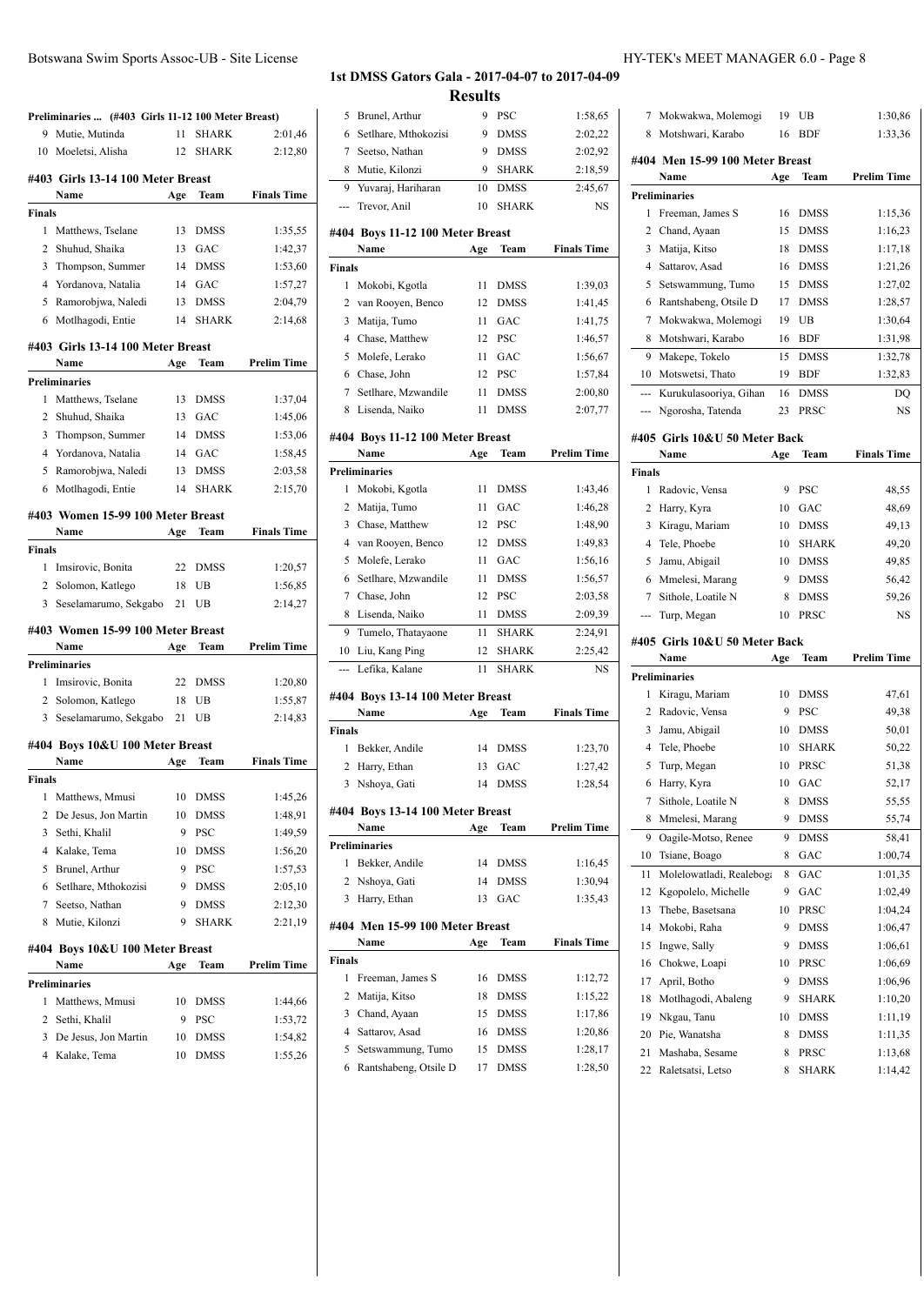|               | Preliminaries  (#403 Girls 11-12 100 Meter Breast) |     |              |                    |
|---------------|----------------------------------------------------|-----|--------------|--------------------|
| 9             | Mutie, Mutinda                                     | 11  | <b>SHARK</b> | 2:01,46            |
|               | 10 Moeletsi, Alisha                                | 12  | <b>SHARK</b> | 2:12,80            |
|               | #403 Girls 13-14 100 Meter Breast                  |     |              |                    |
|               | Name                                               | Age | Team         | <b>Finals Time</b> |
| <b>Finals</b> |                                                    |     |              |                    |
| 1             | Matthews, Tselane                                  | 13  | <b>DMSS</b>  | 1:35,55            |
| 2             | Shuhud, Shaika                                     | 13  | GAC          | 1:42,37            |
| 3             | Thompson, Summer                                   | 14  | <b>DMSS</b>  | 1:53,60            |
| 4             | Yordanova, Natalia                                 | 14  | GAC          | 1:57,27            |
| 5             | Ramorobjwa, Naledi                                 | 13  | <b>DMSS</b>  | 2:04,79            |
| 6             | Motlhagodi, Entie                                  | 14  | <b>SHARK</b> | 2:14,68            |
|               | #403 Girls 13-14 100 Meter Breast                  |     |              |                    |
|               | Name                                               | Age | Team         | <b>Prelim Time</b> |
|               | <b>Preliminaries</b>                               |     |              |                    |
| 1             | Matthews, Tselane                                  | 13  | <b>DMSS</b>  | 1:37,04            |
| 2             | Shuhud, Shaika                                     | 13  | GAC          | 1:45,06            |
| 3             | Thompson, Summer                                   | 14  | <b>DMSS</b>  | 1:53,06            |
| 4             | Yordanova, Natalia                                 | 14  | GAC          | 1:58,45            |
| 5             | Ramorobjwa, Naledi                                 | 13  | <b>DMSS</b>  | 2:03,58            |
| 6             | Motlhagodi, Entie                                  | 14  | <b>SHARK</b> | 2:15,70            |
|               | #403 Women 15-99 100 Meter Breast                  |     |              |                    |
|               | Name                                               | Age | Team         | <b>Finals Time</b> |
| Finals        |                                                    |     |              |                    |
| 1             | Imsirovic, Bonita                                  | 22  | <b>DMSS</b>  | 1:20,57            |
| 2             | Solomon, Katlego                                   | 18  | UB           | 1:56,85            |
| 3             | Seselamarumo, Sekgabo                              | 21  | UB           | 2:14,27            |
|               | #403 Women 15-99 100 Meter Breast                  |     |              |                    |
|               | Name                                               | Age | Team         | Prelim Time        |
|               | <b>Preliminaries</b>                               |     |              |                    |
| 1             | Imsirovic, Bonita                                  | 22  | <b>DMSS</b>  | 1:20,80            |
| 2             | Solomon, Katlego                                   | 18  | UB           | 1:55,87            |
| 3             | Seselamarumo, Sekgabo                              | 21  | UB           | 2:14.83            |
|               | #404 Boys 10&U 100 Meter Breast                    |     |              |                    |
|               | Name                                               | Age | Team         | <b>Finals Time</b> |
| Finals        |                                                    |     |              |                    |
| 1             | Matthews, Mmusi                                    | 10  | DMSS         | 1:45,26            |
| 2             | De Jesus, Jon Martin                               | 10  | <b>DMSS</b>  | 1:48,91            |
| 3             | Sethi, Khalil                                      | 9   | PSC          | 1:49,59            |
| 4             | Kalake, Tema                                       | 10  | <b>DMSS</b>  | 1:56,20            |
| 5             | <b>Brunel</b> , Arthur                             | 9   | <b>PSC</b>   | 1:57,53            |
| 6             | Setlhare, Mthokozisi                               | 9   | <b>DMSS</b>  | 2:05,10            |
| 7             | Seetso, Nathan                                     | 9   | <b>DMSS</b>  | 2:12,30            |
| 8             | Mutie, Kilonzi                                     | 9   | <b>SHARK</b> | 2:21,19            |
|               | #404 Boys 10&U 100 Meter Breast                    |     |              |                    |
|               | Name                                               | Age | Team         | <b>Prelim Time</b> |
|               | <b>Preliminaries</b>                               |     |              |                    |
| 1             | Matthews, Mmusi                                    | 10  | <b>DMSS</b>  | 1:44,66            |
| 2             | Sethi, Khalil                                      | 9   | PSC          | 1:53,72            |
| 3             | De Jesus, Jon Martin                               | 10  | DMSS         | 1:54,82            |
| 4             | Kalake, Tema                                       | 10  | <b>DMSS</b>  | 1:55,26            |

| 5              | Brunel, Arthur                             | 9        | PSC                        | 1:58.65            |
|----------------|--------------------------------------------|----------|----------------------------|--------------------|
| 6              | Setlhare, Mthokozisi                       | 9        | DMSS                       | 2:02,22            |
| 7              | Seetso, Nathan                             | 9        | <b>DMSS</b>                | 2:02,92            |
| 8              | Mutie, Kilonzi                             | 9        | <b>SHARK</b>               | 2:18,59            |
| 9              | Yuvaraj, Hariharan                         | 10       | <b>DMSS</b>                | 2:45,67            |
|                | Trevor, Anil                               | 10       | <b>SHARK</b>               | NS                 |
|                |                                            |          |                            |                    |
|                | #404 Boys 11-12 100 Meter Breast           |          |                            |                    |
|                | Name                                       | Age      | Team                       | <b>Finals Time</b> |
| Finals         |                                            |          |                            |                    |
| 1              | Mokobi, Kgotla                             | 11       | DMSS                       | 1:39,03            |
| 2              | van Rooyen, Benco                          | 12       | <b>DMSS</b>                | 1:41,45            |
| 3              | Matija, Tumo                               | 11       | GAC                        | 1:41,75            |
| $\overline{4}$ | Chase, Matthew                             | 12       | <b>PSC</b>                 | 1:46,57            |
| 5              | Molefe, Lerako                             | 11       | GAC                        | 1:56,67            |
| 6              | Chase, John                                | 12       | PSC                        | 1:57,84            |
| 7              | Setlhare, Mzwandile                        | 11       | <b>DMSS</b>                | 2:00,80            |
| 8              | Lisenda, Naiko                             | 11       | <b>DMSS</b>                | 2:07,77            |
|                | #404 Boys 11-12 100 Meter Breast           |          |                            |                    |
|                | Name                                       | Age      | Team                       | <b>Prelim Time</b> |
|                | Preliminaries                              |          |                            |                    |
| 1              | Mokobi, Kgotla                             | 11       | <b>DMSS</b>                | 1:43,46            |
| 2              | Matija, Tumo                               | 11       | GAC                        | 1:46,28            |
| 3              | Chase, Matthew                             | 12       | <b>PSC</b>                 | 1:48,90            |
| $\overline{4}$ | van Rooyen, Benco                          | 12       | <b>DMSS</b>                | 1:49,83            |
| 5              | Molefe, Lerako                             | 11       | GAC                        | 1:56,16            |
| 6              | Setlhare, Mzwandile                        | 11       | <b>DMSS</b>                | 1:56,57            |
| 7              | Chase, John                                | 12       | <b>PSC</b>                 | 2:03,58            |
| 8              | Lisenda, Naiko                             | 11       | <b>DMSS</b>                | 2:09,39            |
| 9              | Tumelo, Thatayaone                         | 11       | <b>SHARK</b>               | 2:24,91            |
| 10             | Liu, Kang Ping                             | 12       | <b>SHARK</b>               | 2:25,42            |
|                | Lefika, Kalane                             | 11       | <b>SHARK</b>               | NS.                |
|                |                                            |          |                            |                    |
|                | #404 Boys 13-14 100 Meter Breast           |          |                            |                    |
|                | Name                                       | Age      | Team                       | <b>Finals Time</b> |
| Finals         |                                            |          |                            |                    |
| 1              | Bekker, Andile                             | 14       | DMSS                       | 1:23,70            |
| 2              | Harry, Ethan                               | 13       | GAC                        | 1:27,42            |
| 3              | Nshoya, Gati                               | 14       | <b>DMSS</b>                | 1:28,54            |
|                | #404 Boys 13-14 100 Meter Breast           |          |                            |                    |
|                | Name                                       | Age      | Team                       | <b>Prelim Time</b> |
|                | Preliminaries                              |          |                            |                    |
| 1              | Bekker, Andile                             | 14       | DMSS                       | 1:16,45            |
| 2              | Nshova, Gati                               | 14       | <b>DMSS</b>                | 1:30,94            |
| 3              | Harry, Ethan                               | 13       | GAC                        | 1:35,43            |
|                |                                            |          |                            |                    |
|                | #404 Men 15-99 100 Meter Breast<br>Name    |          | Team                       | <b>Finals Time</b> |
|                |                                            | Age      |                            |                    |
| Finals<br>1    | Freeman, James S                           | 16       | <b>DMSS</b>                |                    |
| 2              | Matija, Kitso                              | 18       | <b>DMSS</b>                | 1:12,72<br>1:15,22 |
| 3              | Chand, Ayaan                               | 15       | <b>DMSS</b>                | 1:17,86            |
| 4              | Sattarov, Asad                             | 16       | <b>DMSS</b>                |                    |
|                |                                            |          |                            | 1:20,86            |
| 5<br>6         | Setswammung, Tumo<br>Rantshabeng, Otsile D | 15<br>17 | <b>DMSS</b><br><b>DMSS</b> | 1:28,17<br>1:28,50 |
|                |                                            |          |                            |                    |

| 7              | Mokwakwa, Molemogi                    | 19     | UB                   | 1:30,86            |
|----------------|---------------------------------------|--------|----------------------|--------------------|
| 8              | Motshwari, Karabo                     | 16     | <b>BDF</b>           | 1:33,36            |
|                | #404 Men 15-99 100 Meter Breast       |        |                      |                    |
|                | Name                                  | Age    | Team                 | <b>Prelim Time</b> |
|                | <b>Preliminaries</b>                  |        |                      |                    |
| 1              | Freeman, James S                      | 16     | <b>DMSS</b>          | 1:15,36            |
| 2              | Chand, Ayaan                          | 15     | <b>DMSS</b>          | 1:16,23            |
| 3              | Matija, Kitso                         | 18     | <b>DMSS</b>          | 1:17,18            |
| 4              | Sattarov, Asad                        | 16     | <b>DMSS</b>          | 1:21,26            |
| 5              | Setswammung, Tumo                     | 15     | <b>DMSS</b>          | 1:27,02            |
| 6              | Rantshabeng, Otsile D                 | 17     | <b>DMSS</b>          | 1:28,57            |
| 7              | Mokwakwa, Molemogi                    | 19     | UB                   | 1:30,64            |
| 8              | Motshwari, Karabo                     | 16     | <b>BDF</b>           | 1:31,98            |
| 9              | Makepe, Tokelo                        | 15     | <b>DMSS</b>          | 1:32,78            |
| 10             | Motswetsi, Thato                      | 19     | <b>BDF</b>           | 1:32,83            |
| $\overline{a}$ | Kurukulasooriya, Gihan                | 16     | <b>DMSS</b>          | DQ                 |
|                |                                       |        | PRSC                 | NS                 |
| ---            | Ngorosha, Tatenda                     | 23     |                      |                    |
|                | #405 Girls 10&U 50 Meter Back         |        |                      |                    |
|                | Name                                  | Age    | Team                 | <b>Finals Time</b> |
| <b>Finals</b>  |                                       |        |                      |                    |
| 1              | Radovic, Vensa                        | 9      | <b>PSC</b>           | 48,55              |
| 2              | Harry, Kyra                           | 10     | GAC                  | 48,69              |
| 3              | Kiragu, Mariam                        | 10     | <b>DMSS</b>          | 49,13              |
| 4              | Tele, Phoebe                          | 10     | <b>SHARK</b>         | 49,20              |
| 5              | Jamu, Abigail                         | 10     | <b>DMSS</b>          | 49,85              |
| 6              | Mmelesi, Marang                       | 9      | <b>DMSS</b>          | 56,42              |
| 7              | Sithole, Loatile N                    | 8      | <b>DMSS</b>          | 59,26              |
|                | Turp, Megan                           | 10     | PRSC                 | NS                 |
| ---            |                                       |        |                      |                    |
|                |                                       |        |                      |                    |
|                | #405 Girls 10&U 50 Meter Back<br>Name |        | Team                 | <b>Prelim Time</b> |
|                |                                       | Age    |                      |                    |
|                | <b>Preliminaries</b>                  |        |                      |                    |
| 1              | Kiragu, Mariam                        | 10     | <b>DMSS</b>          | 47,61              |
| 2              | Radovic, Vensa                        | 9      | PSC                  | 49,38              |
| 3              | Jamu, Abigail                         | 10     | <b>DMSS</b>          | 50,01              |
| 4              | Tele, Phoebe                          | 10     | <b>SHARK</b>         | 50,22              |
| 5              | Turp, Megan                           | 10     | PRSC                 | 51,38              |
| 6              | Harry, Kyra                           | 10     | GAC                  | 52,17              |
| 7              | Sithole, Loatile N                    | 8      | DMSS                 | 55,55              |
| 8              | Mmelesi, Marang                       | 9      | DMSS                 | 55,74              |
| 9              | Oagile-Motso, Renee                   | 9      | DMSS                 | 58,41              |
| 10             | Tsiane, Boago                         | 8      | GAC                  | 1:00,74            |
| 11             | Molelowatladi, Realeboga              | 8      | GAC                  | 1:01,35            |
| 12             | Kgopolelo, Michelle                   | 9      | GAC                  | 1:02,49            |
| 13             | Thebe, Basetsana                      | 10     | PRSC                 | 1:04,24            |
| 14             | Mokobi, Raha                          | 9      | DMSS                 | 1:06,47            |
| 15             | Ingwe, Sally                          | 9      | DMSS                 | 1:06,61            |
| 16             | Chokwe, Loapi                         | 10     | PRSC                 | 1:06,69            |
| 17             | April, Botho                          | 9      | <b>DMSS</b>          | 1:06,96            |
| 18             | Motlhagodi, Abaleng                   | 9      | SHARK                | 1:10,20            |
| 19             | Nkgau, Tanu                           | 10     | <b>DMSS</b>          | 1:11,19            |
| 20             | Pie, Wanatsha                         | 8      | DMSS                 | 1:11,35            |
| 21<br>22       | Mashaba, Sesame<br>Raletsatsi, Letso  | 8<br>8 | PRSC<br><b>SHARK</b> | 1:13,68<br>1:14,42 |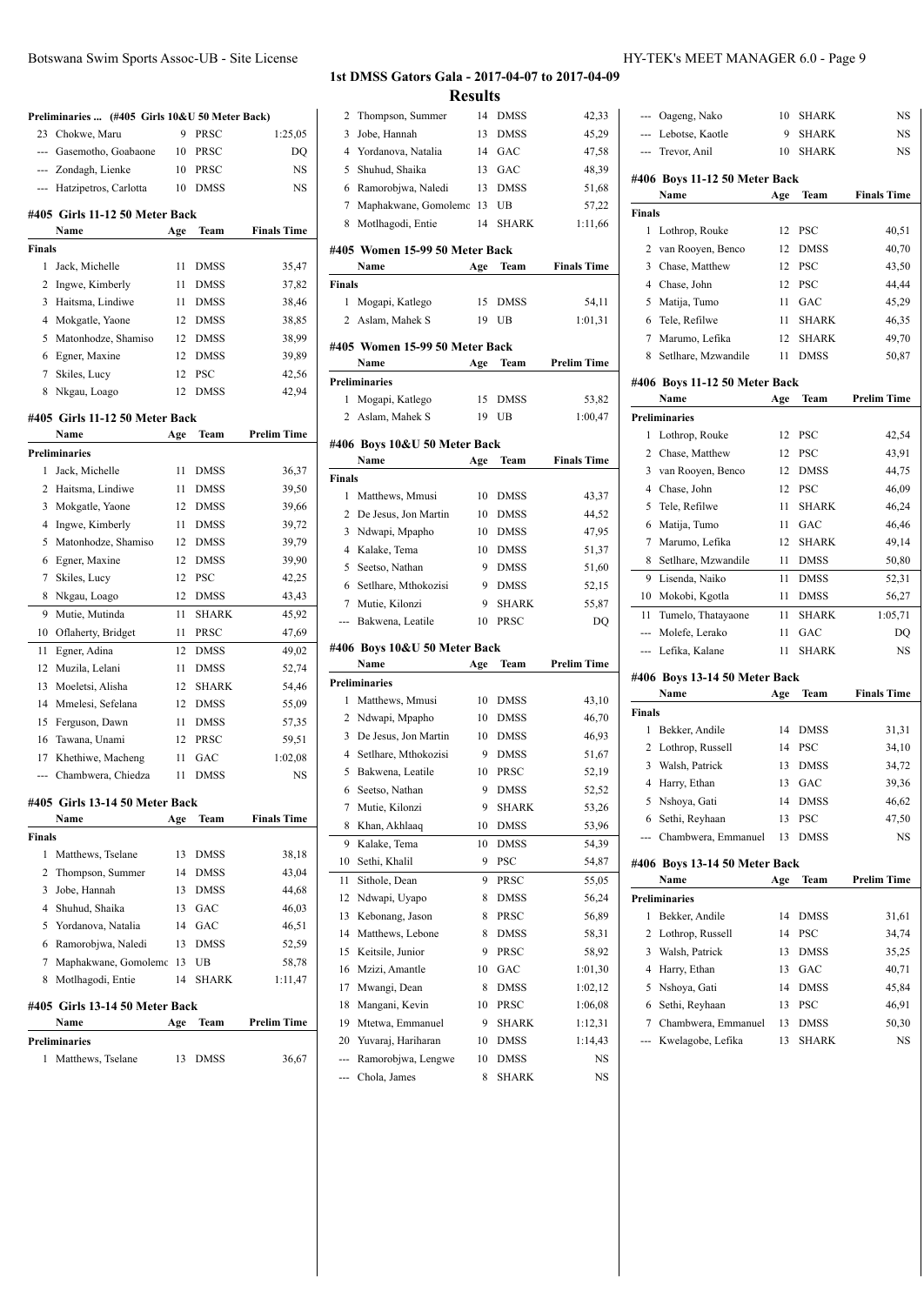|                | Preliminaries  (#405 Girls 10&U 50 Meter Back) |     |              |                    |
|----------------|------------------------------------------------|-----|--------------|--------------------|
|                | 23 Chokwe, Maru                                | 9   | PRSC         | 1:25,05            |
|                | --- Gasemotho, Goabaone                        | 10  | PRSC         | DQ                 |
|                | --- Zondagh, Lienke                            | 10  | PRSC         | NS                 |
|                | --- Hatzipetros, Carlotta                      | 10  | <b>DMSS</b>  | <b>NS</b>          |
|                | #405 Girls 11-12 50 Meter Back                 |     |              |                    |
|                | Name                                           | Age | Team         | <b>Finals Time</b> |
| <b>Finals</b>  |                                                |     |              |                    |
| 1              | Jack, Michelle                                 | 11  | <b>DMSS</b>  | 35,47              |
| $\overline{c}$ | Ingwe, Kimberly                                | 11  | <b>DMSS</b>  | 37,82              |
| 3              | Haitsma, Lindiwe                               | 11  | <b>DMSS</b>  | 38,46              |
| 4              | Mokgatle, Yaone                                | 12  | <b>DMSS</b>  | 38,85              |
| 5              | Matonhodze, Shamiso                            | 12  | <b>DMSS</b>  | 38,99              |
| 6              | Egner, Maxine                                  | 12  | <b>DMSS</b>  | 39,89              |
| 7              | Skiles, Lucy                                   | 12  | <b>PSC</b>   | 42,56              |
| 8              | Nkgau, Loago                                   | 12  | <b>DMSS</b>  | 42,94              |
|                | #405 Girls 11-12 50 Meter Back                 |     |              |                    |
|                | Name                                           | Age | Team         | <b>Prelim Time</b> |
|                | <b>Preliminaries</b>                           |     |              |                    |
| 1              | Jack, Michelle                                 | 11  | <b>DMSS</b>  | 36,37              |
| 2              | Haitsma, Lindiwe                               | 11  | <b>DMSS</b>  | 39,50              |
| 3              | Mokgatle, Yaone                                | 12  | <b>DMSS</b>  | 39,66              |
| 4              | Ingwe, Kimberly                                | 11  | <b>DMSS</b>  | 39,72              |
| 5              | Matonhodze, Shamiso                            | 12  | <b>DMSS</b>  | 39,79              |
| 6              | Egner, Maxine                                  | 12  | <b>DMSS</b>  | 39,90              |
| 7              | Skiles, Lucy                                   | 12  | <b>PSC</b>   | 42,25              |
| 8              | Nkgau, Loago                                   | 12  | <b>DMSS</b>  | 43,43              |
| 9              | Mutie, Mutinda                                 | 11  | <b>SHARK</b> | 45,92              |
| 10             | Oflaherty, Bridget                             | 11  | PRSC         | 47,69              |
| 11             | Egner, Adina                                   | 12  | <b>DMSS</b>  | 49,02              |
| 12             | Muzila, Lelani                                 | 11  | <b>DMSS</b>  | 52,74              |
| 13             | Moeletsi, Alisha                               | 12  | <b>SHARK</b> | 54,46              |
| 14             | Mmelesi, Sefelana                              | 12  | <b>DMSS</b>  | 55,09              |
| 15             | Ferguson, Dawn                                 | 11  | <b>DMSS</b>  | 57,35              |
| 16             | Tawana, Unami                                  | 12  | PRSC         | 59,51              |
|                | 17 Khethiwe, Macheng                           | 11  | GAC          | 1:02,08            |
| ---            | Chambwera, Chiedza                             | 11  | <b>DMSS</b>  | <b>NS</b>          |
|                |                                                |     |              |                    |
|                | #405  Girls 13-14 50 Meter Back<br>Name        | Age | Team         | <b>Finals Time</b> |
| Finals         |                                                |     |              |                    |
| 1              | Matthews, Tselane                              | 13  | <b>DMSS</b>  | 38,18              |
| 2              | Thompson, Summer                               | 14  | <b>DMSS</b>  | 43,04              |
| 3              | Jobe, Hannah                                   | 13  | <b>DMSS</b>  | 44,68              |
| 4              | Shuhud, Shaika                                 | 13  | GAC          | 46,03              |
| 5              | Yordanova, Natalia                             | 14  | GAC          | 46,51              |
| 6              | Ramorobjwa, Naledi                             | 13  | <b>DMSS</b>  | 52,59              |
| 7              | Maphakwane, Gomolemo                           | 13  | UB           | 58,78              |
| 8              | Motlhagodi, Entie                              | 14  | SHARK        | 1:11,47            |
|                | #405 Girls 13-14 50 Meter Back                 |     |              |                    |
|                | Name                                           | Age | Team         | <b>Prelim Time</b> |
|                | Preliminaries                                  |     |              |                    |
| 1              | Matthews, Tselane                              | 13  | DMSS         | 36,67              |
|                |                                                |     |              |                    |

| 2              | Thompson, Summer                       | 14      | DMSS          | 42,33              |
|----------------|----------------------------------------|---------|---------------|--------------------|
| 3              | Jobe, Hannah                           | 13      | DMSS          | 45,29              |
| $\overline{4}$ | Yordanova, Natalia                     | 14      | GAC           | 47,58              |
| 5              | Shuhud, Shaika                         | 13      | GAC           | 48,39              |
| 6              | Ramorobjwa, Naledi                     | 13      | <b>DMSS</b>   | 51,68              |
| 7              | Maphakwane, Gomolemc                   | 13      | UB            | 57,22              |
| 8              | Motlhagodi, Entie                      | 14      | <b>SHARK</b>  | 1:11,66            |
|                |                                        |         |               |                    |
|                | #405 Women 15-99 50 Meter Back<br>Name | Age     | Team          | <b>Finals Time</b> |
| Finals         |                                        |         |               |                    |
| 1              | Mogapi, Katlego                        | 15      | DMSS          | 54,11              |
|                | 2 Aslam, Mahek S                       | 19      | UB            | 1:01,31            |
|                |                                        |         |               |                    |
|                | #405 Women 15-99 50 Meter Back         |         |               |                    |
|                | Name                                   | Age     | Team          | Prelim Time        |
|                | <b>Preliminaries</b>                   |         |               |                    |
| 1              | Mogapi, Katlego                        | 15      | DMSS          | 53,82              |
| $\mathbf{2}$   | Aslam, Mahek S                         | 19      | UB            | 1:00,47            |
|                | #406 Boys 10&U 50 Meter Back           |         |               |                    |
|                | Name                                   | Age     | Team          | <b>Finals Time</b> |
| Finals         |                                        |         |               |                    |
| 1              | Matthews, Mmusi                        | 10      | DMSS          | 43,37              |
| 2              | De Jesus, Jon Martin                   | 10      | DMSS          | 44,52              |
| 3              | Ndwapi, Mpapho                         | 10      | <b>DMSS</b>   | 47,95              |
| 4              | Kalake, Tema                           | 10      | <b>DMSS</b>   | 51,37              |
| 5              | Seetso, Nathan                         | 9       | <b>DMSS</b>   | 51,60              |
| 6              | Setlhare, Mthokozisi                   | 9       | <b>DMSS</b>   | 52,15              |
|                | 7 Mutie, Kilonzi                       | 9       | <b>SHARK</b>  | 55,87              |
| ---            | Bakwena, Leatile                       | 10      | PRSC          | DQ                 |
|                | #406 Boys 10&U 50 Meter Back           |         |               |                    |
|                | Name                                   | Age     | Team          | <b>Prelim Time</b> |
|                | <b>Preliminaries</b>                   |         |               |                    |
| 1              | Matthews, Mmusi                        | 10      | DMSS          | 43,10              |
| 2              | Ndwapi, Mpapho                         | 10      | <b>DMSS</b>   | 46,70              |
| 3              | De Jesus, Jon Martin                   | 10      | <b>DMSS</b>   | 46,93              |
| 4              | Setlhare, Mthokozisi                   | 9       | <b>DMSS</b>   | 51,67              |
| 5              | Bakwena, Leatile                       | 10      | PRSC          | 52,19              |
| 6              | Seetso, Nathan                         | 9       | <b>DMSS</b>   | 52,52              |
| 7              | Mutie, Kilonzi                         | 9       | <b>SHARK</b>  | 53,26              |
| 8              | Khan, Akhlaaq                          | 10      | <b>DMSS</b>   | 53,96              |
| 9              | Kalake, Tema                           | 10      | <b>DMSS</b>   | 54,39              |
| 10             | Sethi, Khalil                          | 9       | PSC           | 54,87              |
| 11             | Sithole, Dean                          | 9       | PRSC          | 55,05              |
| 12             | Ndwapi, Uyapo                          | 8       | <b>DMSS</b>   | 56,24              |
| 13             | Kebonang, Jason                        | 8       | PRSC          | 56,89              |
| 14             | Matthews, Lebone                       | 8       | <b>DMSS</b>   | 58,31              |
| 15             |                                        |         |               |                    |
| 16             | Keitsile, Junior                       | 9       | PRSC          |                    |
| 17             |                                        | 10      |               | 58,92              |
|                | Mzizi, Amantle                         | 8       | GAC           | 1:01,30            |
|                | Mwangi, Dean                           |         | <b>DMSS</b>   | 1:02,12            |
| 18             | Mangani, Kevin                         | 10<br>9 | PRSC          | 1:06,08            |
| 19             | Mtetwa, Emmanuel                       |         | SHARK         | 1:12,31            |
| 20             | Yuvaraj, Hariharan                     | 10      | DMSS          | 1:14,43            |
| ---            | Ramorobjwa, Lengwe<br>Chola, James     | 10<br>8 | DMSS<br>SHARK | NS<br>NS           |

|                         | --- Oageng, Nako                      | 10   | <b>SHARK</b> | NS                 |
|-------------------------|---------------------------------------|------|--------------|--------------------|
|                         | --- Lebotse, Kaotle                   | 9    | <b>SHARK</b> | NS                 |
| ---                     | Trevor, Anil                          | 10   | <b>SHARK</b> | <b>NS</b>          |
|                         | #406 Boys 11-12 50 Meter Back         |      |              |                    |
|                         | Name                                  | Age  | Team         | <b>Finals Time</b> |
| Finals                  |                                       |      |              |                    |
| 1                       | Lothrop, Rouke                        | 12   | PSC          | 40,51              |
| 2                       | van Rooyen, Benco                     | 12   | <b>DMSS</b>  | 40,70              |
| 3                       | Chase, Matthew                        | 12   | <b>PSC</b>   | 43,50              |
| 4                       | Chase, John                           | 12   | <b>PSC</b>   | 44,44              |
| 5                       | Matija, Tumo                          | 11 - | GAC          | 45,29              |
| 6                       | Tele, Refilwe                         | 11   | <b>SHARK</b> | 46,35              |
| $\tau$                  | Marumo, Lefika                        | 12   | <b>SHARK</b> | 49,70              |
| 8                       | Setlhare, Mzwandile                   | 11 - | <b>DMSS</b>  | 50,87              |
|                         |                                       |      |              |                    |
|                         | #406 Boys 11-12 50 Meter Back<br>Name | Age  | Team         | <b>Prelim Time</b> |
|                         | <b>Preliminaries</b>                  |      |              |                    |
| 1                       | Lothrop, Rouke                        | 12   | <b>PSC</b>   | 42,54              |
| 2                       | Chase, Matthew                        | 12   | <b>PSC</b>   | 43,91              |
|                         |                                       | 12   |              |                    |
| 3<br>4                  | van Rooyen, Benco<br>Chase, John      | 12   | <b>DMSS</b>  | 44,75              |
|                         |                                       |      | <b>PSC</b>   | 46,09              |
| 5                       | Tele, Refilwe                         | 11   | <b>SHARK</b> | 46,24              |
| 6                       | Matija, Tumo                          | 11   | GAC          | 46,46              |
| 7                       | Marumo, Lefika                        | 12   | <b>SHARK</b> | 49,14              |
| 8                       | Setlhare, Mzwandile                   | 11   | <b>DMSS</b>  | 50,80              |
| 9                       | Lisenda, Naiko                        | 11   | <b>DMSS</b>  | 52,31              |
| 10                      | Mokobi, Kgotla                        | 11   | <b>DMSS</b>  | 56,27              |
| 11                      | Tumelo, Thatayaone                    | 11   | <b>SHARK</b> | 1:05,71            |
| ---                     | Molefe, Lerako                        | 11   | GAC          | DQ                 |
| ---                     | Lefika, Kalane                        | 11   | <b>SHARK</b> | <b>NS</b>          |
|                         | #406 Boys 13-14 50 Meter Back         |      |              |                    |
|                         | Name                                  | Age  | Team         | <b>Finals Time</b> |
| Finals                  |                                       |      |              |                    |
| 1                       | Bekker, Andile                        | 14   | <b>DMSS</b>  | 31,31              |
| 2                       | Lothrop, Russell                      | 14   | PSC          | 34,10              |
| 3                       | Walsh, Patrick                        | 13   | <b>DMSS</b>  | 34,72              |
| 4                       | Harry, Ethan                          | 13   | GAC          | 39,36              |
| 5                       | Nshoya, Gati                          | 14   | DMSS         | 46,62              |
| 6                       | Sethi, Reyhaan                        | 13   | PSC          | 47,50              |
|                         | Chambwera, Emmanuel                   | 13   | <b>DMSS</b>  | NS                 |
|                         | #406 Boys 13-14 50 Meter Back         |      |              |                    |
|                         | Name                                  | Age  | Team         | Prelim Time        |
|                         | <b>Preliminaries</b>                  |      |              |                    |
| 1                       | Bekker, Andile                        | 14   | <b>DMSS</b>  | 31,61              |
| $\overline{\mathbf{c}}$ | Lothrop, Russell                      | 14   | PSC          | 34,74              |
| 3                       | Walsh, Patrick                        | 13   | DMSS         | 35,25              |
| 4                       | Harry, Ethan                          | 13   | GAC          | 40,71              |
| 5                       | Nshoya, Gati                          | 14   | <b>DMSS</b>  | 45,84              |
|                         |                                       |      | PSC          |                    |
| 6                       | Sethi, Reyhaan                        | 13   |              | 46,91              |
| 7                       | Chambwera, Emmanuel                   | 13   | DMSS         | 50,30              |
|                         | Kwelagobe, Lefika                     | 13   | SHARK        | NS                 |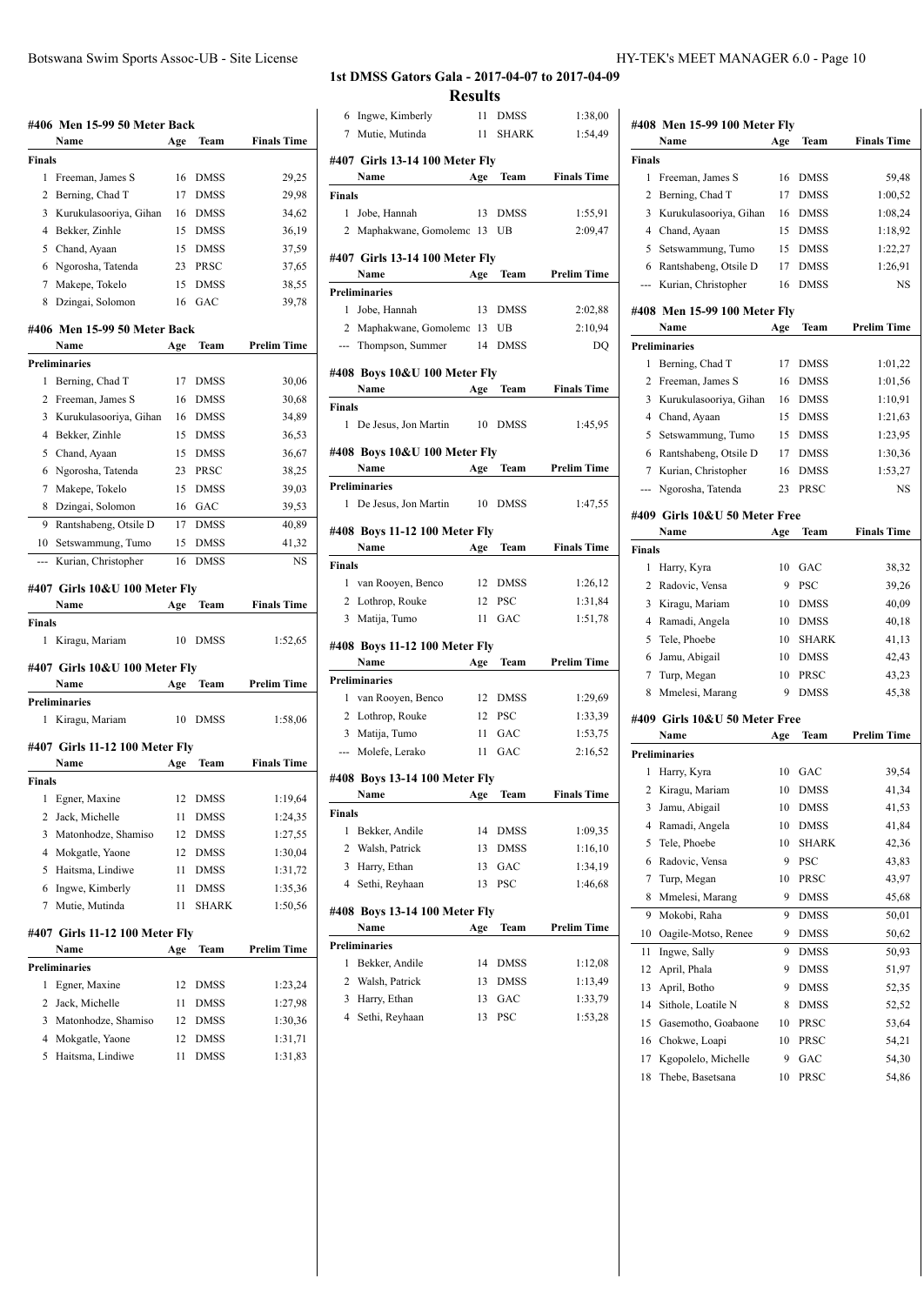|                | #406 Men 15-99 50 Meter Back<br>Name       | Age      | Team         | <b>Finals Time</b> |
|----------------|--------------------------------------------|----------|--------------|--------------------|
| Finals         |                                            |          |              |                    |
| 1              | Freeman, James S                           | 16       | DMSS         | 29,25              |
| $\overline{c}$ | Berning, Chad T                            | 17       | <b>DMSS</b>  | 29,98              |
| 3              | Kurukulasooriya, Gihan                     | 16       | DMSS         | 34,62              |
| 4              | Bekker, Zinhle                             | 15       | DMSS         | 36,19              |
| 5              | Chand, Ayaan                               | 15       | <b>DMSS</b>  | 37,59              |
| 6              | Ngorosha, Tatenda                          |          | 23 PRSC      | 37,65              |
|                | 7 Makepe, Tokelo                           | 15       | <b>DMSS</b>  | 38,55              |
| 8              | Dzingai, Solomon                           |          | 16 GAC       | 39,78              |
|                | #406 Men 15-99 50 Meter Back               |          |              |                    |
|                | Name                                       | Age      | Team         | <b>Prelim Time</b> |
|                | <b>Preliminaries</b>                       |          |              |                    |
| 1              | Berning, Chad T                            | 17       | DMSS         | 30,06              |
| 2              | Freeman, James S                           | 16       | <b>DMSS</b>  | 30,68              |
| 3              | Kurukulasooriya, Gihan                     | 16       | <b>DMSS</b>  | 34,89              |
|                | 4 Bekker, Zinhle                           | 15       | DMSS         | 36,53              |
| 5              | Chand, Ayaan                               | 15       | DMSS         | 36,67              |
| 6              | Ngorosha, Tatenda                          | 23       | PRSC         | 38,25              |
| 7              | Makepe, Tokelo                             |          | 15 DMSS      | 39,03              |
|                | 8 Dzingai, Solomon                         | 16       | GAC          | 39,53              |
| 9              | Rantshabeng, Otsile D                      | 17       | <b>DMSS</b>  | 40,89              |
| 10             | Setswammung, Tumo                          | 15       | <b>DMSS</b>  | 41,32              |
|                | Kurian, Christopher                        | 16       | <b>DMSS</b>  | NS                 |
|                | #407 Girls 10&U 100 Meter Fly              |          |              |                    |
|                | Name                                       | Age      | Team         | <b>Finals Time</b> |
| Finals         |                                            |          |              |                    |
| 1              | Kiragu, Mariam                             |          | 10 DMSS      | 1:52,65            |
|                |                                            |          |              |                    |
|                | #407 Girls 10&U 100 Meter Fly              |          |              |                    |
|                | Name                                       | Age      | Team         | <b>Prelim Time</b> |
|                | <b>Preliminaries</b>                       |          |              |                    |
| 1              | Kiragu, Mariam                             | 10       | <b>DMSS</b>  | 1:58,06            |
|                | #407 Girls 11-12 100 Meter Fly             |          |              |                    |
|                | Name                                       | Age      | Team         | <b>Finals Time</b> |
| Finals         |                                            |          |              |                    |
| 1              | Egner, Maxine                              | 12       | DMSS         | 1:19,64            |
| 2              | Jack, Michelle                             | 11       | <b>DMSS</b>  | 1:24,35            |
| 3              | Matonhodze, Shamiso                        | 12       | <b>DMSS</b>  | 1:27,55            |
| 4              | Mokgatle, Yaone                            | 12       | <b>DMSS</b>  | 1:30,04            |
| 5              | Haitsma, Lindiwe                           | 11       | <b>DMSS</b>  | 1:31,72            |
| 6              | Ingwe, Kimberly                            | 11       | DMSS         | 1:35,36            |
| 7              | Mutie, Mutinda                             | 11       | SHARK        | 1:50,56            |
|                | #407 Girls 11-12 100 Meter Fly             |          |              |                    |
|                | Name                                       | Age      | Team         | <b>Prelim Time</b> |
|                | <b>Preliminaries</b>                       |          |              |                    |
| 1              | Egner, Maxine                              | 12       | DMSS         | 1:23,24            |
| 2              | Jack, Michelle                             | 11       | DMSS         | 1:27,98            |
|                | 3 Matonhodze, Shamiso<br>4 Mokgatle, Yaone | 12<br>12 | DMSS<br>DMSS | 1:30,36<br>1:31,71 |

5 Haitsma, Lindiwe 11 DMSS 1:31,83

#### **1st DMSS Gators Gala - 2017-04-07 to 2017-04-09**

**#407 Girls 13-14 100 Meter Fly**

**#407 Girls 13-14 100 Meter Fly**

**#408 Boys 10&U 100 Meter Fly**

**#408 Boys 10&U 100 Meter Fly**

**#408 Boys 11-12 100 Meter Fly**

**#408 Boys 11-12 100 Meter Fly**

**#408 Boys 13-14 100 Meter Fly**

**#408 Boys 13-14 100 Meter Fly**

**Finals**

**Preliminaries**

**Finals**

**Finals**

**Preliminaries**

**Preliminaries**

**Finals**

**Preliminaries**

| 6 Ingwe, Kimberly              |        | 11 DMSS      | 1:38,00            |               |                                      |     |              |                    |
|--------------------------------|--------|--------------|--------------------|---------------|--------------------------------------|-----|--------------|--------------------|
| 7 Mutie, Mutinda               | 11     | <b>SHARK</b> | 1:54,49            |               | #408 Men 15-99 100 Meter Fly<br>Name | Age | Team         | <b>Finals Time</b> |
| 407 Girls 13-14 100 Meter Fly  |        |              |                    | <b>Finals</b> |                                      |     |              |                    |
|                                | Age    | Team         | <b>Finals Time</b> |               | 1 Freeman, James S                   | 16  | DMSS         | 59,48              |
|                                |        |              |                    |               | 2 Berning, Chad T                    | 17  | <b>DMSS</b>  | 1:00,52            |
| 1 Jobe, Hannah                 |        | 13 DMSS      | 1:55,91            | 3             | Kurukulasooriya, Gihan               | 16  | <b>DMSS</b>  | 1:08,24            |
| 2 Maphakwane, Gomolemc 13 UB   |        |              | 2:09,47            | 4             | Chand, Ayaan                         | 15  | <b>DMSS</b>  | 1:18,92            |
|                                |        |              |                    |               | 5 Setswammung, Tumo                  | 15  | <b>DMSS</b>  | 1:22,27            |
| 407  Girls 13-14 100 Meter Fly |        |              |                    |               | 6 Rantshabeng, Otsile D              | 17  | <b>DMSS</b>  | 1:26,91            |
|                                | Age    | Team         | Prelim Time        |               | --- Kurian, Christopher              | 16  | DMSS         | NS                 |
|                                |        |              |                    |               |                                      |     |              |                    |
| 1 Jobe, Hannah                 | 13     | <b>DMSS</b>  | 2:02,88            |               | #408 Men 15-99 100 Meter Fly         |     |              |                    |
| 2 Maphakwane, Gomolemc 13      |        | UB           | 2:10,94            |               | Name                                 | Age | Team         | <b>Prelim Time</b> |
| --- Thompson, Summer           | 14     | DMSS         | DQ                 |               | <b>Preliminaries</b>                 |     |              |                    |
| 408 Boys 10&U 100 Meter Fly    |        |              |                    |               | 1 Berning, Chad T                    | 17  | <b>DMSS</b>  | 1:01,22            |
|                                | Age    | Team         | <b>Finals Time</b> |               | 2 Freeman, James S                   | 16  | <b>DMSS</b>  | 1:01,56            |
|                                |        |              |                    |               | 3 Kurukulasooriya, Gihan             | 16  | <b>DMSS</b>  | 1:10,91            |
| 1 De Jesus, Jon Martin         |        | 10 DMSS      | 1:45,95            |               | 4 Chand, Ayaan                       | 15  | <b>DMSS</b>  | 1:21,63            |
|                                |        |              |                    |               | 5 Setswammung, Tumo                  | 15  | <b>DMSS</b>  | 1:23,95            |
| 408 Boys 10&U 100 Meter Fly    |        |              |                    |               | 6 Rantshabeng, Otsile D              | 17  | <b>DMSS</b>  | 1:30,36            |
| reliminaries                   | Age    | Team         | Prelim Time        |               | 7 Kurian, Christopher                | 16  | <b>DMSS</b>  | 1:53,27            |
|                                |        |              |                    |               | --- Ngorosha, Tatenda                | 23  | PRSC         | NS                 |
| 1 De Jesus, Jon Martin         |        | 10 DMSS      | 1:47,55            |               | #409 Girls 10&U 50 Meter Free        |     |              |                    |
| 408 Boys 11-12 100 Meter Fly   |        |              |                    |               | Name                                 | Age | Team         | <b>Finals Time</b> |
|                                | Age    | Team         | <b>Finals Time</b> | <b>Finals</b> |                                      |     |              |                    |
|                                |        |              |                    |               | 1 Harry, Kyra                        | 10  | GAC          | 38,32              |
| 1 van Rooyen, Benco            |        | 12 DMSS      | 1:26,12            |               | 2 Radovic, Vensa                     | 9   | <b>PSC</b>   | 39,26              |
| 2 Lothrop, Rouke               | 12     | <b>PSC</b>   | 1:31,84            | 3             | Kiragu, Mariam                       | 10  | <b>DMSS</b>  | 40,09              |
| 3 Matija, Tumo                 |        | 11 GAC       | 1:51,78            |               | 4 Ramadi, Angela                     | 10  | <b>DMSS</b>  | 40,18              |
|                                |        |              |                    |               | 5 Tele, Phoebe                       | 10  | <b>SHARK</b> | 41,13              |
| 408 Boys 11-12 100 Meter Fly   |        |              |                    |               | 6 Jamu, Abigail                      | 10  | <b>DMSS</b>  | 42,43              |
|                                | Age    | Team         | Prelim Time        |               | 7 Turp, Megan                        | 10  | PRSC         | 43,23              |
| reliminaries                   |        |              |                    |               | 8 Mmelesi, Marang                    | 9   | <b>DMSS</b>  | 45,38              |
| 1 van Rooyen, Benco            |        | 12 DMSS      | 1:29,69            |               |                                      |     |              |                    |
| 2 Lothrop, Rouke               | 12 PSC |              | 1:33,39            |               | #409 Girls 10&U 50 Meter Free        |     |              |                    |
| 3 Matija, Tumo                 | 11     | GAC          | 1:53,75            |               | Name                                 | Age | Team         | <b>Prelim Time</b> |
| --- Molefe, Lerako             |        | 11 GAC       | 2:16,52            |               | <b>Preliminaries</b>                 |     |              |                    |
| 408 Boys 13-14 100 Meter Fly   |        |              |                    |               | 1 Harry, Kyra                        | 10  | GAC          | 39,54              |
| Name                           | Age    | <b>Team</b>  | <b>Finals Time</b> |               | 2 Kiragu, Mariam                     |     | 10 DMSS      | 41,34              |
|                                |        |              |                    | 3             | Jamu, Abigail                        | 10  | <b>DMSS</b>  | 41,53              |
| 1 Bekker, Andile               | 14     | DMSS         | 1:09,35            | 4             | Ramadi, Angela                       | 10  | <b>DMSS</b>  | 41,84              |
| Walsh, Patrick                 | 13     | <b>DMSS</b>  | 1:16,10            | 5             | Tele, Phoebe                         | 10  | <b>SHARK</b> | 42,36              |
| Harry, Ethan                   | 13     | GAC          | 1:34,19            | 6             | Radovic, Vensa                       | 9   | PSC          | 43,83              |
| Sethi, Reyhaan                 | 13     | PSC          | 1:46,68            | 7             | Turp, Megan                          | 10  | PRSC         | 43,97              |
|                                |        |              |                    | 8             | Mmelesi, Marang                      | 9   | DMSS         | 45,68              |
| 408 Boys 13-14 100 Meter Fly   |        |              |                    | 9             | Mokobi, Raha                         | 9   | DMSS         | 50,01              |
| Name                           | Age    | Team         | <b>Prelim Time</b> |               | 10 Oagile-Motso, Renee               | 9   | <b>DMSS</b>  | 50,62              |
| reliminaries                   |        |              |                    | 11            | Ingwe, Sally                         | 9   | <b>DMSS</b>  | 50,93              |
| 1 Bekker, Andile               | 14     | <b>DMSS</b>  | 1:12,08            | 12            | April, Phala                         | 9   | DMSS         | 51,97              |
| Walsh, Patrick                 | 13     | <b>DMSS</b>  | 1:13,49            | 13            | April, Botho                         | 9   | DMSS         | 52,35              |
| Harry, Ethan                   | 13     | GAC          | 1:33,79            | 14            | Sithole, Loatile N                   | 8   | <b>DMSS</b>  | 52,52              |
| Sethi, Reyhaan                 | 13 PSC |              | 1:53,28            | 15            | Gasemotho, Goabaone                  | 10  | PRSC         | 53,64              |
|                                |        |              |                    | 16            | Chokwe, Loapi                        | 10  | PRSC         | 54,21              |
|                                |        |              |                    | 17            | Kgopolelo, Michelle                  | 9   | GAC          | 54,30              |
|                                |        |              |                    | 18            | Thebe, Basetsana                     |     | 10 PRSC      | 54,86              |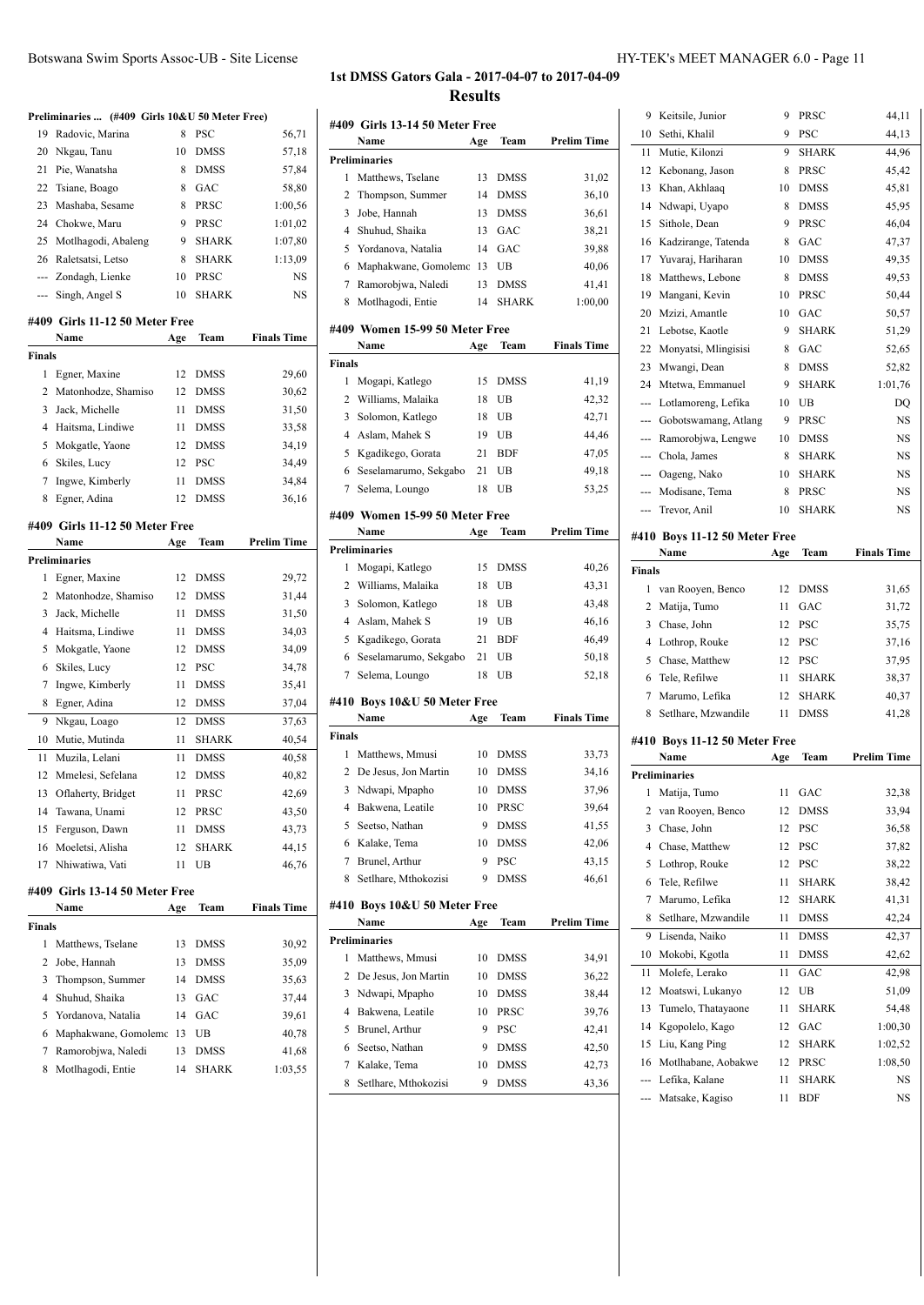#### Botswana Swim Sports Assoc-UB - Site License HY-TEK's MEET MANAGER 6.0 - Page 11

# **1st DMSS Gators Gala - 2017-04-07 to 2017-04-09 Results**

**#409 Girls 13-14 50 Meter Free**

| 19<br>Radovic, Marina<br>8<br><b>PSC</b><br>56,71<br>20<br>Nkgau, Tanu<br>10<br><b>DMSS</b><br>57,18<br>21<br>Pie, Wanatsha<br>8<br><b>DMSS</b><br>57,84<br>22<br>Tsiane, Boago<br>8<br>GAC<br>58,80<br>23<br>Mashaba, Sesame<br>8<br>PRSC<br>1:00,56<br>24<br>Chokwe, Maru<br>9<br>PRSC<br>1:01,02<br>25<br>Motlhagodi, Abaleng<br>9<br><b>SHARK</b><br>1:07,80<br>26<br>Raletsatsi, Letso<br><b>SHARK</b><br>1:13,09<br>8<br>PRSC<br>Zondagh, Lienke<br>10<br>NS<br>$\frac{1}{2} \left( \frac{1}{2} \right) \left( \frac{1}{2} \right) \left( \frac{1}{2} \right) \left( \frac{1}{2} \right) \left( \frac{1}{2} \right) \left( \frac{1}{2} \right) \left( \frac{1}{2} \right) \left( \frac{1}{2} \right) \left( \frac{1}{2} \right) \left( \frac{1}{2} \right) \left( \frac{1}{2} \right) \left( \frac{1}{2} \right) \left( \frac{1}{2} \right) \left( \frac{1}{2} \right) \left( \frac{1}{2} \right) \left( \frac{1}{2} \right) \left( \frac$<br><b>SHARK</b><br>NS<br>Singh, Angel S<br>10<br>---<br>#409 Girls 11-12 50 Meter Free<br><b>Finals Time</b><br>Name<br>Team<br>Age<br><b>Finals</b><br>12<br>29,60<br>1<br>Egner, Maxine<br><b>DMSS</b><br>2<br>Matonhodze, Shamiso<br>12<br><b>DMSS</b><br>30,62<br>3<br>Jack, Michelle<br>31,50<br>11<br><b>DMSS</b><br>4<br>Haitsma, Lindiwe<br><b>DMSS</b><br>33,58<br>11<br>5<br>Mokgatle, Yaone<br><b>DMSS</b><br>34,19<br>12<br>Skiles, Lucy<br>12<br>6<br>PSC<br>34,49<br>7<br>Ingwe, Kimberly<br>11<br><b>DMSS</b><br>34,84<br>8<br>Egner, Adina<br>12<br><b>DMSS</b><br>36,16<br>#409 Girls 11-12 50 Meter Free<br><b>Prelim Time</b><br>Name<br>Team<br>Age<br><b>Preliminaries</b><br>Egner, Maxine<br>29,72<br>1<br>12<br><b>DMSS</b><br>2<br>Matonhodze, Shamiso<br>31,44<br>12<br><b>DMSS</b><br>3<br>Jack, Michelle<br><b>DMSS</b><br>31,50<br>11<br>4<br>Haitsma, Lindiwe<br><b>DMSS</b><br>34,03<br>11<br>5<br>Mokgatle, Yaone<br>12<br><b>DMSS</b><br>34,09<br>Skiles, Lucy<br>12<br><b>PSC</b><br>6<br>34,78<br>7<br>Ingwe, Kimberly<br><b>DMSS</b><br>35,41<br>11<br>Egner, Adina<br>8<br>12<br><b>DMSS</b><br>37,04<br>9<br>Nkgau, Loago<br>12<br><b>DMSS</b><br>37,63<br>Mutie, Mutinda<br><b>SHARK</b><br>10<br>11<br>40,54<br>Muzila, Lelani<br>11<br><b>DMSS</b><br>40,58<br>11<br>Mmelesi, Sefelana<br>12<br>12<br><b>DMSS</b><br>40,82<br>13<br>Oflaherty, Bridget<br>PRSC<br>42,69<br>11<br>Tawana, Unami<br>14<br>12<br>PRSC<br>43,50<br>15<br>Ferguson, Dawn<br>43,73<br>11<br>DMSS<br>Moeletsi, Alisha<br>44,15<br>16<br>12<br>SHARK<br>Nhiwatiwa, Vati<br>17<br>11<br>UB<br>46,76<br>#409 Girls 13-14 50 Meter Free<br>Team<br><b>Finals Time</b><br>Name<br>Age<br>Finals<br>1<br>Matthews, Tselane<br>13<br>DMSS<br>30,92<br>2<br>Jobe, Hannah<br>13<br>DMSS<br>35,09<br>3<br>Thompson, Summer<br>14<br><b>DMSS</b><br>35,63<br>Shuhud, Shaika<br>4<br>13<br>GAC<br>37,44<br>5<br>Yordanova, Natalia<br>GAC<br>14<br>39,61<br>Maphakwane, Gomolemo<br>6<br>13<br>UB<br>40,78<br>7<br>Ramorobjwa, Naledi<br>13<br>DMSS<br>41,68 | Preliminaries  (#409 Girls 10&U 50 Meter Free) |                   |    |              |         |  |
|---------------------------------------------------------------------------------------------------------------------------------------------------------------------------------------------------------------------------------------------------------------------------------------------------------------------------------------------------------------------------------------------------------------------------------------------------------------------------------------------------------------------------------------------------------------------------------------------------------------------------------------------------------------------------------------------------------------------------------------------------------------------------------------------------------------------------------------------------------------------------------------------------------------------------------------------------------------------------------------------------------------------------------------------------------------------------------------------------------------------------------------------------------------------------------------------------------------------------------------------------------------------------------------------------------------------------------------------------------------------------------------------------------------------------------------------------------------------------------------------------------------------------------------------------------------------------------------------------------------------------------------------------------------------------------------------------------------------------------------------------------------------------------------------------------------------------------------------------------------------------------------------------------------------------------------------------------------------------------------------------------------------------------------------------------------------------------------------------------------------------------------------------------------------------------------------------------------------------------------------------------------------------------------------------------------------------------------------------------------------------------------------------------------------------------------------------------------------------------------------------------------------------------------------------------------------------------------------------------------------------------------------------------------------------------------------------------------------------------------------------------------------------------------------------------------------------------------------------------------------------------------------------------------------------------------------------------------------------------------------------------------------|------------------------------------------------|-------------------|----|--------------|---------|--|
|                                                                                                                                                                                                                                                                                                                                                                                                                                                                                                                                                                                                                                                                                                                                                                                                                                                                                                                                                                                                                                                                                                                                                                                                                                                                                                                                                                                                                                                                                                                                                                                                                                                                                                                                                                                                                                                                                                                                                                                                                                                                                                                                                                                                                                                                                                                                                                                                                                                                                                                                                                                                                                                                                                                                                                                                                                                                                                                                                                                                                     |                                                |                   |    |              |         |  |
|                                                                                                                                                                                                                                                                                                                                                                                                                                                                                                                                                                                                                                                                                                                                                                                                                                                                                                                                                                                                                                                                                                                                                                                                                                                                                                                                                                                                                                                                                                                                                                                                                                                                                                                                                                                                                                                                                                                                                                                                                                                                                                                                                                                                                                                                                                                                                                                                                                                                                                                                                                                                                                                                                                                                                                                                                                                                                                                                                                                                                     |                                                |                   |    |              |         |  |
|                                                                                                                                                                                                                                                                                                                                                                                                                                                                                                                                                                                                                                                                                                                                                                                                                                                                                                                                                                                                                                                                                                                                                                                                                                                                                                                                                                                                                                                                                                                                                                                                                                                                                                                                                                                                                                                                                                                                                                                                                                                                                                                                                                                                                                                                                                                                                                                                                                                                                                                                                                                                                                                                                                                                                                                                                                                                                                                                                                                                                     |                                                |                   |    |              |         |  |
|                                                                                                                                                                                                                                                                                                                                                                                                                                                                                                                                                                                                                                                                                                                                                                                                                                                                                                                                                                                                                                                                                                                                                                                                                                                                                                                                                                                                                                                                                                                                                                                                                                                                                                                                                                                                                                                                                                                                                                                                                                                                                                                                                                                                                                                                                                                                                                                                                                                                                                                                                                                                                                                                                                                                                                                                                                                                                                                                                                                                                     |                                                |                   |    |              |         |  |
|                                                                                                                                                                                                                                                                                                                                                                                                                                                                                                                                                                                                                                                                                                                                                                                                                                                                                                                                                                                                                                                                                                                                                                                                                                                                                                                                                                                                                                                                                                                                                                                                                                                                                                                                                                                                                                                                                                                                                                                                                                                                                                                                                                                                                                                                                                                                                                                                                                                                                                                                                                                                                                                                                                                                                                                                                                                                                                                                                                                                                     |                                                |                   |    |              |         |  |
|                                                                                                                                                                                                                                                                                                                                                                                                                                                                                                                                                                                                                                                                                                                                                                                                                                                                                                                                                                                                                                                                                                                                                                                                                                                                                                                                                                                                                                                                                                                                                                                                                                                                                                                                                                                                                                                                                                                                                                                                                                                                                                                                                                                                                                                                                                                                                                                                                                                                                                                                                                                                                                                                                                                                                                                                                                                                                                                                                                                                                     |                                                |                   |    |              |         |  |
|                                                                                                                                                                                                                                                                                                                                                                                                                                                                                                                                                                                                                                                                                                                                                                                                                                                                                                                                                                                                                                                                                                                                                                                                                                                                                                                                                                                                                                                                                                                                                                                                                                                                                                                                                                                                                                                                                                                                                                                                                                                                                                                                                                                                                                                                                                                                                                                                                                                                                                                                                                                                                                                                                                                                                                                                                                                                                                                                                                                                                     |                                                |                   |    |              |         |  |
|                                                                                                                                                                                                                                                                                                                                                                                                                                                                                                                                                                                                                                                                                                                                                                                                                                                                                                                                                                                                                                                                                                                                                                                                                                                                                                                                                                                                                                                                                                                                                                                                                                                                                                                                                                                                                                                                                                                                                                                                                                                                                                                                                                                                                                                                                                                                                                                                                                                                                                                                                                                                                                                                                                                                                                                                                                                                                                                                                                                                                     |                                                |                   |    |              |         |  |
|                                                                                                                                                                                                                                                                                                                                                                                                                                                                                                                                                                                                                                                                                                                                                                                                                                                                                                                                                                                                                                                                                                                                                                                                                                                                                                                                                                                                                                                                                                                                                                                                                                                                                                                                                                                                                                                                                                                                                                                                                                                                                                                                                                                                                                                                                                                                                                                                                                                                                                                                                                                                                                                                                                                                                                                                                                                                                                                                                                                                                     |                                                |                   |    |              |         |  |
|                                                                                                                                                                                                                                                                                                                                                                                                                                                                                                                                                                                                                                                                                                                                                                                                                                                                                                                                                                                                                                                                                                                                                                                                                                                                                                                                                                                                                                                                                                                                                                                                                                                                                                                                                                                                                                                                                                                                                                                                                                                                                                                                                                                                                                                                                                                                                                                                                                                                                                                                                                                                                                                                                                                                                                                                                                                                                                                                                                                                                     |                                                |                   |    |              |         |  |
|                                                                                                                                                                                                                                                                                                                                                                                                                                                                                                                                                                                                                                                                                                                                                                                                                                                                                                                                                                                                                                                                                                                                                                                                                                                                                                                                                                                                                                                                                                                                                                                                                                                                                                                                                                                                                                                                                                                                                                                                                                                                                                                                                                                                                                                                                                                                                                                                                                                                                                                                                                                                                                                                                                                                                                                                                                                                                                                                                                                                                     |                                                |                   |    |              |         |  |
|                                                                                                                                                                                                                                                                                                                                                                                                                                                                                                                                                                                                                                                                                                                                                                                                                                                                                                                                                                                                                                                                                                                                                                                                                                                                                                                                                                                                                                                                                                                                                                                                                                                                                                                                                                                                                                                                                                                                                                                                                                                                                                                                                                                                                                                                                                                                                                                                                                                                                                                                                                                                                                                                                                                                                                                                                                                                                                                                                                                                                     |                                                |                   |    |              |         |  |
|                                                                                                                                                                                                                                                                                                                                                                                                                                                                                                                                                                                                                                                                                                                                                                                                                                                                                                                                                                                                                                                                                                                                                                                                                                                                                                                                                                                                                                                                                                                                                                                                                                                                                                                                                                                                                                                                                                                                                                                                                                                                                                                                                                                                                                                                                                                                                                                                                                                                                                                                                                                                                                                                                                                                                                                                                                                                                                                                                                                                                     |                                                |                   |    |              |         |  |
|                                                                                                                                                                                                                                                                                                                                                                                                                                                                                                                                                                                                                                                                                                                                                                                                                                                                                                                                                                                                                                                                                                                                                                                                                                                                                                                                                                                                                                                                                                                                                                                                                                                                                                                                                                                                                                                                                                                                                                                                                                                                                                                                                                                                                                                                                                                                                                                                                                                                                                                                                                                                                                                                                                                                                                                                                                                                                                                                                                                                                     |                                                |                   |    |              |         |  |
|                                                                                                                                                                                                                                                                                                                                                                                                                                                                                                                                                                                                                                                                                                                                                                                                                                                                                                                                                                                                                                                                                                                                                                                                                                                                                                                                                                                                                                                                                                                                                                                                                                                                                                                                                                                                                                                                                                                                                                                                                                                                                                                                                                                                                                                                                                                                                                                                                                                                                                                                                                                                                                                                                                                                                                                                                                                                                                                                                                                                                     |                                                |                   |    |              |         |  |
|                                                                                                                                                                                                                                                                                                                                                                                                                                                                                                                                                                                                                                                                                                                                                                                                                                                                                                                                                                                                                                                                                                                                                                                                                                                                                                                                                                                                                                                                                                                                                                                                                                                                                                                                                                                                                                                                                                                                                                                                                                                                                                                                                                                                                                                                                                                                                                                                                                                                                                                                                                                                                                                                                                                                                                                                                                                                                                                                                                                                                     |                                                |                   |    |              |         |  |
|                                                                                                                                                                                                                                                                                                                                                                                                                                                                                                                                                                                                                                                                                                                                                                                                                                                                                                                                                                                                                                                                                                                                                                                                                                                                                                                                                                                                                                                                                                                                                                                                                                                                                                                                                                                                                                                                                                                                                                                                                                                                                                                                                                                                                                                                                                                                                                                                                                                                                                                                                                                                                                                                                                                                                                                                                                                                                                                                                                                                                     |                                                |                   |    |              |         |  |
|                                                                                                                                                                                                                                                                                                                                                                                                                                                                                                                                                                                                                                                                                                                                                                                                                                                                                                                                                                                                                                                                                                                                                                                                                                                                                                                                                                                                                                                                                                                                                                                                                                                                                                                                                                                                                                                                                                                                                                                                                                                                                                                                                                                                                                                                                                                                                                                                                                                                                                                                                                                                                                                                                                                                                                                                                                                                                                                                                                                                                     |                                                |                   |    |              |         |  |
|                                                                                                                                                                                                                                                                                                                                                                                                                                                                                                                                                                                                                                                                                                                                                                                                                                                                                                                                                                                                                                                                                                                                                                                                                                                                                                                                                                                                                                                                                                                                                                                                                                                                                                                                                                                                                                                                                                                                                                                                                                                                                                                                                                                                                                                                                                                                                                                                                                                                                                                                                                                                                                                                                                                                                                                                                                                                                                                                                                                                                     |                                                |                   |    |              |         |  |
|                                                                                                                                                                                                                                                                                                                                                                                                                                                                                                                                                                                                                                                                                                                                                                                                                                                                                                                                                                                                                                                                                                                                                                                                                                                                                                                                                                                                                                                                                                                                                                                                                                                                                                                                                                                                                                                                                                                                                                                                                                                                                                                                                                                                                                                                                                                                                                                                                                                                                                                                                                                                                                                                                                                                                                                                                                                                                                                                                                                                                     |                                                |                   |    |              |         |  |
|                                                                                                                                                                                                                                                                                                                                                                                                                                                                                                                                                                                                                                                                                                                                                                                                                                                                                                                                                                                                                                                                                                                                                                                                                                                                                                                                                                                                                                                                                                                                                                                                                                                                                                                                                                                                                                                                                                                                                                                                                                                                                                                                                                                                                                                                                                                                                                                                                                                                                                                                                                                                                                                                                                                                                                                                                                                                                                                                                                                                                     |                                                |                   |    |              |         |  |
|                                                                                                                                                                                                                                                                                                                                                                                                                                                                                                                                                                                                                                                                                                                                                                                                                                                                                                                                                                                                                                                                                                                                                                                                                                                                                                                                                                                                                                                                                                                                                                                                                                                                                                                                                                                                                                                                                                                                                                                                                                                                                                                                                                                                                                                                                                                                                                                                                                                                                                                                                                                                                                                                                                                                                                                                                                                                                                                                                                                                                     |                                                |                   |    |              |         |  |
|                                                                                                                                                                                                                                                                                                                                                                                                                                                                                                                                                                                                                                                                                                                                                                                                                                                                                                                                                                                                                                                                                                                                                                                                                                                                                                                                                                                                                                                                                                                                                                                                                                                                                                                                                                                                                                                                                                                                                                                                                                                                                                                                                                                                                                                                                                                                                                                                                                                                                                                                                                                                                                                                                                                                                                                                                                                                                                                                                                                                                     |                                                |                   |    |              |         |  |
|                                                                                                                                                                                                                                                                                                                                                                                                                                                                                                                                                                                                                                                                                                                                                                                                                                                                                                                                                                                                                                                                                                                                                                                                                                                                                                                                                                                                                                                                                                                                                                                                                                                                                                                                                                                                                                                                                                                                                                                                                                                                                                                                                                                                                                                                                                                                                                                                                                                                                                                                                                                                                                                                                                                                                                                                                                                                                                                                                                                                                     |                                                |                   |    |              |         |  |
|                                                                                                                                                                                                                                                                                                                                                                                                                                                                                                                                                                                                                                                                                                                                                                                                                                                                                                                                                                                                                                                                                                                                                                                                                                                                                                                                                                                                                                                                                                                                                                                                                                                                                                                                                                                                                                                                                                                                                                                                                                                                                                                                                                                                                                                                                                                                                                                                                                                                                                                                                                                                                                                                                                                                                                                                                                                                                                                                                                                                                     |                                                |                   |    |              |         |  |
|                                                                                                                                                                                                                                                                                                                                                                                                                                                                                                                                                                                                                                                                                                                                                                                                                                                                                                                                                                                                                                                                                                                                                                                                                                                                                                                                                                                                                                                                                                                                                                                                                                                                                                                                                                                                                                                                                                                                                                                                                                                                                                                                                                                                                                                                                                                                                                                                                                                                                                                                                                                                                                                                                                                                                                                                                                                                                                                                                                                                                     |                                                |                   |    |              |         |  |
|                                                                                                                                                                                                                                                                                                                                                                                                                                                                                                                                                                                                                                                                                                                                                                                                                                                                                                                                                                                                                                                                                                                                                                                                                                                                                                                                                                                                                                                                                                                                                                                                                                                                                                                                                                                                                                                                                                                                                                                                                                                                                                                                                                                                                                                                                                                                                                                                                                                                                                                                                                                                                                                                                                                                                                                                                                                                                                                                                                                                                     |                                                |                   |    |              |         |  |
|                                                                                                                                                                                                                                                                                                                                                                                                                                                                                                                                                                                                                                                                                                                                                                                                                                                                                                                                                                                                                                                                                                                                                                                                                                                                                                                                                                                                                                                                                                                                                                                                                                                                                                                                                                                                                                                                                                                                                                                                                                                                                                                                                                                                                                                                                                                                                                                                                                                                                                                                                                                                                                                                                                                                                                                                                                                                                                                                                                                                                     |                                                |                   |    |              |         |  |
|                                                                                                                                                                                                                                                                                                                                                                                                                                                                                                                                                                                                                                                                                                                                                                                                                                                                                                                                                                                                                                                                                                                                                                                                                                                                                                                                                                                                                                                                                                                                                                                                                                                                                                                                                                                                                                                                                                                                                                                                                                                                                                                                                                                                                                                                                                                                                                                                                                                                                                                                                                                                                                                                                                                                                                                                                                                                                                                                                                                                                     |                                                |                   |    |              |         |  |
|                                                                                                                                                                                                                                                                                                                                                                                                                                                                                                                                                                                                                                                                                                                                                                                                                                                                                                                                                                                                                                                                                                                                                                                                                                                                                                                                                                                                                                                                                                                                                                                                                                                                                                                                                                                                                                                                                                                                                                                                                                                                                                                                                                                                                                                                                                                                                                                                                                                                                                                                                                                                                                                                                                                                                                                                                                                                                                                                                                                                                     |                                                |                   |    |              |         |  |
|                                                                                                                                                                                                                                                                                                                                                                                                                                                                                                                                                                                                                                                                                                                                                                                                                                                                                                                                                                                                                                                                                                                                                                                                                                                                                                                                                                                                                                                                                                                                                                                                                                                                                                                                                                                                                                                                                                                                                                                                                                                                                                                                                                                                                                                                                                                                                                                                                                                                                                                                                                                                                                                                                                                                                                                                                                                                                                                                                                                                                     |                                                |                   |    |              |         |  |
|                                                                                                                                                                                                                                                                                                                                                                                                                                                                                                                                                                                                                                                                                                                                                                                                                                                                                                                                                                                                                                                                                                                                                                                                                                                                                                                                                                                                                                                                                                                                                                                                                                                                                                                                                                                                                                                                                                                                                                                                                                                                                                                                                                                                                                                                                                                                                                                                                                                                                                                                                                                                                                                                                                                                                                                                                                                                                                                                                                                                                     |                                                |                   |    |              |         |  |
|                                                                                                                                                                                                                                                                                                                                                                                                                                                                                                                                                                                                                                                                                                                                                                                                                                                                                                                                                                                                                                                                                                                                                                                                                                                                                                                                                                                                                                                                                                                                                                                                                                                                                                                                                                                                                                                                                                                                                                                                                                                                                                                                                                                                                                                                                                                                                                                                                                                                                                                                                                                                                                                                                                                                                                                                                                                                                                                                                                                                                     |                                                |                   |    |              |         |  |
|                                                                                                                                                                                                                                                                                                                                                                                                                                                                                                                                                                                                                                                                                                                                                                                                                                                                                                                                                                                                                                                                                                                                                                                                                                                                                                                                                                                                                                                                                                                                                                                                                                                                                                                                                                                                                                                                                                                                                                                                                                                                                                                                                                                                                                                                                                                                                                                                                                                                                                                                                                                                                                                                                                                                                                                                                                                                                                                                                                                                                     |                                                |                   |    |              |         |  |
|                                                                                                                                                                                                                                                                                                                                                                                                                                                                                                                                                                                                                                                                                                                                                                                                                                                                                                                                                                                                                                                                                                                                                                                                                                                                                                                                                                                                                                                                                                                                                                                                                                                                                                                                                                                                                                                                                                                                                                                                                                                                                                                                                                                                                                                                                                                                                                                                                                                                                                                                                                                                                                                                                                                                                                                                                                                                                                                                                                                                                     |                                                |                   |    |              |         |  |
|                                                                                                                                                                                                                                                                                                                                                                                                                                                                                                                                                                                                                                                                                                                                                                                                                                                                                                                                                                                                                                                                                                                                                                                                                                                                                                                                                                                                                                                                                                                                                                                                                                                                                                                                                                                                                                                                                                                                                                                                                                                                                                                                                                                                                                                                                                                                                                                                                                                                                                                                                                                                                                                                                                                                                                                                                                                                                                                                                                                                                     |                                                |                   |    |              |         |  |
|                                                                                                                                                                                                                                                                                                                                                                                                                                                                                                                                                                                                                                                                                                                                                                                                                                                                                                                                                                                                                                                                                                                                                                                                                                                                                                                                                                                                                                                                                                                                                                                                                                                                                                                                                                                                                                                                                                                                                                                                                                                                                                                                                                                                                                                                                                                                                                                                                                                                                                                                                                                                                                                                                                                                                                                                                                                                                                                                                                                                                     |                                                |                   |    |              |         |  |
|                                                                                                                                                                                                                                                                                                                                                                                                                                                                                                                                                                                                                                                                                                                                                                                                                                                                                                                                                                                                                                                                                                                                                                                                                                                                                                                                                                                                                                                                                                                                                                                                                                                                                                                                                                                                                                                                                                                                                                                                                                                                                                                                                                                                                                                                                                                                                                                                                                                                                                                                                                                                                                                                                                                                                                                                                                                                                                                                                                                                                     |                                                |                   |    |              |         |  |
|                                                                                                                                                                                                                                                                                                                                                                                                                                                                                                                                                                                                                                                                                                                                                                                                                                                                                                                                                                                                                                                                                                                                                                                                                                                                                                                                                                                                                                                                                                                                                                                                                                                                                                                                                                                                                                                                                                                                                                                                                                                                                                                                                                                                                                                                                                                                                                                                                                                                                                                                                                                                                                                                                                                                                                                                                                                                                                                                                                                                                     |                                                |                   |    |              |         |  |
|                                                                                                                                                                                                                                                                                                                                                                                                                                                                                                                                                                                                                                                                                                                                                                                                                                                                                                                                                                                                                                                                                                                                                                                                                                                                                                                                                                                                                                                                                                                                                                                                                                                                                                                                                                                                                                                                                                                                                                                                                                                                                                                                                                                                                                                                                                                                                                                                                                                                                                                                                                                                                                                                                                                                                                                                                                                                                                                                                                                                                     |                                                |                   |    |              |         |  |
|                                                                                                                                                                                                                                                                                                                                                                                                                                                                                                                                                                                                                                                                                                                                                                                                                                                                                                                                                                                                                                                                                                                                                                                                                                                                                                                                                                                                                                                                                                                                                                                                                                                                                                                                                                                                                                                                                                                                                                                                                                                                                                                                                                                                                                                                                                                                                                                                                                                                                                                                                                                                                                                                                                                                                                                                                                                                                                                                                                                                                     |                                                |                   |    |              |         |  |
|                                                                                                                                                                                                                                                                                                                                                                                                                                                                                                                                                                                                                                                                                                                                                                                                                                                                                                                                                                                                                                                                                                                                                                                                                                                                                                                                                                                                                                                                                                                                                                                                                                                                                                                                                                                                                                                                                                                                                                                                                                                                                                                                                                                                                                                                                                                                                                                                                                                                                                                                                                                                                                                                                                                                                                                                                                                                                                                                                                                                                     |                                                |                   |    |              |         |  |
|                                                                                                                                                                                                                                                                                                                                                                                                                                                                                                                                                                                                                                                                                                                                                                                                                                                                                                                                                                                                                                                                                                                                                                                                                                                                                                                                                                                                                                                                                                                                                                                                                                                                                                                                                                                                                                                                                                                                                                                                                                                                                                                                                                                                                                                                                                                                                                                                                                                                                                                                                                                                                                                                                                                                                                                                                                                                                                                                                                                                                     |                                                |                   |    |              |         |  |
|                                                                                                                                                                                                                                                                                                                                                                                                                                                                                                                                                                                                                                                                                                                                                                                                                                                                                                                                                                                                                                                                                                                                                                                                                                                                                                                                                                                                                                                                                                                                                                                                                                                                                                                                                                                                                                                                                                                                                                                                                                                                                                                                                                                                                                                                                                                                                                                                                                                                                                                                                                                                                                                                                                                                                                                                                                                                                                                                                                                                                     |                                                |                   |    |              |         |  |
|                                                                                                                                                                                                                                                                                                                                                                                                                                                                                                                                                                                                                                                                                                                                                                                                                                                                                                                                                                                                                                                                                                                                                                                                                                                                                                                                                                                                                                                                                                                                                                                                                                                                                                                                                                                                                                                                                                                                                                                                                                                                                                                                                                                                                                                                                                                                                                                                                                                                                                                                                                                                                                                                                                                                                                                                                                                                                                                                                                                                                     |                                                |                   |    |              |         |  |
|                                                                                                                                                                                                                                                                                                                                                                                                                                                                                                                                                                                                                                                                                                                                                                                                                                                                                                                                                                                                                                                                                                                                                                                                                                                                                                                                                                                                                                                                                                                                                                                                                                                                                                                                                                                                                                                                                                                                                                                                                                                                                                                                                                                                                                                                                                                                                                                                                                                                                                                                                                                                                                                                                                                                                                                                                                                                                                                                                                                                                     |                                                |                   |    |              |         |  |
|                                                                                                                                                                                                                                                                                                                                                                                                                                                                                                                                                                                                                                                                                                                                                                                                                                                                                                                                                                                                                                                                                                                                                                                                                                                                                                                                                                                                                                                                                                                                                                                                                                                                                                                                                                                                                                                                                                                                                                                                                                                                                                                                                                                                                                                                                                                                                                                                                                                                                                                                                                                                                                                                                                                                                                                                                                                                                                                                                                                                                     |                                                |                   |    |              |         |  |
|                                                                                                                                                                                                                                                                                                                                                                                                                                                                                                                                                                                                                                                                                                                                                                                                                                                                                                                                                                                                                                                                                                                                                                                                                                                                                                                                                                                                                                                                                                                                                                                                                                                                                                                                                                                                                                                                                                                                                                                                                                                                                                                                                                                                                                                                                                                                                                                                                                                                                                                                                                                                                                                                                                                                                                                                                                                                                                                                                                                                                     |                                                |                   |    |              |         |  |
|                                                                                                                                                                                                                                                                                                                                                                                                                                                                                                                                                                                                                                                                                                                                                                                                                                                                                                                                                                                                                                                                                                                                                                                                                                                                                                                                                                                                                                                                                                                                                                                                                                                                                                                                                                                                                                                                                                                                                                                                                                                                                                                                                                                                                                                                                                                                                                                                                                                                                                                                                                                                                                                                                                                                                                                                                                                                                                                                                                                                                     |                                                |                   |    |              |         |  |
|                                                                                                                                                                                                                                                                                                                                                                                                                                                                                                                                                                                                                                                                                                                                                                                                                                                                                                                                                                                                                                                                                                                                                                                                                                                                                                                                                                                                                                                                                                                                                                                                                                                                                                                                                                                                                                                                                                                                                                                                                                                                                                                                                                                                                                                                                                                                                                                                                                                                                                                                                                                                                                                                                                                                                                                                                                                                                                                                                                                                                     |                                                |                   |    |              |         |  |
|                                                                                                                                                                                                                                                                                                                                                                                                                                                                                                                                                                                                                                                                                                                                                                                                                                                                                                                                                                                                                                                                                                                                                                                                                                                                                                                                                                                                                                                                                                                                                                                                                                                                                                                                                                                                                                                                                                                                                                                                                                                                                                                                                                                                                                                                                                                                                                                                                                                                                                                                                                                                                                                                                                                                                                                                                                                                                                                                                                                                                     |                                                |                   |    |              |         |  |
|                                                                                                                                                                                                                                                                                                                                                                                                                                                                                                                                                                                                                                                                                                                                                                                                                                                                                                                                                                                                                                                                                                                                                                                                                                                                                                                                                                                                                                                                                                                                                                                                                                                                                                                                                                                                                                                                                                                                                                                                                                                                                                                                                                                                                                                                                                                                                                                                                                                                                                                                                                                                                                                                                                                                                                                                                                                                                                                                                                                                                     | 8                                              | Motlhagodi, Entie | 14 | <b>SHARK</b> | 1:03.55 |  |

|        | Name                           | Age | Team         | <b>Prelim Time</b> |
|--------|--------------------------------|-----|--------------|--------------------|
|        | <b>Preliminaries</b>           |     |              |                    |
| 1      | Matthews, Tselane              | 13  | DMSS         | 31,02              |
| 2      | Thompson, Summer               | 14  | <b>DMSS</b>  | 36,10              |
| 3      | Jobe, Hannah                   | 13  | DMSS         | 36,61              |
| 4      | Shuhud, Shaika                 | 13  | GAC          | 38,21              |
| 5      | Yordanova, Natalia             | 14  | GAC          | 39,88              |
| 6      | Maphakwane, Gomolemc           | 13  | UB           | 40,06              |
| 7      | Ramorobjwa, Naledi             | 13  | DMSS         | 41,41              |
| 8      | Motlhagodi, Entie              | 14  | <b>SHARK</b> | 1:00,00            |
|        |                                |     |              |                    |
|        | #409 Women 15-99 50 Meter Free |     |              |                    |
|        | Name                           | Age | Team         | <b>Finals Time</b> |
| Finals |                                |     |              |                    |
| 1      | Mogapi, Katlego                | 15  | DMSS         | 41,19              |
| 2      | Williams, Malaika              | 18  | UB           | 42,32              |
| 3      | Solomon, Katlego               | 18  | UB           | 42,71              |
| 4      | Aslam, Mahek S                 | 19  | UB           | 44,46              |
| 5      | Kgadikego, Gorata              | 21  | <b>BDF</b>   | 47,05              |
| 6      | Seselamarumo, Sekgabo          | 21  | UB           | 49,18              |
| 7      | Selema, Loungo                 | 18  | UB           | 53,25              |
|        | #409 Women 15-99 50 Meter Free |     |              |                    |
|        | Name                           | Age | Team         | <b>Prelim Time</b> |
|        | <b>Preliminaries</b>           |     |              |                    |
| 1      | Mogapi, Katlego                | 15  | <b>DMSS</b>  | 40,26              |
| 2      | Williams, Malaika              | 18  | UB           | 43,31              |
| 3      | Solomon, Katlego               | 18  | UB           | 43,48              |
| 4      | Aslam, Mahek S                 | 19  | UB           | 46,16              |
| 5      | Kgadikego, Gorata              | 21  | BDF          | 46,49              |
| 6      | Seselamarumo, Sekgabo          | 21  | UB           | 50,18              |
| 7      | Selema, Loungo                 | 18  | UB           | 52,18              |
|        |                                |     |              |                    |
|        | #410 Boys 10&U 50 Meter Free   |     |              |                    |
|        | Name                           | Age | Team         | <b>Finals Time</b> |
| Finals |                                |     |              |                    |
| 1      | Matthews, Mmusi                | 10  | DMSS         | 33,73              |
| 2      | De Jesus, Jon Martin           | 10  | DMSS         | 34,16              |
| 3      | Ndwapi, Mpapho                 | 10  | DMSS         | 37,96              |
| 4      | Bakwena, Leatile               | 10  | PRSC         | 39,64              |
| 5      | Seetso, Nathan                 | 9   | DMSS         | 41,55              |
| 6      | Kalake, Tema                   | 10  | DMSS         | 42,06              |
| 7      | Brunel, Arthur                 | 9   | <b>PSC</b>   | 43,15              |
| 8      | Setlhare, Mthokozisi           | 9   | DMSS         | 46,61              |
|        | #410 Boys 10&U 50 Meter Free   |     |              |                    |
|        | Name                           | Age | Team         | <b>Prelim Time</b> |
|        | <b>Preliminaries</b>           |     |              |                    |
| 1      | Matthews, Mmusi                | 10  | DMSS         | 34,91              |
| 2      | De Jesus, Jon Martin           | 10  | DMSS         | 36,22              |
| 3      | Ndwapi, Mpapho                 | 10  | DMSS         | 38,44              |
| 4      | Bakwena, Leatile               | 10  | PRSC         | 39,76              |
| 5      | Brunel, Arthur                 | 9   | PSC          | 42,41              |
| 6      | Seetso, Nathan                 | 9   | DMSS         | 42,50              |
| 7      | Kalake, Tema                   | 10  | DMSS         | 42,73              |
| 8      | Setlhare, Mthokozisi           | 9   | DMSS         | 43,36              |
|        |                                |     |              |                    |

| 9                       | Keitsile, Junior                  | 9        | PRSC         | 44,11              |
|-------------------------|-----------------------------------|----------|--------------|--------------------|
| 10                      | Sethi, Khalil                     | 9        | <b>PSC</b>   | 44,13              |
| 11                      | Mutie, Kilonzi                    | 9        | <b>SHARK</b> | 44,96              |
| 12                      | Kebonang, Jason                   | 8        | PRSC         | 45,42              |
| 13                      | Khan, Akhlaaq                     | 10       | <b>DMSS</b>  | 45,81              |
| 14                      | Ndwapi, Uyapo                     | 8        | <b>DMSS</b>  | 45,95              |
| 15                      | Sithole, Dean                     | 9        | PRSC         | 46,04              |
| 16                      | Kadzirange, Tatenda               | 8        | GAC          | 47,37              |
| 17                      | Yuvaraj, Hariharan                | 10       | <b>DMSS</b>  | 49,35              |
| 18                      | Matthews, Lebone                  | 8        | <b>DMSS</b>  | 49,53              |
| 19                      | Mangani, Kevin                    | 10       | PRSC         | 50,44              |
| 20                      | Mzizi, Amantle                    | 10       | GAC          | 50,57              |
| 21                      | Lebotse, Kaotle                   | 9        | <b>SHARK</b> | 51,29              |
| 22                      | Monyatsi, Mlingisisi              | 8        | GAC          | 52,65              |
| 23                      | Mwangi, Dean                      | 8        | <b>DMSS</b>  | 52,82              |
| 24                      | Mtetwa, Emmanuel                  | 9        | <b>SHARK</b> | 1:01,76            |
| ---                     | Lotlamoreng, Lefika               | 10       | UB           | DQ                 |
| ---                     | Gobotswamang, Atlang              | 9        | <b>PRSC</b>  | NS                 |
| ---                     | Ramorobjwa, Lengwe                | 10       | <b>DMSS</b>  | NS                 |
| $\cdots$                | Chola, James                      | 8        | <b>SHARK</b> | NS                 |
| $\qquad \qquad -\qquad$ | Oageng, Nako                      | 10       | <b>SHARK</b> | NS                 |
| ---                     | Modisane, Tema                    | 8        | <b>PRSC</b>  | <b>NS</b>          |
| ---                     | Trevor, Anil                      | 10       | <b>SHARK</b> | <b>NS</b>          |
|                         |                                   |          |              |                    |
|                         | #410 Boys 11-12 50 Meter Free     |          |              |                    |
|                         | Name                              | Age      | Team         | <b>Finals Time</b> |
| <b>Finals</b>           |                                   |          |              |                    |
| 1                       | van Rooyen, Benco                 | 12       | <b>DMSS</b>  | 31,65              |
| 2                       | Matija, Tumo                      | 11       | GAC          | 31,72              |
|                         |                                   |          |              |                    |
| 3                       | Chase, John                       | 12       | <b>PSC</b>   | 35,75              |
| 4                       | Lothrop, Rouke                    | 12       | PSC          | 37,16              |
| 5                       | Chase, Matthew                    | 12       | PSC          | 37,95              |
| 6                       | Tele, Refilwe                     | 11       | <b>SHARK</b> | 38,37              |
| 7                       | Marumo, Lefika                    | 12       | <b>SHARK</b> | 40,37              |
| 8                       | Setlhare, Mzwandile               | 11       | <b>DMSS</b>  | 41,28              |
|                         |                                   |          |              |                    |
|                         | #410 Boys 11-12 50 Meter Free     |          |              |                    |
|                         | Name                              | Age      | Team         | <b>Prelim Time</b> |
| 1                       | <b>Preliminaries</b>              |          | GAC          |                    |
|                         | Matija, Tumo                      | 11       |              | 32,38              |
| 2                       | van Rooyen, Benco                 | 12       | DMSS         | 33,94              |
| 3                       | Chase, John                       | 12       | PSC          | 36,58              |
| 4                       | Chase, Matthew                    | 12       | PSC          | 37,82              |
| 5                       | Lothrop, Rouke                    | 12       | PSC          | 38,22              |
| 6                       | Tele, Refilwe                     | 11       | <b>SHARK</b> | 38,42              |
| 7                       | Marumo, Lefika                    | 12       | SHARK        | 41,31              |
| 8                       | Setlhare, Mzwandile               | 11       | DMSS         | 42,24              |
| 9                       | Lisenda, Naiko                    | 11       | DMSS         | 42,37              |
| 10                      | Mokobi, Kgotla                    | 11       | <b>DMSS</b>  | 42,62              |
| 11                      | Molefe, Lerako                    | 11       | GAC          | 42,98              |
| 12                      | Moatswi, Lukanyo                  | 12       | UB           | 51,09              |
| 13                      | Tumelo, Thatayaone                | 11       | SHARK        | 54,48              |
| 14                      | Kgopolelo, Kago                   | 12       | GAC          | 1:00,30            |
| 15                      | Liu, Kang Ping                    | 12       | SHARK        | 1:02,52            |
| 16                      | Motlhabane, Aobakwe               | 12       | PRSC         | 1:08,50            |
| ---<br>---              | Lefika, Kalane<br>Matsake, Kagiso | 11<br>11 | SHARK<br>BDF | NS<br>NS           |